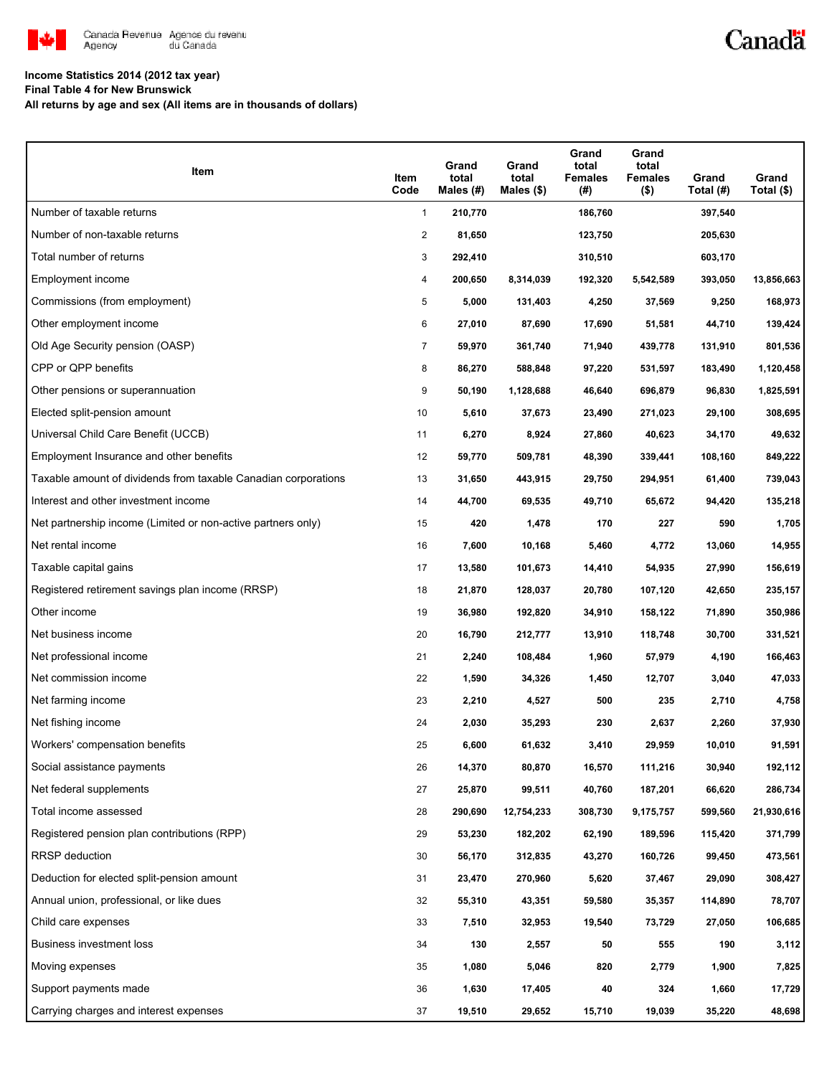

# Canadä

### **Income Statistics 2014 (2012 tax year)**

**Final Table 4 for New Brunswick**

**All returns by age and sex (All items are in thousands of dollars)**

| Item                                                           | Item<br>Code   | Grand<br>total<br>Males (#) | Grand<br>total<br>Males (\$) | Grand<br>total<br><b>Females</b><br>(#) | Grand<br>total<br>Females<br>$($ \$) | Grand<br>Total (#) | Grand<br>Total (\$) |
|----------------------------------------------------------------|----------------|-----------------------------|------------------------------|-----------------------------------------|--------------------------------------|--------------------|---------------------|
| Number of taxable returns                                      | $\mathbf{1}$   | 210,770                     |                              | 186,760                                 |                                      | 397,540            |                     |
| Number of non-taxable returns                                  | 2              | 81,650                      |                              | 123,750                                 |                                      | 205,630            |                     |
| Total number of returns                                        | 3              | 292,410                     |                              | 310,510                                 |                                      | 603,170            |                     |
| Employment income                                              | 4              | 200,650                     | 8,314,039                    | 192,320                                 | 5,542,589                            | 393,050            | 13,856,663          |
| Commissions (from employment)                                  | 5              | 5,000                       | 131,403                      | 4,250                                   | 37,569                               | 9,250              | 168,973             |
| Other employment income                                        | 6              | 27,010                      | 87,690                       | 17,690                                  | 51,581                               | 44,710             | 139,424             |
| Old Age Security pension (OASP)                                | $\overline{7}$ | 59,970                      | 361,740                      | 71,940                                  | 439,778                              | 131,910            | 801,536             |
| CPP or QPP benefits                                            | 8              | 86,270                      | 588,848                      | 97,220                                  | 531,597                              | 183,490            | 1,120,458           |
| Other pensions or superannuation                               | 9              | 50,190                      | 1,128,688                    | 46,640                                  | 696,879                              | 96,830             | 1,825,591           |
| Elected split-pension amount                                   | 10             | 5,610                       | 37,673                       | 23,490                                  | 271,023                              | 29,100             | 308,695             |
| Universal Child Care Benefit (UCCB)                            | 11             | 6,270                       | 8,924                        | 27,860                                  | 40,623                               | 34,170             | 49,632              |
| Employment Insurance and other benefits                        | 12             | 59,770                      | 509,781                      | 48,390                                  | 339,441                              | 108,160            | 849,222             |
| Taxable amount of dividends from taxable Canadian corporations | 13             | 31,650                      | 443,915                      | 29,750                                  | 294,951                              | 61,400             | 739,043             |
| Interest and other investment income                           | 14             | 44,700                      | 69,535                       | 49,710                                  | 65,672                               | 94,420             | 135,218             |
| Net partnership income (Limited or non-active partners only)   | 15             | 420                         | 1,478                        | 170                                     | 227                                  | 590                | 1,705               |
| Net rental income                                              | 16             | 7,600                       | 10,168                       | 5,460                                   | 4,772                                | 13,060             | 14,955              |
| Taxable capital gains                                          | 17             | 13,580                      | 101,673                      | 14,410                                  | 54,935                               | 27,990             | 156,619             |
| Registered retirement savings plan income (RRSP)               | 18             | 21,870                      | 128,037                      | 20,780                                  | 107,120                              | 42,650             | 235,157             |
| Other income                                                   | 19             | 36,980                      | 192,820                      | 34,910                                  | 158,122                              | 71,890             | 350,986             |
| Net business income                                            | 20             | 16,790                      | 212,777                      | 13,910                                  | 118,748                              | 30,700             | 331,521             |
| Net professional income                                        | 21             | 2,240                       | 108,484                      | 1,960                                   | 57,979                               | 4,190              | 166,463             |
| Net commission income                                          | 22             | 1,590                       | 34,326                       | 1,450                                   | 12,707                               | 3,040              | 47,033              |
| Net farming income                                             | 23             | 2,210                       | 4,527                        | 500                                     | 235                                  | 2,710              | 4,758               |
| Net fishing income                                             | 24             | 2,030                       | 35,293                       | 230                                     | 2,637                                | 2,260              | 37,930              |
| Workers' compensation benefits                                 | 25             | 6,600                       | 61,632                       | 3,410                                   | 29,959                               | 10,010             | 91,591              |
| Social assistance payments                                     | 26             | 14,370                      | 80,870                       | 16,570                                  | 111,216                              | 30,940             | 192,112             |
| Net federal supplements                                        | 27             | 25,870                      | 99,511                       | 40,760                                  | 187,201                              | 66,620             | 286,734             |
| Total income assessed                                          | 28             | 290,690                     | 12,754,233                   | 308,730                                 | 9,175,757                            | 599,560            | 21,930,616          |
| Registered pension plan contributions (RPP)                    | 29             | 53,230                      | 182,202                      | 62,190                                  | 189,596                              | 115,420            | 371,799             |
| RRSP deduction                                                 | 30             | 56,170                      | 312,835                      | 43,270                                  | 160,726                              | 99,450             | 473,561             |
| Deduction for elected split-pension amount                     | 31             | 23,470                      | 270,960                      | 5,620                                   | 37,467                               | 29,090             | 308,427             |
| Annual union, professional, or like dues                       | 32             | 55,310                      | 43,351                       | 59,580                                  | 35,357                               | 114,890            | 78,707              |
| Child care expenses                                            | 33             | 7,510                       | 32,953                       | 19,540                                  | 73,729                               | 27,050             | 106,685             |
| Business investment loss                                       | 34             | 130                         | 2,557                        | 50                                      | 555                                  | 190                | 3,112               |
| Moving expenses                                                | 35             | 1,080                       | 5,046                        | 820                                     | 2,779                                | 1,900              | 7,825               |
| Support payments made                                          | 36             | 1,630                       | 17,405                       | 40                                      | 324                                  | 1,660              | 17,729              |
| Carrying charges and interest expenses                         | 37             | 19,510                      | 29,652                       | 15,710                                  | 19,039                               | 35,220             | 48,698              |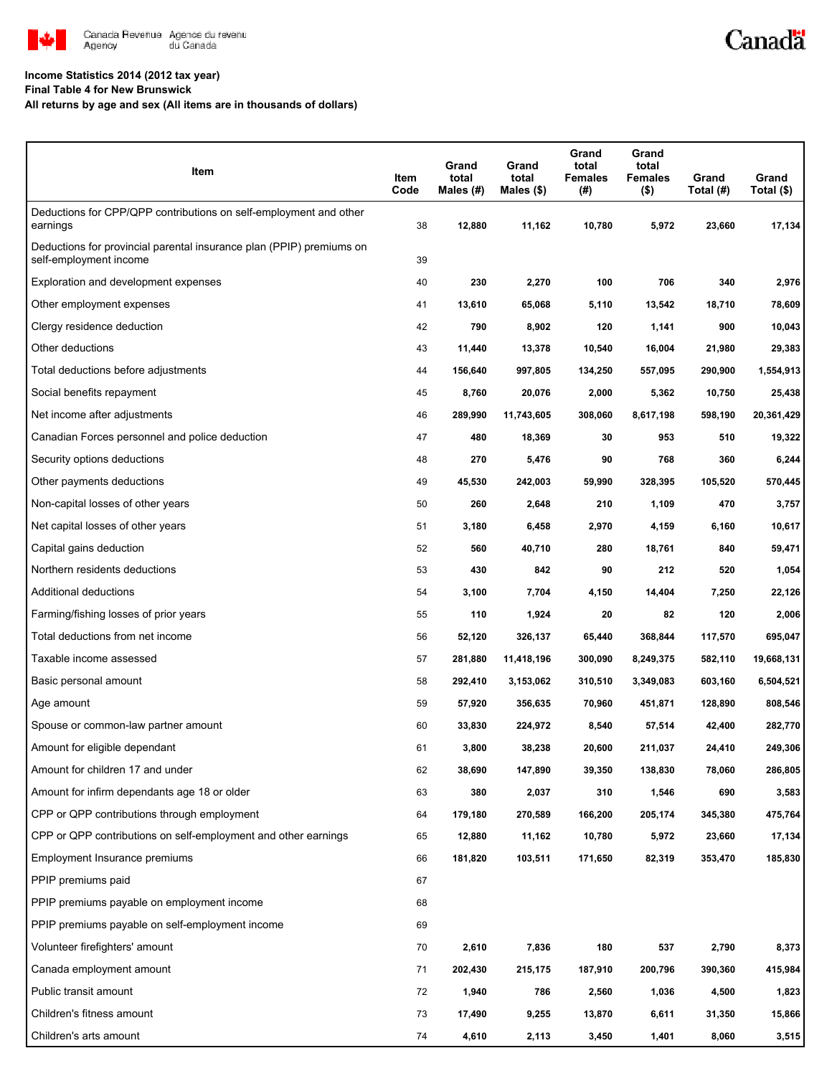

## **Income Statistics 2014 (2012 tax year)**

**Final Table 4 for New Brunswick**

**All returns by age and sex (All items are in thousands of dollars)**

| Item                                                                                           | Item<br>Code | Grand<br>total<br>Males (#) | Grand<br>total<br>Males (\$) | Grand<br>total<br><b>Females</b><br>(#) | Grand<br>total<br><b>Females</b><br>$($ \$) | Grand<br>Total (#) | Grand<br>Total (\$) |
|------------------------------------------------------------------------------------------------|--------------|-----------------------------|------------------------------|-----------------------------------------|---------------------------------------------|--------------------|---------------------|
| Deductions for CPP/QPP contributions on self-employment and other<br>earnings                  | 38           | 12,880                      | 11,162                       | 10,780                                  | 5,972                                       | 23,660             | 17,134              |
| Deductions for provincial parental insurance plan (PPIP) premiums on<br>self-employment income | 39           |                             |                              |                                         |                                             |                    |                     |
| Exploration and development expenses                                                           | 40           | 230                         | 2,270                        | 100                                     | 706                                         | 340                | 2,976               |
| Other employment expenses                                                                      | 41           | 13,610                      | 65,068                       | 5,110                                   | 13,542                                      | 18,710             | 78,609              |
| Clergy residence deduction                                                                     | 42           | 790                         | 8,902                        | 120                                     | 1,141                                       | 900                | 10,043              |
| Other deductions                                                                               | 43           | 11,440                      | 13,378                       | 10,540                                  | 16,004                                      | 21,980             | 29,383              |
| Total deductions before adjustments                                                            | 44           | 156,640                     | 997,805                      | 134,250                                 | 557,095                                     | 290,900            | 1,554,913           |
| Social benefits repayment                                                                      | 45           | 8,760                       | 20,076                       | 2,000                                   | 5,362                                       | 10,750             | 25,438              |
| Net income after adjustments                                                                   | 46           | 289,990                     | 11,743,605                   | 308,060                                 | 8,617,198                                   | 598,190            | 20,361,429          |
| Canadian Forces personnel and police deduction                                                 | 47           | 480                         | 18,369                       | 30                                      | 953                                         | 510                | 19,322              |
| Security options deductions                                                                    | 48           | 270                         | 5,476                        | 90                                      | 768                                         | 360                | 6,244               |
| Other payments deductions                                                                      | 49           | 45,530                      | 242,003                      | 59,990                                  | 328,395                                     | 105,520            | 570,445             |
| Non-capital losses of other years                                                              | 50           | 260                         | 2,648                        | 210                                     | 1,109                                       | 470                | 3,757               |
| Net capital losses of other years                                                              | 51           | 3,180                       | 6,458                        | 2,970                                   | 4,159                                       | 6,160              | 10,617              |
| Capital gains deduction                                                                        | 52           | 560                         | 40,710                       | 280                                     | 18,761                                      | 840                | 59,471              |
| Northern residents deductions                                                                  | 53           | 430                         | 842                          | 90                                      | 212                                         | 520                | 1,054               |
| Additional deductions                                                                          | 54           | 3,100                       | 7,704                        | 4,150                                   | 14,404                                      | 7,250              | 22,126              |
| Farming/fishing losses of prior years                                                          | 55           | 110                         | 1,924                        | 20                                      | 82                                          | 120                | 2,006               |
| Total deductions from net income                                                               | 56           | 52,120                      | 326,137                      | 65,440                                  | 368,844                                     | 117,570            | 695,047             |
| Taxable income assessed                                                                        | 57           | 281,880                     | 11,418,196                   | 300,090                                 | 8,249,375                                   | 582,110            | 19,668,131          |
| Basic personal amount                                                                          | 58           | 292,410                     | 3,153,062                    | 310,510                                 | 3,349,083                                   | 603,160            | 6,504,521           |
| Age amount                                                                                     | 59           | 57,920                      | 356,635                      | 70,960                                  | 451,871                                     | 128,890            | 808,546             |
| Spouse or common-law partner amount                                                            | 60           | 33,830                      | 224,972                      | 8,540                                   | 57,514                                      | 42,400             | 282,770             |
| Amount for eligible dependant                                                                  | 61           | 3,800                       | 38,238                       | 20,600                                  | 211,037                                     | 24,410             | 249,306             |
| Amount for children 17 and under                                                               | 62           | 38,690                      | 147,890                      | 39,350                                  | 138,830                                     | 78,060             | 286,805             |
| Amount for infirm dependants age 18 or older                                                   | 63           | 380                         | 2,037                        | 310                                     | 1,546                                       | 690                | 3,583               |
| CPP or QPP contributions through employment                                                    | 64           | 179,180                     | 270,589                      | 166,200                                 | 205,174                                     | 345,380            | 475,764             |
| CPP or QPP contributions on self-employment and other earnings                                 | 65           | 12,880                      | 11,162                       | 10,780                                  | 5,972                                       | 23,660             | 17,134              |
| Employment Insurance premiums                                                                  | 66           | 181,820                     | 103,511                      | 171,650                                 | 82,319                                      | 353,470            | 185,830             |
| PPIP premiums paid                                                                             | 67           |                             |                              |                                         |                                             |                    |                     |
| PPIP premiums payable on employment income                                                     | 68           |                             |                              |                                         |                                             |                    |                     |
| PPIP premiums payable on self-employment income                                                | 69           |                             |                              |                                         |                                             |                    |                     |
| Volunteer firefighters' amount                                                                 | 70           | 2,610                       | 7,836                        | 180                                     | 537                                         | 2,790              | 8,373               |
| Canada employment amount                                                                       | 71           | 202,430                     | 215,175                      | 187,910                                 | 200,796                                     | 390,360            | 415,984             |
| Public transit amount                                                                          | 72           | 1,940                       | 786                          | 2,560                                   | 1,036                                       | 4,500              | 1,823               |
| Children's fitness amount                                                                      | 73           | 17,490                      | 9,255                        | 13,870                                  | 6,611                                       | 31,350             | 15,866              |
| Children's arts amount                                                                         | 74           | 4,610                       | 2,113                        | 3,450                                   | 1,401                                       | 8,060              | 3,515               |

Canadä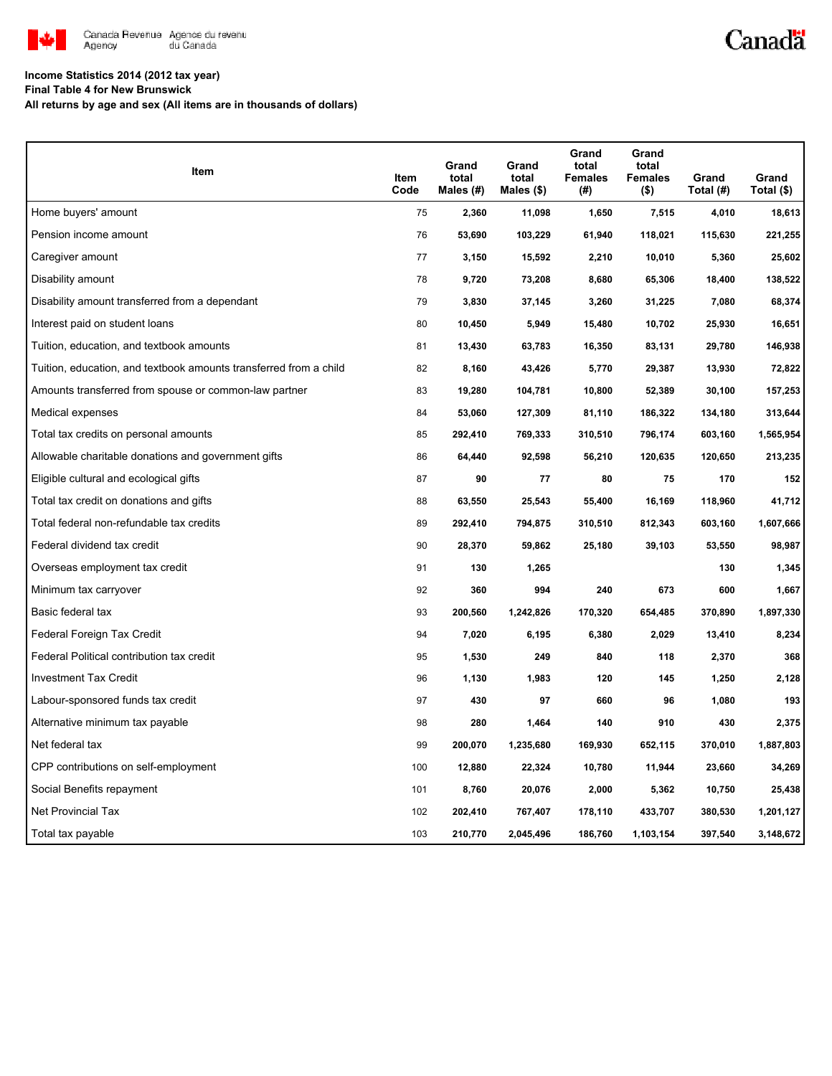

# Canadä

### **Income Statistics 2014 (2012 tax year)**

**Final Table 4 for New Brunswick**

**All returns by age and sex (All items are in thousands of dollars)**

| Item                                                              | Item<br>Code | Grand<br>total<br>Males $(H)$ | Grand<br>total<br>Males $($)$ | Grand<br>total<br><b>Females</b><br>(#) | Grand<br>total<br><b>Females</b><br>$($ \$) | Grand<br>Total (#) | Grand<br>Total (\$) |
|-------------------------------------------------------------------|--------------|-------------------------------|-------------------------------|-----------------------------------------|---------------------------------------------|--------------------|---------------------|
| Home buyers' amount                                               | 75           | 2,360                         | 11,098                        | 1,650                                   | 7,515                                       | 4,010              | 18,613              |
| Pension income amount                                             | 76           | 53,690                        | 103,229                       | 61,940                                  | 118,021                                     | 115,630            | 221,255             |
| Caregiver amount                                                  | 77           | 3,150                         | 15,592                        | 2,210                                   | 10,010                                      | 5,360              | 25,602              |
| Disability amount                                                 | 78           | 9,720                         | 73,208                        | 8,680                                   | 65,306                                      | 18,400             | 138,522             |
| Disability amount transferred from a dependant                    | 79           | 3,830                         | 37,145                        | 3,260                                   | 31,225                                      | 7,080              | 68,374              |
| Interest paid on student loans                                    | 80           | 10,450                        | 5,949                         | 15,480                                  | 10,702                                      | 25,930             | 16,651              |
| Tuition, education, and textbook amounts                          | 81           | 13,430                        | 63,783                        | 16,350                                  | 83,131                                      | 29,780             | 146,938             |
| Tuition, education, and textbook amounts transferred from a child | 82           | 8,160                         | 43,426                        | 5,770                                   | 29,387                                      | 13,930             | 72,822              |
| Amounts transferred from spouse or common-law partner             | 83           | 19,280                        | 104,781                       | 10,800                                  | 52,389                                      | 30,100             | 157,253             |
| Medical expenses                                                  | 84           | 53,060                        | 127,309                       | 81,110                                  | 186,322                                     | 134,180            | 313,644             |
| Total tax credits on personal amounts                             | 85           | 292,410                       | 769,333                       | 310,510                                 | 796,174                                     | 603,160            | 1,565,954           |
| Allowable charitable donations and government gifts               | 86           | 64,440                        | 92,598                        | 56,210                                  | 120,635                                     | 120,650            | 213,235             |
| Eligible cultural and ecological gifts                            | 87           | 90                            | 77                            | 80                                      | 75                                          | 170                | 152                 |
| Total tax credit on donations and gifts                           | 88           | 63,550                        | 25,543                        | 55,400                                  | 16,169                                      | 118,960            | 41,712              |
| Total federal non-refundable tax credits                          | 89           | 292,410                       | 794,875                       | 310,510                                 | 812,343                                     | 603,160            | 1,607,666           |
| Federal dividend tax credit                                       | 90           | 28,370                        | 59,862                        | 25,180                                  | 39,103                                      | 53,550             | 98,987              |
| Overseas employment tax credit                                    | 91           | 130                           | 1,265                         |                                         |                                             | 130                | 1,345               |
| Minimum tax carryover                                             | 92           | 360                           | 994                           | 240                                     | 673                                         | 600                | 1,667               |
| Basic federal tax                                                 | 93           | 200,560                       | 1,242,826                     | 170,320                                 | 654,485                                     | 370,890            | 1,897,330           |
| Federal Foreign Tax Credit                                        | 94           | 7,020                         | 6,195                         | 6,380                                   | 2,029                                       | 13,410             | 8,234               |
| Federal Political contribution tax credit                         | 95           | 1,530                         | 249                           | 840                                     | 118                                         | 2,370              | 368                 |
| <b>Investment Tax Credit</b>                                      | 96           | 1,130                         | 1,983                         | 120                                     | 145                                         | 1,250              | 2,128               |
| Labour-sponsored funds tax credit                                 | 97           | 430                           | 97                            | 660                                     | 96                                          | 1,080              | 193                 |
| Alternative minimum tax payable                                   | 98           | 280                           | 1,464                         | 140                                     | 910                                         | 430                | 2,375               |
| Net federal tax                                                   | 99           | 200,070                       | 1,235,680                     | 169,930                                 | 652,115                                     | 370,010            | 1,887,803           |
| CPP contributions on self-employment                              | 100          | 12,880                        | 22,324                        | 10,780                                  | 11,944                                      | 23,660             | 34,269              |
| Social Benefits repayment                                         | 101          | 8,760                         | 20,076                        | 2,000                                   | 5,362                                       | 10,750             | 25,438              |
| Net Provincial Tax                                                | 102          | 202,410                       | 767,407                       | 178,110                                 | 433,707                                     | 380,530            | 1,201,127           |
| Total tax payable                                                 | 103          | 210,770                       | 2,045,496                     | 186,760                                 | 1,103,154                                   | 397,540            | 3,148,672           |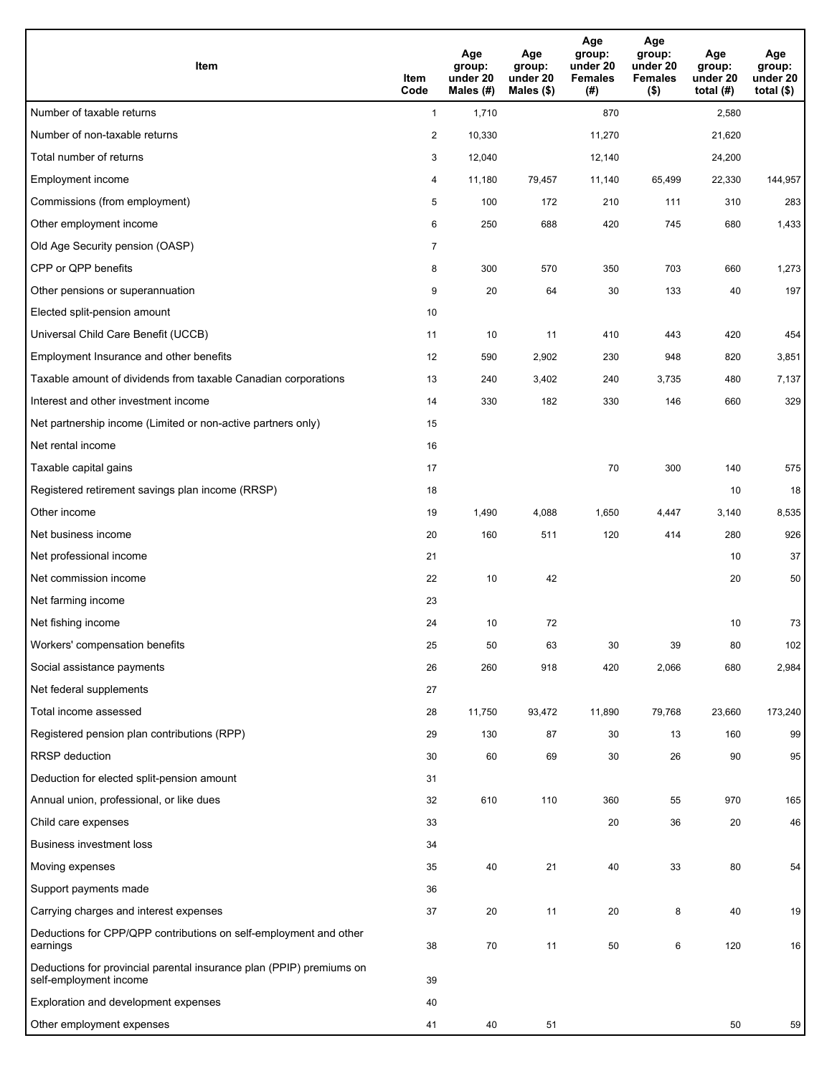| <b>Item</b>                                                                                    | Item<br>Code     | Age<br>group:<br>under 20<br>Males (#) | Age<br>group:<br>under 20<br>Males (\$) | Age<br>group:<br>under 20<br><b>Females</b><br>(#) | Age<br>group:<br>under 20<br><b>Females</b><br>$($ \$) | Age<br>group:<br>under 20<br>total (#) | Age<br>group:<br>under 20<br>total $($)$ |
|------------------------------------------------------------------------------------------------|------------------|----------------------------------------|-----------------------------------------|----------------------------------------------------|--------------------------------------------------------|----------------------------------------|------------------------------------------|
| Number of taxable returns                                                                      | $\mathbf{1}$     | 1,710                                  |                                         | 870                                                |                                                        | 2,580                                  |                                          |
| Number of non-taxable returns                                                                  | $\boldsymbol{2}$ | 10,330                                 |                                         | 11,270                                             |                                                        | 21,620                                 |                                          |
| Total number of returns                                                                        | 3                | 12,040                                 |                                         | 12,140                                             |                                                        | 24,200                                 |                                          |
| Employment income                                                                              | 4                | 11,180                                 | 79,457                                  | 11,140                                             | 65,499                                                 | 22,330                                 | 144,957                                  |
| Commissions (from employment)                                                                  | 5                | 100                                    | 172                                     | 210                                                | 111                                                    | 310                                    | 283                                      |
| Other employment income                                                                        | 6                | 250                                    | 688                                     | 420                                                | 745                                                    | 680                                    | 1,433                                    |
| Old Age Security pension (OASP)                                                                | $\overline{7}$   |                                        |                                         |                                                    |                                                        |                                        |                                          |
| CPP or QPP benefits                                                                            | 8                | 300                                    | 570                                     | 350                                                | 703                                                    | 660                                    | 1,273                                    |
| Other pensions or superannuation                                                               | 9                | 20                                     | 64                                      | 30                                                 | 133                                                    | 40                                     | 197                                      |
| Elected split-pension amount                                                                   | 10               |                                        |                                         |                                                    |                                                        |                                        |                                          |
| Universal Child Care Benefit (UCCB)                                                            | 11               | 10                                     | 11                                      | 410                                                | 443                                                    | 420                                    | 454                                      |
| Employment Insurance and other benefits                                                        | 12               | 590                                    | 2,902                                   | 230                                                | 948                                                    | 820                                    | 3,851                                    |
| Taxable amount of dividends from taxable Canadian corporations                                 | 13               | 240                                    | 3,402                                   | 240                                                | 3,735                                                  | 480                                    | 7,137                                    |
| Interest and other investment income                                                           | 14               | 330                                    | 182                                     | 330                                                | 146                                                    | 660                                    | 329                                      |
| Net partnership income (Limited or non-active partners only)                                   | 15               |                                        |                                         |                                                    |                                                        |                                        |                                          |
| Net rental income                                                                              | 16               |                                        |                                         |                                                    |                                                        |                                        |                                          |
| Taxable capital gains                                                                          | 17               |                                        |                                         | 70                                                 | 300                                                    | 140                                    | 575                                      |
| Registered retirement savings plan income (RRSP)                                               | 18               |                                        |                                         |                                                    |                                                        | 10                                     | 18                                       |
| Other income                                                                                   | 19               | 1,490                                  | 4,088                                   | 1,650                                              | 4,447                                                  | 3,140                                  | 8,535                                    |
| Net business income                                                                            | 20               | 160                                    | 511                                     | 120                                                | 414                                                    | 280                                    | 926                                      |
| Net professional income                                                                        | 21               |                                        |                                         |                                                    |                                                        | 10                                     | 37                                       |
| Net commission income                                                                          | 22               | 10                                     | 42                                      |                                                    |                                                        | 20                                     | 50                                       |
| Net farming income                                                                             | 23               |                                        |                                         |                                                    |                                                        |                                        |                                          |
| Net fishing income                                                                             | 24               | 10                                     | 72                                      |                                                    |                                                        | 10                                     | 73                                       |
| Workers' compensation benefits                                                                 | 25               | 50                                     | 63                                      | 30                                                 | 39                                                     | 80                                     | 102                                      |
| Social assistance payments                                                                     | 26               | 260                                    | 918                                     | 420                                                | 2,066                                                  | 680                                    | 2,984                                    |
| Net federal supplements                                                                        | 27               |                                        |                                         |                                                    |                                                        |                                        |                                          |
| Total income assessed                                                                          | 28               | 11,750                                 | 93,472                                  | 11,890                                             | 79,768                                                 | 23,660                                 | 173,240                                  |
| Registered pension plan contributions (RPP)                                                    | 29               | 130                                    | 87                                      | 30                                                 | 13                                                     | 160                                    | 99                                       |
| RRSP deduction                                                                                 | 30               | 60                                     | 69                                      | 30                                                 | 26                                                     | 90                                     | 95                                       |
| Deduction for elected split-pension amount                                                     | 31               |                                        |                                         |                                                    |                                                        |                                        |                                          |
| Annual union, professional, or like dues                                                       | 32               | 610                                    | 110                                     | 360                                                | 55                                                     | 970                                    | 165                                      |
| Child care expenses                                                                            | 33               |                                        |                                         | 20                                                 | 36                                                     | 20                                     | 46                                       |
| <b>Business investment loss</b>                                                                | 34               |                                        |                                         |                                                    |                                                        |                                        |                                          |
| Moving expenses                                                                                | 35               | 40                                     | 21                                      | 40                                                 | 33                                                     | 80                                     | 54                                       |
| Support payments made                                                                          | 36               |                                        |                                         |                                                    |                                                        |                                        |                                          |
| Carrying charges and interest expenses                                                         | 37               | 20                                     | 11                                      | 20                                                 | 8                                                      | 40                                     | 19                                       |
| Deductions for CPP/QPP contributions on self-employment and other<br>earnings                  | 38               | 70                                     | 11                                      | 50                                                 | 6                                                      | 120                                    | 16                                       |
| Deductions for provincial parental insurance plan (PPIP) premiums on<br>self-employment income | 39               |                                        |                                         |                                                    |                                                        |                                        |                                          |
| Exploration and development expenses                                                           | 40               |                                        |                                         |                                                    |                                                        |                                        |                                          |
| Other employment expenses                                                                      | 41               | 40                                     | 51                                      |                                                    |                                                        | 50                                     | 59                                       |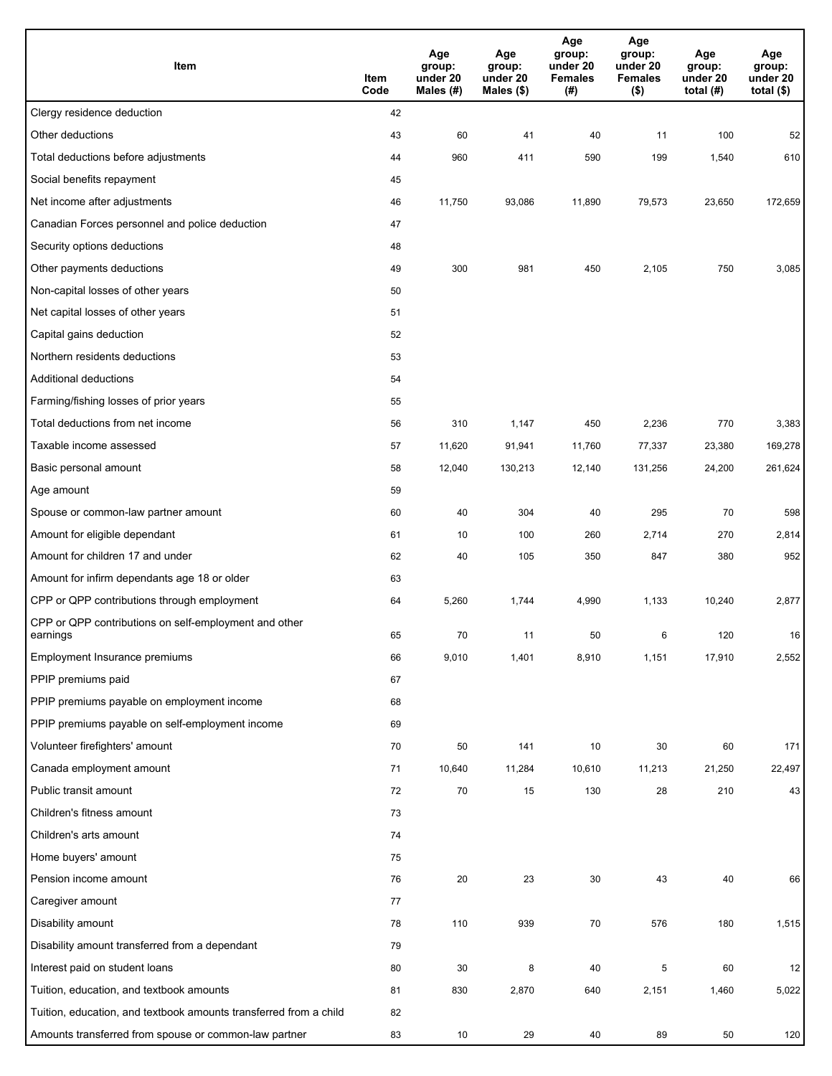| Item                                                              | Item<br>Code | Age<br>group:<br>under 20<br>Males (#) | Age<br>group:<br>under 20<br>Males (\$) | Age<br>group:<br>under 20<br><b>Females</b><br>(# ) | Age<br>group:<br>under 20<br><b>Females</b><br>$($ \$) | Age<br>group:<br>under 20<br>total $(H)$ | Age<br>group:<br>under 20<br>total $($)$ |
|-------------------------------------------------------------------|--------------|----------------------------------------|-----------------------------------------|-----------------------------------------------------|--------------------------------------------------------|------------------------------------------|------------------------------------------|
| Clergy residence deduction                                        | 42           |                                        |                                         |                                                     |                                                        |                                          |                                          |
| Other deductions                                                  | 43           | 60                                     | 41                                      | 40                                                  | 11                                                     | 100                                      | 52                                       |
| Total deductions before adjustments                               | 44           | 960                                    | 411                                     | 590                                                 | 199                                                    | 1,540                                    | 610                                      |
| Social benefits repayment                                         | 45           |                                        |                                         |                                                     |                                                        |                                          |                                          |
| Net income after adjustments                                      | 46           | 11,750                                 | 93,086                                  | 11,890                                              | 79,573                                                 | 23,650                                   | 172,659                                  |
| Canadian Forces personnel and police deduction                    | 47           |                                        |                                         |                                                     |                                                        |                                          |                                          |
| Security options deductions                                       | 48           |                                        |                                         |                                                     |                                                        |                                          |                                          |
| Other payments deductions                                         | 49           | 300                                    | 981                                     | 450                                                 | 2,105                                                  | 750                                      | 3,085                                    |
| Non-capital losses of other years                                 | 50           |                                        |                                         |                                                     |                                                        |                                          |                                          |
| Net capital losses of other years                                 | 51           |                                        |                                         |                                                     |                                                        |                                          |                                          |
| Capital gains deduction                                           | 52           |                                        |                                         |                                                     |                                                        |                                          |                                          |
| Northern residents deductions                                     | 53           |                                        |                                         |                                                     |                                                        |                                          |                                          |
| Additional deductions                                             | 54           |                                        |                                         |                                                     |                                                        |                                          |                                          |
| Farming/fishing losses of prior years                             | 55           |                                        |                                         |                                                     |                                                        |                                          |                                          |
| Total deductions from net income                                  | 56           | 310                                    | 1,147                                   | 450                                                 | 2,236                                                  | 770                                      | 3,383                                    |
| Taxable income assessed                                           | 57           | 11,620                                 | 91,941                                  | 11,760                                              | 77,337                                                 | 23,380                                   | 169,278                                  |
| Basic personal amount                                             | 58           | 12,040                                 | 130,213                                 | 12,140                                              | 131,256                                                | 24,200                                   | 261,624                                  |
| Age amount                                                        | 59           |                                        |                                         |                                                     |                                                        |                                          |                                          |
| Spouse or common-law partner amount                               | 60           | 40                                     | 304                                     | 40                                                  | 295                                                    | 70                                       | 598                                      |
| Amount for eligible dependant                                     | 61           | 10                                     | 100                                     | 260                                                 | 2,714                                                  | 270                                      | 2,814                                    |
| Amount for children 17 and under                                  | 62           | 40                                     | 105                                     | 350                                                 | 847                                                    | 380                                      | 952                                      |
| Amount for infirm dependants age 18 or older                      | 63           |                                        |                                         |                                                     |                                                        |                                          |                                          |
| CPP or QPP contributions through employment                       | 64           | 5,260                                  | 1,744                                   | 4,990                                               | 1,133                                                  | 10,240                                   | 2,877                                    |
| CPP or QPP contributions on self-employment and other             |              |                                        |                                         |                                                     |                                                        |                                          |                                          |
| earnings                                                          | 65           | 70                                     | 11                                      | 50                                                  | 6                                                      | 120                                      | 16                                       |
| Employment Insurance premiums                                     | 66           | 9,010                                  | 1,401                                   | 8,910                                               | 1,151                                                  | 17,910                                   | 2,552                                    |
| PPIP premiums paid                                                | 67           |                                        |                                         |                                                     |                                                        |                                          |                                          |
| PPIP premiums payable on employment income                        | 68           |                                        |                                         |                                                     |                                                        |                                          |                                          |
| PPIP premiums payable on self-employment income                   | 69           |                                        |                                         |                                                     |                                                        |                                          |                                          |
| Volunteer firefighters' amount                                    | 70           | 50                                     | 141                                     | 10                                                  | 30                                                     | 60                                       | 171                                      |
| Canada employment amount                                          | 71           | 10,640                                 | 11,284                                  | 10,610                                              | 11,213                                                 | 21,250                                   | 22,497                                   |
| Public transit amount                                             | 72           | 70                                     | 15                                      | 130                                                 | 28                                                     | 210                                      | 43                                       |
| Children's fitness amount                                         | 73           |                                        |                                         |                                                     |                                                        |                                          |                                          |
| Children's arts amount                                            | 74           |                                        |                                         |                                                     |                                                        |                                          |                                          |
| Home buyers' amount                                               | 75           |                                        |                                         |                                                     |                                                        |                                          |                                          |
| Pension income amount                                             | 76           | $20\,$                                 | 23                                      | 30                                                  | 43                                                     | 40                                       | 66                                       |
| Caregiver amount                                                  | 77           |                                        |                                         |                                                     |                                                        |                                          |                                          |
| Disability amount                                                 | 78           | 110                                    | 939                                     | 70                                                  | 576                                                    | 180                                      | 1,515                                    |
| Disability amount transferred from a dependant                    | 79           |                                        |                                         |                                                     |                                                        |                                          |                                          |
| Interest paid on student loans                                    | 80           | 30                                     | 8                                       | 40                                                  | 5                                                      | 60                                       | 12                                       |
| Tuition, education, and textbook amounts                          | 81           | 830                                    | 2,870                                   | 640                                                 | 2,151                                                  | 1,460                                    | 5,022                                    |
| Tuition, education, and textbook amounts transferred from a child | 82           |                                        |                                         |                                                     |                                                        |                                          |                                          |
| Amounts transferred from spouse or common-law partner             | 83           | 10                                     | 29                                      | 40                                                  | 89                                                     | 50                                       | 120                                      |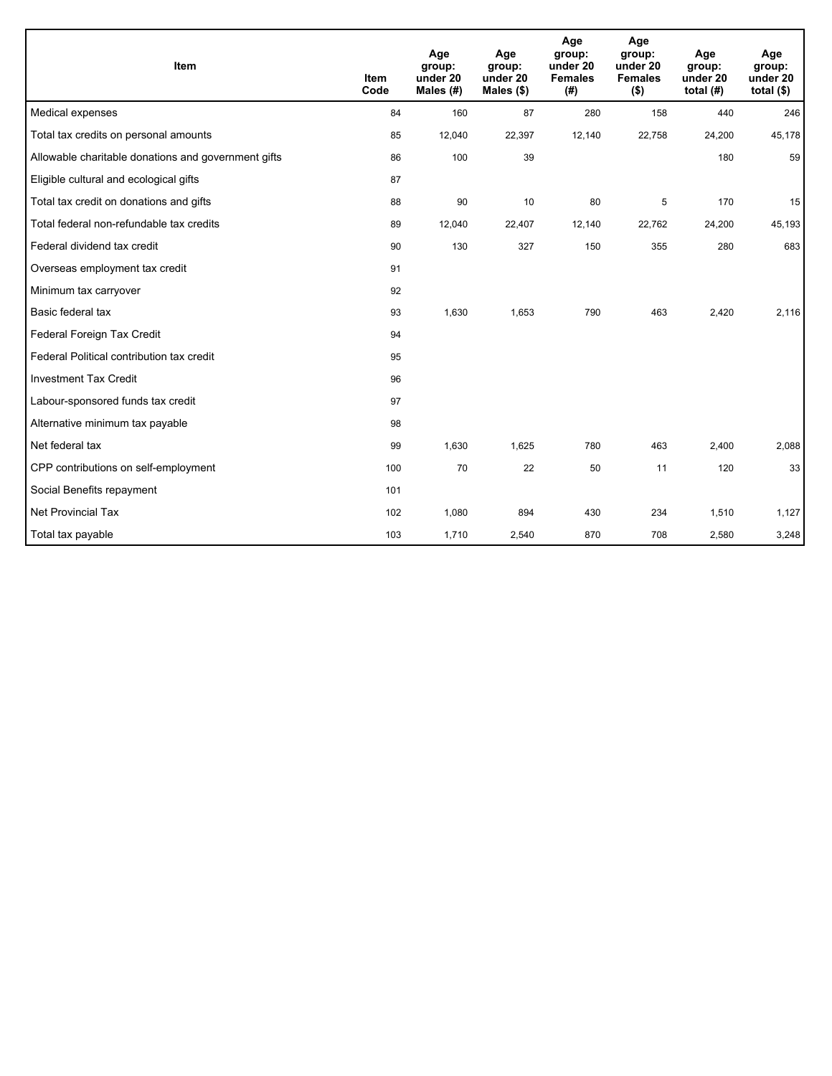| Item                                                | <b>Item</b><br>Code | Age<br>group:<br>under 20<br>Males $(H)$ | Age<br>group:<br>under 20<br>Males $(\$)$ | Age<br>group:<br>under 20<br><b>Females</b><br>(# ) | Age<br>group:<br>under 20<br><b>Females</b><br>$($ \$) | Age<br>group:<br>under 20<br>total $(H)$ | Age<br>group:<br>under 20<br>total $(§)$ |
|-----------------------------------------------------|---------------------|------------------------------------------|-------------------------------------------|-----------------------------------------------------|--------------------------------------------------------|------------------------------------------|------------------------------------------|
| Medical expenses                                    | 84                  | 160                                      | 87                                        | 280                                                 | 158                                                    | 440                                      | 246                                      |
| Total tax credits on personal amounts               | 85                  | 12,040                                   | 22,397                                    | 12,140                                              | 22,758                                                 | 24,200                                   | 45,178                                   |
| Allowable charitable donations and government gifts | 86                  | 100                                      | 39                                        |                                                     |                                                        | 180                                      | 59                                       |
| Eligible cultural and ecological gifts              | 87                  |                                          |                                           |                                                     |                                                        |                                          |                                          |
| Total tax credit on donations and gifts             | 88                  | 90                                       | 10                                        | 80                                                  | 5                                                      | 170                                      | 15                                       |
| Total federal non-refundable tax credits            | 89                  | 12,040                                   | 22,407                                    | 12,140                                              | 22,762                                                 | 24,200                                   | 45,193                                   |
| Federal dividend tax credit                         | 90                  | 130                                      | 327                                       | 150                                                 | 355                                                    | 280                                      | 683                                      |
| Overseas employment tax credit                      | 91                  |                                          |                                           |                                                     |                                                        |                                          |                                          |
| Minimum tax carryover                               | 92                  |                                          |                                           |                                                     |                                                        |                                          |                                          |
| Basic federal tax                                   | 93                  | 1,630                                    | 1,653                                     | 790                                                 | 463                                                    | 2,420                                    | 2,116                                    |
| Federal Foreign Tax Credit                          | 94                  |                                          |                                           |                                                     |                                                        |                                          |                                          |
| Federal Political contribution tax credit           | 95                  |                                          |                                           |                                                     |                                                        |                                          |                                          |
| <b>Investment Tax Credit</b>                        | 96                  |                                          |                                           |                                                     |                                                        |                                          |                                          |
| Labour-sponsored funds tax credit                   | 97                  |                                          |                                           |                                                     |                                                        |                                          |                                          |
| Alternative minimum tax payable                     | 98                  |                                          |                                           |                                                     |                                                        |                                          |                                          |
| Net federal tax                                     | 99                  | 1,630                                    | 1,625                                     | 780                                                 | 463                                                    | 2,400                                    | 2,088                                    |
| CPP contributions on self-employment                | 100                 | 70                                       | 22                                        | 50                                                  | 11                                                     | 120                                      | 33                                       |
| Social Benefits repayment                           | 101                 |                                          |                                           |                                                     |                                                        |                                          |                                          |
| <b>Net Provincial Tax</b>                           | 102                 | 1,080                                    | 894                                       | 430                                                 | 234                                                    | 1,510                                    | 1,127                                    |
| Total tax payable                                   | 103                 | 1,710                                    | 2,540                                     | 870                                                 | 708                                                    | 2,580                                    | 3,248                                    |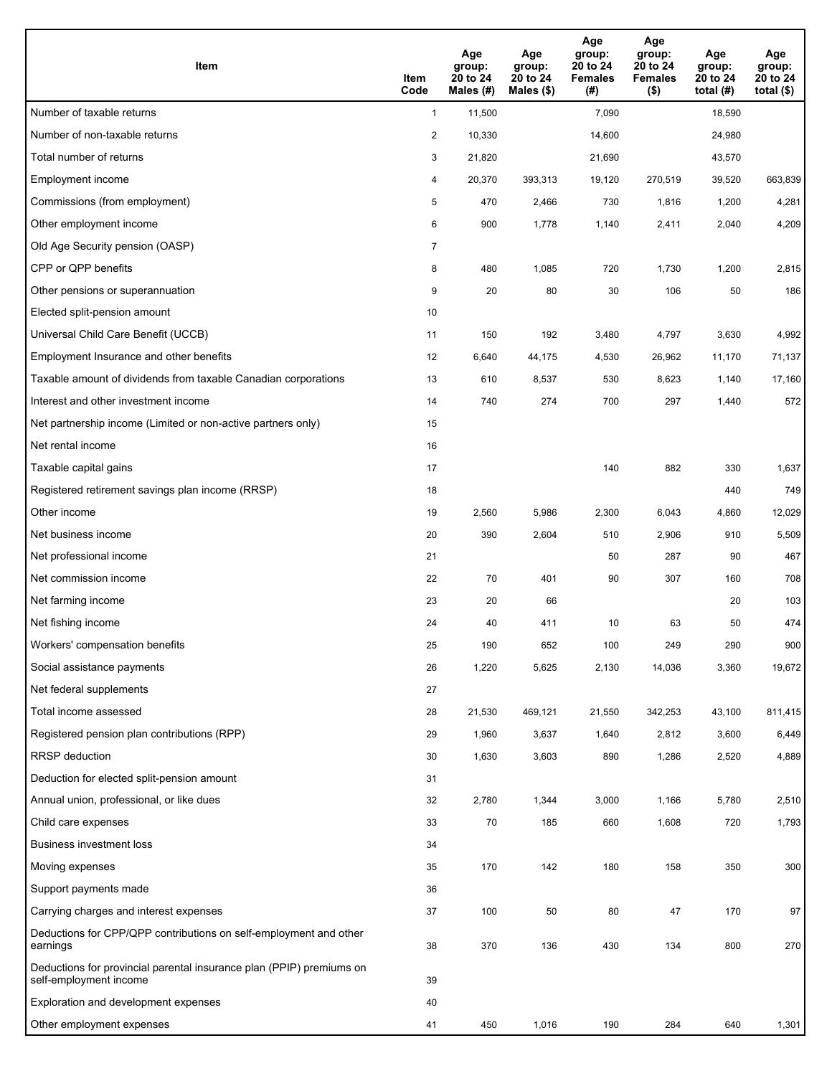| <b>Item</b>                                                                                    | Item<br>Code            | Age<br>group:<br>20 to 24<br>Males (#) | Age<br>group:<br>20 to 24<br>Males (\$) | Age<br>group:<br>20 to 24<br><b>Females</b><br>(#) | Age<br>group:<br>20 to 24<br><b>Females</b><br>$($ \$) | Age<br>group:<br>20 to 24<br>total $(H)$ | Age<br>group:<br>20 to 24<br>total $($)$ |
|------------------------------------------------------------------------------------------------|-------------------------|----------------------------------------|-----------------------------------------|----------------------------------------------------|--------------------------------------------------------|------------------------------------------|------------------------------------------|
| Number of taxable returns                                                                      | $\mathbf{1}$            | 11,500                                 |                                         | 7,090                                              |                                                        | 18,590                                   |                                          |
| Number of non-taxable returns                                                                  | $\overline{\mathbf{c}}$ | 10,330                                 |                                         | 14,600                                             |                                                        | 24,980                                   |                                          |
| Total number of returns                                                                        | 3                       | 21,820                                 |                                         | 21,690                                             |                                                        | 43,570                                   |                                          |
| Employment income                                                                              | 4                       | 20,370                                 | 393,313                                 | 19,120                                             | 270,519                                                | 39,520                                   | 663,839                                  |
| Commissions (from employment)                                                                  | 5                       | 470                                    | 2,466                                   | 730                                                | 1,816                                                  | 1,200                                    | 4,281                                    |
| Other employment income                                                                        | 6                       | 900                                    | 1,778                                   | 1,140                                              | 2,411                                                  | 2,040                                    | 4,209                                    |
| Old Age Security pension (OASP)                                                                | $\overline{7}$          |                                        |                                         |                                                    |                                                        |                                          |                                          |
| CPP or QPP benefits                                                                            | 8                       | 480                                    | 1,085                                   | 720                                                | 1,730                                                  | 1,200                                    | 2,815                                    |
| Other pensions or superannuation                                                               | 9                       | 20                                     | 80                                      | 30                                                 | 106                                                    | 50                                       | 186                                      |
| Elected split-pension amount                                                                   | 10                      |                                        |                                         |                                                    |                                                        |                                          |                                          |
| Universal Child Care Benefit (UCCB)                                                            | 11                      | 150                                    | 192                                     | 3,480                                              | 4,797                                                  | 3,630                                    | 4,992                                    |
| Employment Insurance and other benefits                                                        | 12                      | 6,640                                  | 44,175                                  | 4,530                                              | 26,962                                                 | 11,170                                   | 71,137                                   |
| Taxable amount of dividends from taxable Canadian corporations                                 | 13                      | 610                                    | 8,537                                   | 530                                                | 8,623                                                  | 1,140                                    | 17,160                                   |
| Interest and other investment income                                                           | 14                      | 740                                    | 274                                     | 700                                                | 297                                                    | 1,440                                    | 572                                      |
| Net partnership income (Limited or non-active partners only)                                   | 15                      |                                        |                                         |                                                    |                                                        |                                          |                                          |
| Net rental income                                                                              | 16                      |                                        |                                         |                                                    |                                                        |                                          |                                          |
| Taxable capital gains                                                                          | 17                      |                                        |                                         | 140                                                | 882                                                    | 330                                      | 1,637                                    |
| Registered retirement savings plan income (RRSP)                                               | 18                      |                                        |                                         |                                                    |                                                        | 440                                      | 749                                      |
| Other income                                                                                   | 19                      | 2,560                                  | 5,986                                   | 2,300                                              | 6,043                                                  | 4,860                                    | 12,029                                   |
| Net business income                                                                            | 20                      | 390                                    | 2,604                                   | 510                                                | 2,906                                                  | 910                                      | 5,509                                    |
| Net professional income                                                                        | 21                      |                                        |                                         | 50                                                 | 287                                                    | 90                                       | 467                                      |
| Net commission income                                                                          | 22                      | 70                                     | 401                                     | 90                                                 | 307                                                    | 160                                      | 708                                      |
| Net farming income                                                                             | 23                      | 20                                     | 66                                      |                                                    |                                                        | 20                                       | 103                                      |
| Net fishing income                                                                             | 24                      | 40                                     | 411                                     | 10                                                 | 63                                                     | 50                                       | 474                                      |
| Workers' compensation benefits                                                                 | 25                      | 190                                    | 652                                     | 100                                                | 249                                                    | 290                                      | 900                                      |
| Social assistance payments                                                                     | 26                      | 1,220                                  | 5,625                                   | 2,130                                              | 14,036                                                 | 3,360                                    | 19,672                                   |
| Net federal supplements                                                                        | 27                      |                                        |                                         |                                                    |                                                        |                                          |                                          |
| Total income assessed                                                                          | 28                      | 21,530                                 | 469,121                                 | 21,550                                             | 342,253                                                | 43,100                                   | 811,415                                  |
| Registered pension plan contributions (RPP)                                                    | 29                      | 1,960                                  | 3,637                                   | 1,640                                              | 2,812                                                  | 3,600                                    | 6,449                                    |
| RRSP deduction                                                                                 | 30                      | 1,630                                  | 3,603                                   | 890                                                | 1,286                                                  | 2,520                                    | 4,889                                    |
| Deduction for elected split-pension amount                                                     | 31                      |                                        |                                         |                                                    |                                                        |                                          |                                          |
| Annual union, professional, or like dues                                                       | 32                      | 2,780                                  | 1,344                                   | 3,000                                              | 1,166                                                  | 5,780                                    | 2,510                                    |
| Child care expenses                                                                            | 33                      | 70                                     | 185                                     | 660                                                | 1,608                                                  | 720                                      | 1,793                                    |
| <b>Business investment loss</b>                                                                | 34                      |                                        |                                         |                                                    |                                                        |                                          |                                          |
| Moving expenses                                                                                | 35                      | 170                                    | 142                                     | 180                                                | 158                                                    | 350                                      | 300                                      |
| Support payments made                                                                          | 36                      |                                        |                                         |                                                    |                                                        |                                          |                                          |
| Carrying charges and interest expenses                                                         | 37                      | 100                                    | 50                                      | 80                                                 | 47                                                     | 170                                      | 97                                       |
| Deductions for CPP/QPP contributions on self-employment and other<br>earnings                  | 38                      | 370                                    | 136                                     | 430                                                | 134                                                    | 800                                      | 270                                      |
| Deductions for provincial parental insurance plan (PPIP) premiums on<br>self-employment income | 39                      |                                        |                                         |                                                    |                                                        |                                          |                                          |
| Exploration and development expenses                                                           | 40                      |                                        |                                         |                                                    |                                                        |                                          |                                          |
| Other employment expenses                                                                      | 41                      | 450                                    | 1,016                                   | 190                                                | 284                                                    | 640                                      | 1,301                                    |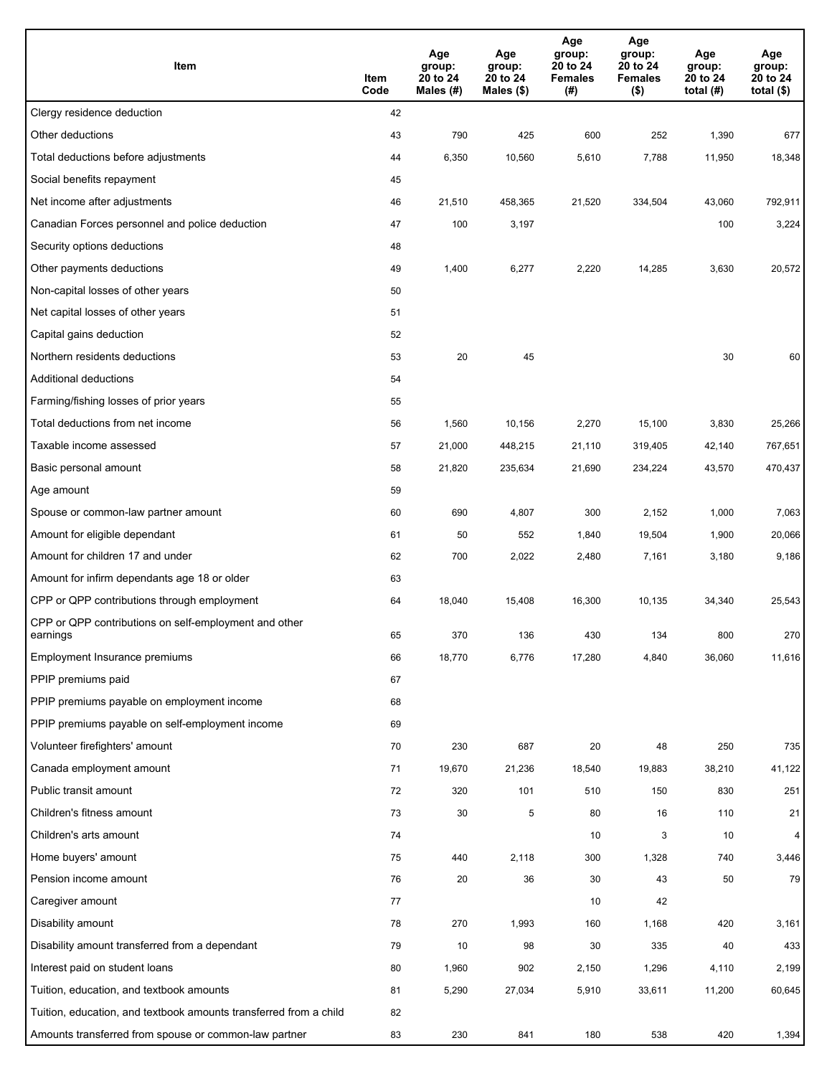| Item                                                              | Item<br>Code | Age<br>group:<br>20 to 24<br>Males (#) | Age<br>group:<br>20 to 24<br>Males (\$) | Age<br>group:<br>20 to 24<br><b>Females</b><br>(#) | Age<br>group:<br>20 to 24<br><b>Females</b><br>$($ \$) | Age<br>group:<br>20 to 24<br>total $(H)$ | Age<br>group:<br>20 to 24<br>total $($)$ |
|-------------------------------------------------------------------|--------------|----------------------------------------|-----------------------------------------|----------------------------------------------------|--------------------------------------------------------|------------------------------------------|------------------------------------------|
| Clergy residence deduction                                        | 42           |                                        |                                         |                                                    |                                                        |                                          |                                          |
| Other deductions                                                  | 43           | 790                                    | 425                                     | 600                                                | 252                                                    | 1,390                                    | 677                                      |
| Total deductions before adjustments                               | 44           | 6,350                                  | 10,560                                  | 5,610                                              | 7,788                                                  | 11,950                                   | 18,348                                   |
| Social benefits repayment                                         | 45           |                                        |                                         |                                                    |                                                        |                                          |                                          |
| Net income after adjustments                                      | 46           | 21,510                                 | 458,365                                 | 21,520                                             | 334,504                                                | 43,060                                   | 792,911                                  |
| Canadian Forces personnel and police deduction                    | 47           | 100                                    | 3,197                                   |                                                    |                                                        | 100                                      | 3,224                                    |
| Security options deductions                                       | 48           |                                        |                                         |                                                    |                                                        |                                          |                                          |
| Other payments deductions                                         | 49           | 1,400                                  | 6,277                                   | 2,220                                              | 14,285                                                 | 3,630                                    | 20,572                                   |
| Non-capital losses of other years                                 | 50           |                                        |                                         |                                                    |                                                        |                                          |                                          |
| Net capital losses of other years                                 | 51           |                                        |                                         |                                                    |                                                        |                                          |                                          |
| Capital gains deduction                                           | 52           |                                        |                                         |                                                    |                                                        |                                          |                                          |
| Northern residents deductions                                     | 53           | 20                                     | 45                                      |                                                    |                                                        | 30                                       | 60                                       |
| Additional deductions                                             | 54           |                                        |                                         |                                                    |                                                        |                                          |                                          |
| Farming/fishing losses of prior years                             | 55           |                                        |                                         |                                                    |                                                        |                                          |                                          |
| Total deductions from net income                                  | 56           | 1,560                                  | 10,156                                  | 2,270                                              | 15,100                                                 | 3,830                                    | 25,266                                   |
| Taxable income assessed                                           | 57           | 21,000                                 | 448,215                                 | 21,110                                             | 319,405                                                | 42,140                                   | 767,651                                  |
| Basic personal amount                                             | 58           | 21,820                                 | 235,634                                 | 21,690                                             | 234,224                                                | 43,570                                   | 470,437                                  |
| Age amount                                                        | 59           |                                        |                                         |                                                    |                                                        |                                          |                                          |
| Spouse or common-law partner amount                               | 60           | 690                                    | 4,807                                   | 300                                                | 2,152                                                  | 1,000                                    | 7,063                                    |
| Amount for eligible dependant                                     | 61           | 50                                     | 552                                     | 1,840                                              | 19,504                                                 | 1,900                                    | 20,066                                   |
| Amount for children 17 and under                                  | 62           | 700                                    | 2,022                                   | 2,480                                              | 7,161                                                  | 3,180                                    | 9,186                                    |
| Amount for infirm dependants age 18 or older                      | 63           |                                        |                                         |                                                    |                                                        |                                          |                                          |
| CPP or QPP contributions through employment                       | 64           | 18,040                                 | 15,408                                  | 16,300                                             | 10,135                                                 | 34,340                                   | 25,543                                   |
| CPP or QPP contributions on self-employment and other<br>earnings | 65           | 370                                    | 136                                     | 430                                                | 134                                                    | 800                                      | 270                                      |
| Employment Insurance premiums                                     | 66           | 18,770                                 | 6,776                                   | 17,280                                             | 4,840                                                  | 36,060                                   | 11,616                                   |
| PPIP premiums paid                                                | 67           |                                        |                                         |                                                    |                                                        |                                          |                                          |
| PPIP premiums payable on employment income                        | 68           |                                        |                                         |                                                    |                                                        |                                          |                                          |
| PPIP premiums payable on self-employment income                   | 69           |                                        |                                         |                                                    |                                                        |                                          |                                          |
| Volunteer firefighters' amount                                    | 70           | 230                                    | 687                                     | 20                                                 | 48                                                     | 250                                      | 735                                      |
| Canada employment amount                                          | 71           | 19,670                                 | 21,236                                  | 18,540                                             | 19,883                                                 | 38,210                                   | 41,122                                   |
| Public transit amount                                             | 72           | 320                                    | 101                                     | 510                                                | 150                                                    | 830                                      | 251                                      |
| Children's fitness amount                                         | 73           | 30                                     | 5                                       | 80                                                 | 16                                                     | 110                                      | 21                                       |
| Children's arts amount                                            | 74           |                                        |                                         | 10                                                 | 3                                                      | 10                                       | 4                                        |
| Home buyers' amount                                               | 75           | 440                                    | 2,118                                   | 300                                                | 1,328                                                  | 740                                      | 3,446                                    |
| Pension income amount                                             | 76           | 20                                     | 36                                      | 30                                                 | 43                                                     | 50                                       | 79                                       |
| Caregiver amount                                                  | 77           |                                        |                                         | 10                                                 | 42                                                     |                                          |                                          |
| Disability amount                                                 | 78           | 270                                    | 1,993                                   | 160                                                | 1,168                                                  | 420                                      | 3,161                                    |
| Disability amount transferred from a dependant                    | 79           | 10                                     | 98                                      | 30                                                 | 335                                                    | 40                                       | 433                                      |
| Interest paid on student loans                                    | 80           | 1,960                                  | 902                                     | 2,150                                              | 1,296                                                  | 4,110                                    | 2,199                                    |
| Tuition, education, and textbook amounts                          | 81           | 5,290                                  | 27,034                                  | 5,910                                              | 33,611                                                 | 11,200                                   | 60,645                                   |
| Tuition, education, and textbook amounts transferred from a child | 82           |                                        |                                         |                                                    |                                                        |                                          |                                          |
| Amounts transferred from spouse or common-law partner             | 83           | 230                                    | 841                                     | 180                                                | 538                                                    | 420                                      | 1,394                                    |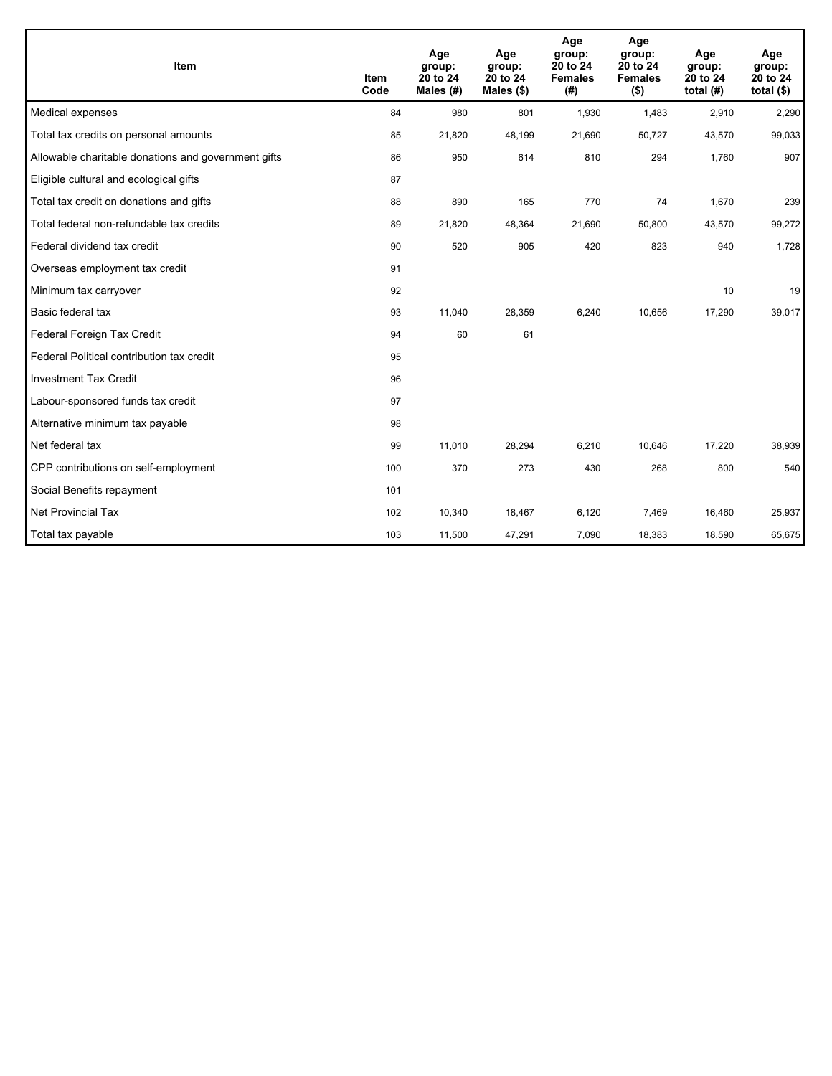| Item                                                | <b>Item</b><br>Code | Age<br>group:<br>20 to 24<br>Males $(H)$ | Age<br>group:<br>20 to 24<br>Males $(\$)$ | Age<br>group:<br>20 to 24<br><b>Females</b><br>(# ) | Age<br>group:<br>20 to 24<br><b>Females</b><br>$($ \$) | Age<br>group:<br>20 to 24<br>total $(H)$ | Age<br>group:<br>20 to 24<br>total $($)$ |
|-----------------------------------------------------|---------------------|------------------------------------------|-------------------------------------------|-----------------------------------------------------|--------------------------------------------------------|------------------------------------------|------------------------------------------|
| Medical expenses                                    | 84                  | 980                                      | 801                                       | 1,930                                               | 1,483                                                  | 2,910                                    | 2,290                                    |
| Total tax credits on personal amounts               | 85                  | 21,820                                   | 48,199                                    | 21,690                                              | 50,727                                                 | 43,570                                   | 99,033                                   |
| Allowable charitable donations and government gifts | 86                  | 950                                      | 614                                       | 810                                                 | 294                                                    | 1,760                                    | 907                                      |
| Eligible cultural and ecological gifts              | 87                  |                                          |                                           |                                                     |                                                        |                                          |                                          |
| Total tax credit on donations and gifts             | 88                  | 890                                      | 165                                       | 770                                                 | 74                                                     | 1,670                                    | 239                                      |
| Total federal non-refundable tax credits            | 89                  | 21,820                                   | 48,364                                    | 21,690                                              | 50,800                                                 | 43,570                                   | 99,272                                   |
| Federal dividend tax credit                         | 90                  | 520                                      | 905                                       | 420                                                 | 823                                                    | 940                                      | 1,728                                    |
| Overseas employment tax credit                      | 91                  |                                          |                                           |                                                     |                                                        |                                          |                                          |
| Minimum tax carryover                               | 92                  |                                          |                                           |                                                     |                                                        | 10                                       | 19                                       |
| Basic federal tax                                   | 93                  | 11,040                                   | 28,359                                    | 6,240                                               | 10,656                                                 | 17,290                                   | 39,017                                   |
| Federal Foreign Tax Credit                          | 94                  | 60                                       | 61                                        |                                                     |                                                        |                                          |                                          |
| Federal Political contribution tax credit           | 95                  |                                          |                                           |                                                     |                                                        |                                          |                                          |
| <b>Investment Tax Credit</b>                        | 96                  |                                          |                                           |                                                     |                                                        |                                          |                                          |
| Labour-sponsored funds tax credit                   | 97                  |                                          |                                           |                                                     |                                                        |                                          |                                          |
| Alternative minimum tax payable                     | 98                  |                                          |                                           |                                                     |                                                        |                                          |                                          |
| Net federal tax                                     | 99                  | 11,010                                   | 28,294                                    | 6.210                                               | 10.646                                                 | 17,220                                   | 38,939                                   |
| CPP contributions on self-employment                | 100                 | 370                                      | 273                                       | 430                                                 | 268                                                    | 800                                      | 540                                      |
| Social Benefits repayment                           | 101                 |                                          |                                           |                                                     |                                                        |                                          |                                          |
| <b>Net Provincial Tax</b>                           | 102                 | 10,340                                   | 18,467                                    | 6,120                                               | 7,469                                                  | 16,460                                   | 25,937                                   |
| Total tax payable                                   | 103                 | 11,500                                   | 47,291                                    | 7,090                                               | 18,383                                                 | 18,590                                   | 65,675                                   |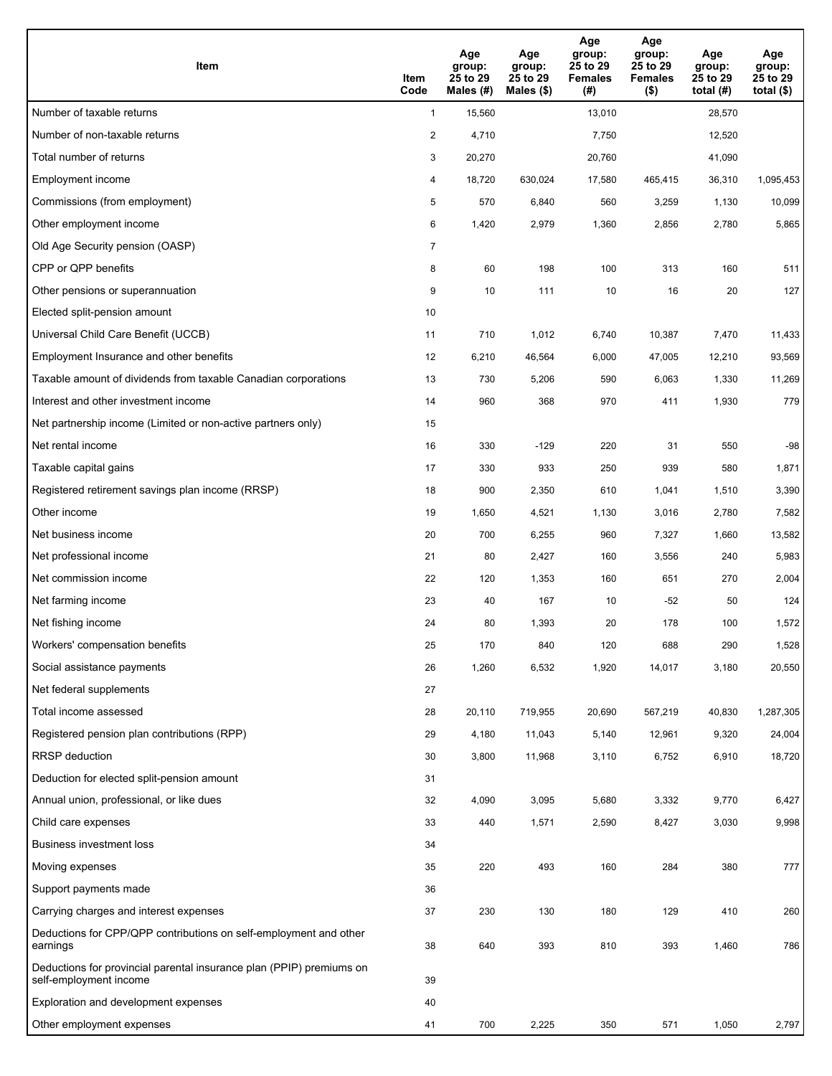| Item                                                                                           | Item<br>Code   | Age<br>group:<br>25 to 29<br>Males $(H)$ | Age<br>group:<br>25 to 29<br>Males (\$) | Age<br>group:<br>25 to 29<br><b>Females</b><br>(# ) | Age<br>group:<br>25 to 29<br><b>Females</b><br>$($ \$) | Age<br>group:<br>25 to 29<br>total $(H)$ | Age<br>group:<br>25 to 29<br>total $($ |
|------------------------------------------------------------------------------------------------|----------------|------------------------------------------|-----------------------------------------|-----------------------------------------------------|--------------------------------------------------------|------------------------------------------|----------------------------------------|
| Number of taxable returns                                                                      | $\mathbf{1}$   | 15,560                                   |                                         | 13,010                                              |                                                        | 28,570                                   |                                        |
| Number of non-taxable returns                                                                  | $\overline{c}$ | 4,710                                    |                                         | 7,750                                               |                                                        | 12,520                                   |                                        |
| Total number of returns                                                                        | 3              | 20,270                                   |                                         | 20,760                                              |                                                        | 41,090                                   |                                        |
| Employment income                                                                              | 4              | 18,720                                   | 630,024                                 | 17,580                                              | 465,415                                                | 36,310                                   | 1,095,453                              |
| Commissions (from employment)                                                                  | 5              | 570                                      | 6,840                                   | 560                                                 | 3,259                                                  | 1,130                                    | 10,099                                 |
| Other employment income                                                                        | 6              | 1,420                                    | 2,979                                   | 1,360                                               | 2,856                                                  | 2,780                                    | 5,865                                  |
| Old Age Security pension (OASP)                                                                | $\overline{7}$ |                                          |                                         |                                                     |                                                        |                                          |                                        |
| CPP or QPP benefits                                                                            | 8              | 60                                       | 198                                     | 100                                                 | 313                                                    | 160                                      | 511                                    |
| Other pensions or superannuation                                                               | 9              | 10                                       | 111                                     | 10                                                  | 16                                                     | 20                                       | 127                                    |
| Elected split-pension amount                                                                   | 10             |                                          |                                         |                                                     |                                                        |                                          |                                        |
| Universal Child Care Benefit (UCCB)                                                            | 11             | 710                                      | 1,012                                   | 6,740                                               | 10,387                                                 | 7,470                                    | 11,433                                 |
| Employment Insurance and other benefits                                                        | 12             | 6,210                                    | 46,564                                  | 6,000                                               | 47,005                                                 | 12,210                                   | 93,569                                 |
| Taxable amount of dividends from taxable Canadian corporations                                 | 13             | 730                                      | 5,206                                   | 590                                                 | 6,063                                                  | 1,330                                    | 11,269                                 |
| Interest and other investment income                                                           | 14             | 960                                      | 368                                     | 970                                                 | 411                                                    | 1,930                                    | 779                                    |
| Net partnership income (Limited or non-active partners only)                                   | 15             |                                          |                                         |                                                     |                                                        |                                          |                                        |
| Net rental income                                                                              | 16             | 330                                      | $-129$                                  | 220                                                 | 31                                                     | 550                                      | $-98$                                  |
| Taxable capital gains                                                                          | 17             | 330                                      | 933                                     | 250                                                 | 939                                                    | 580                                      | 1,871                                  |
| Registered retirement savings plan income (RRSP)                                               | 18             | 900                                      | 2,350                                   | 610                                                 | 1,041                                                  | 1,510                                    | 3,390                                  |
| Other income                                                                                   | 19             | 1,650                                    | 4,521                                   | 1,130                                               | 3,016                                                  | 2,780                                    | 7,582                                  |
| Net business income                                                                            | 20             | 700                                      | 6,255                                   | 960                                                 | 7,327                                                  | 1,660                                    | 13,582                                 |
| Net professional income                                                                        | 21             | 80                                       | 2,427                                   | 160                                                 | 3,556                                                  | 240                                      | 5,983                                  |
| Net commission income                                                                          | 22             | 120                                      | 1,353                                   | 160                                                 | 651                                                    | 270                                      | 2,004                                  |
| Net farming income                                                                             | 23             | 40                                       | 167                                     | 10                                                  | $-52$                                                  | 50                                       | 124                                    |
| Net fishing income                                                                             | 24             | 80                                       | 1,393                                   | 20                                                  | 178                                                    | 100                                      | 1,572                                  |
| Workers' compensation benefits                                                                 | 25             | 170                                      | 840                                     | 120                                                 | 688                                                    | 290                                      | 1,528                                  |
| Social assistance payments                                                                     | 26             | 1,260                                    | 6,532                                   | 1,920                                               | 14,017                                                 | 3,180                                    | 20,550                                 |
| Net federal supplements                                                                        | 27             |                                          |                                         |                                                     |                                                        |                                          |                                        |
| Total income assessed                                                                          | 28             | 20,110                                   | 719,955                                 | 20,690                                              | 567,219                                                | 40,830                                   | 1,287,305                              |
| Registered pension plan contributions (RPP)                                                    | 29             | 4,180                                    | 11,043                                  | 5,140                                               | 12,961                                                 | 9,320                                    | 24,004                                 |
| <b>RRSP</b> deduction                                                                          | 30             | 3,800                                    | 11,968                                  | 3,110                                               | 6,752                                                  | 6,910                                    | 18,720                                 |
| Deduction for elected split-pension amount                                                     | 31             |                                          |                                         |                                                     |                                                        |                                          |                                        |
| Annual union, professional, or like dues                                                       | 32             | 4,090                                    | 3,095                                   | 5,680                                               | 3,332                                                  | 9,770                                    | 6,427                                  |
| Child care expenses                                                                            | 33             | 440                                      | 1,571                                   | 2,590                                               | 8,427                                                  | 3,030                                    | 9,998                                  |
| Business investment loss                                                                       | 34             |                                          |                                         |                                                     |                                                        |                                          |                                        |
| Moving expenses                                                                                | 35             | 220                                      | 493                                     | 160                                                 | 284                                                    | 380                                      | 777                                    |
| Support payments made                                                                          | 36             |                                          |                                         |                                                     |                                                        |                                          |                                        |
| Carrying charges and interest expenses                                                         | 37             | 230                                      | 130                                     | 180                                                 | 129                                                    | 410                                      | 260                                    |
| Deductions for CPP/QPP contributions on self-employment and other<br>earnings                  | 38             | 640                                      | 393                                     | 810                                                 | 393                                                    | 1,460                                    | 786                                    |
| Deductions for provincial parental insurance plan (PPIP) premiums on<br>self-employment income | 39             |                                          |                                         |                                                     |                                                        |                                          |                                        |
| Exploration and development expenses                                                           | 40             |                                          |                                         |                                                     |                                                        |                                          |                                        |
| Other employment expenses                                                                      | 41             | 700                                      | 2,225                                   | 350                                                 | 571                                                    | 1,050                                    | 2,797                                  |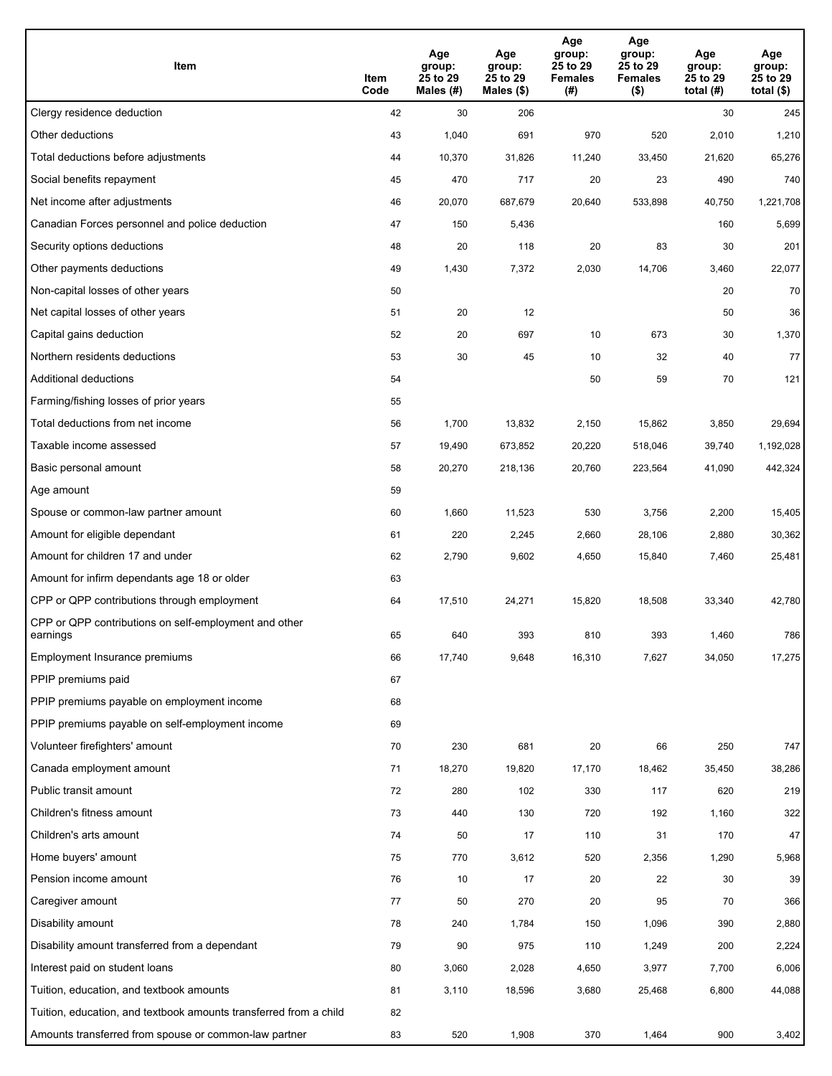| Item                                                              | Item<br>Code | Age<br>group:<br>25 to 29<br>Males (#) | Age<br>group:<br>25 to 29<br>Males (\$) | Age<br>group:<br>25 to 29<br><b>Females</b><br>(#) | Age<br>group:<br>25 to 29<br><b>Females</b><br>$($ \$) | Age<br>group:<br>25 to 29<br>total $(H)$ | Age<br>group:<br>25 to 29<br>total $($)$ |
|-------------------------------------------------------------------|--------------|----------------------------------------|-----------------------------------------|----------------------------------------------------|--------------------------------------------------------|------------------------------------------|------------------------------------------|
| Clergy residence deduction                                        | 42           | 30                                     | 206                                     |                                                    |                                                        | 30                                       | 245                                      |
| Other deductions                                                  | 43           | 1,040                                  | 691                                     | 970                                                | 520                                                    | 2,010                                    | 1,210                                    |
| Total deductions before adjustments                               | 44           | 10,370                                 | 31,826                                  | 11,240                                             | 33,450                                                 | 21,620                                   | 65,276                                   |
| Social benefits repayment                                         | 45           | 470                                    | 717                                     | 20                                                 | 23                                                     | 490                                      | 740                                      |
| Net income after adjustments                                      | 46           | 20,070                                 | 687,679                                 | 20,640                                             | 533,898                                                | 40,750                                   | 1,221,708                                |
| Canadian Forces personnel and police deduction                    | 47           | 150                                    | 5,436                                   |                                                    |                                                        | 160                                      | 5,699                                    |
| Security options deductions                                       | 48           | 20                                     | 118                                     | 20                                                 | 83                                                     | 30                                       | 201                                      |
| Other payments deductions                                         | 49           | 1,430                                  | 7,372                                   | 2,030                                              | 14,706                                                 | 3,460                                    | 22,077                                   |
| Non-capital losses of other years                                 | 50           |                                        |                                         |                                                    |                                                        | 20                                       | 70                                       |
| Net capital losses of other years                                 | 51           | 20                                     | 12                                      |                                                    |                                                        | 50                                       | 36                                       |
| Capital gains deduction                                           | 52           | 20                                     | 697                                     | 10                                                 | 673                                                    | 30                                       | 1,370                                    |
| Northern residents deductions                                     | 53           | 30                                     | 45                                      | 10                                                 | 32                                                     | 40                                       | 77                                       |
| Additional deductions                                             | 54           |                                        |                                         | 50                                                 | 59                                                     | 70                                       | 121                                      |
| Farming/fishing losses of prior years                             | 55           |                                        |                                         |                                                    |                                                        |                                          |                                          |
| Total deductions from net income                                  | 56           | 1,700                                  | 13,832                                  | 2,150                                              | 15,862                                                 | 3,850                                    | 29,694                                   |
| Taxable income assessed                                           | 57           | 19,490                                 | 673,852                                 | 20,220                                             | 518,046                                                | 39,740                                   | 1,192,028                                |
| Basic personal amount                                             | 58           | 20,270                                 | 218,136                                 | 20,760                                             | 223,564                                                | 41,090                                   | 442,324                                  |
| Age amount                                                        | 59           |                                        |                                         |                                                    |                                                        |                                          |                                          |
| Spouse or common-law partner amount                               | 60           | 1,660                                  | 11,523                                  | 530                                                | 3,756                                                  | 2,200                                    | 15,405                                   |
| Amount for eligible dependant                                     | 61           | 220                                    | 2,245                                   | 2,660                                              | 28,106                                                 | 2,880                                    | 30,362                                   |
| Amount for children 17 and under                                  | 62           | 2,790                                  | 9,602                                   | 4,650                                              | 15,840                                                 | 7,460                                    | 25,481                                   |
| Amount for infirm dependants age 18 or older                      | 63           |                                        |                                         |                                                    |                                                        |                                          |                                          |
| CPP or QPP contributions through employment                       | 64           | 17,510                                 | 24,271                                  | 15,820                                             | 18,508                                                 | 33,340                                   | 42,780                                   |
| CPP or QPP contributions on self-employment and other<br>earnings | 65           | 640                                    | 393                                     | 810                                                | 393                                                    | 1,460                                    | 786                                      |
| Employment Insurance premiums                                     | 66           | 17,740                                 | 9,648                                   | 16,310                                             | 7,627                                                  | 34,050                                   | 17,275                                   |
| PPIP premiums paid                                                | 67           |                                        |                                         |                                                    |                                                        |                                          |                                          |
| PPIP premiums payable on employment income                        | 68           |                                        |                                         |                                                    |                                                        |                                          |                                          |
| PPIP premiums payable on self-employment income                   | 69           |                                        |                                         |                                                    |                                                        |                                          |                                          |
| Volunteer firefighters' amount                                    | 70           | 230                                    | 681                                     | 20                                                 | 66                                                     | 250                                      | 747                                      |
| Canada employment amount                                          | 71           | 18,270                                 | 19,820                                  | 17,170                                             | 18,462                                                 | 35,450                                   | 38,286                                   |
| Public transit amount                                             | 72           | 280                                    | 102                                     | 330                                                | 117                                                    | 620                                      | 219                                      |
| Children's fitness amount                                         | 73           | 440                                    | 130                                     | 720                                                | 192                                                    | 1,160                                    | 322                                      |
| Children's arts amount                                            | 74           | 50                                     | 17                                      | 110                                                | 31                                                     | 170                                      | 47                                       |
| Home buyers' amount                                               | 75           | 770                                    | 3,612                                   | 520                                                | 2,356                                                  | 1,290                                    | 5,968                                    |
| Pension income amount                                             | 76           | 10                                     | 17                                      | 20                                                 | 22                                                     | 30                                       | 39                                       |
| Caregiver amount                                                  | 77           | 50                                     | 270                                     | 20                                                 | 95                                                     | 70                                       | 366                                      |
| Disability amount                                                 | 78           | 240                                    | 1,784                                   | 150                                                | 1,096                                                  | 390                                      | 2,880                                    |
| Disability amount transferred from a dependant                    | 79           | 90                                     | 975                                     | 110                                                | 1,249                                                  | 200                                      | 2,224                                    |
| Interest paid on student loans                                    | 80           | 3,060                                  | 2,028                                   | 4,650                                              | 3,977                                                  | 7,700                                    | 6,006                                    |
| Tuition, education, and textbook amounts                          | 81           | 3,110                                  | 18,596                                  | 3,680                                              | 25,468                                                 | 6,800                                    | 44,088                                   |
| Tuition, education, and textbook amounts transferred from a child | 82           |                                        |                                         |                                                    |                                                        |                                          |                                          |
| Amounts transferred from spouse or common-law partner             | 83           | 520                                    | 1,908                                   | 370                                                | 1,464                                                  | 900                                      | 3,402                                    |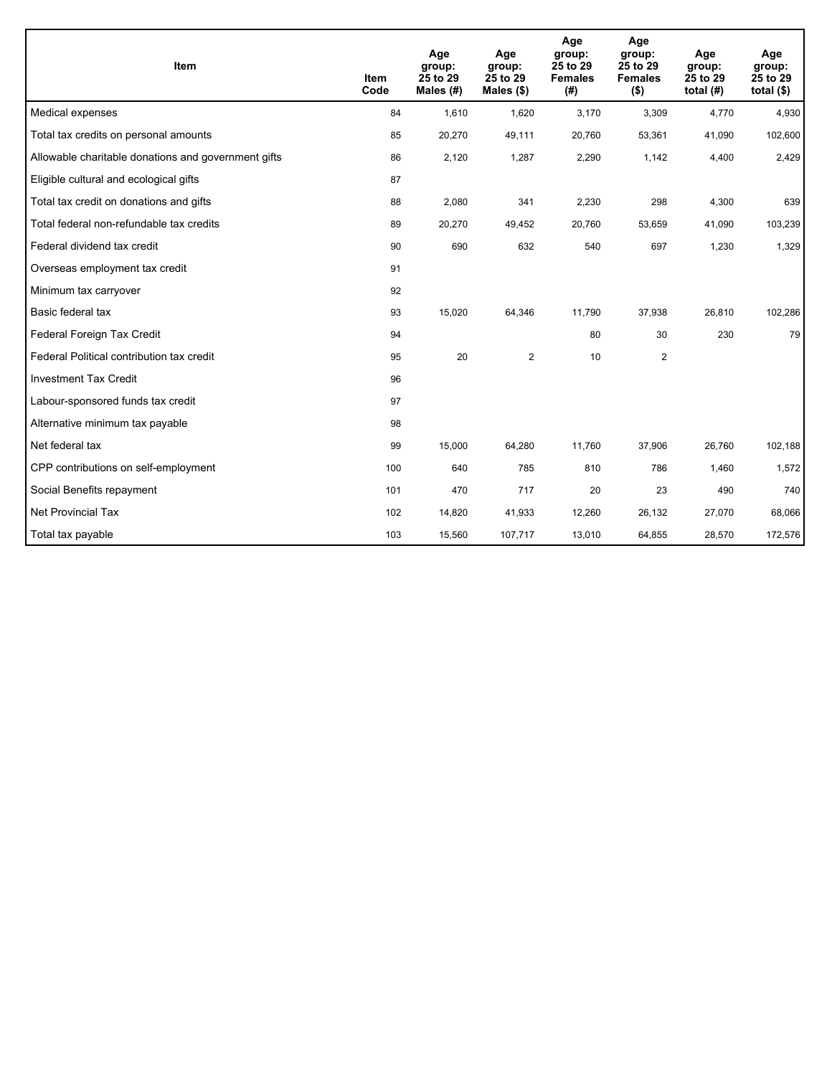| Item                                                | <b>Item</b><br>Code | Age<br>group:<br>25 to 29<br>Males (#) | Age<br>group:<br>25 to 29<br>Males (\$) | Age<br>group:<br>25 to 29<br><b>Females</b><br>(# ) | Age<br>group:<br>25 to 29<br><b>Females</b><br>$($ \$) | Age<br>group:<br>25 to 29<br>total $(H)$ | Age<br>group:<br>25 to 29<br>total $($)$ |
|-----------------------------------------------------|---------------------|----------------------------------------|-----------------------------------------|-----------------------------------------------------|--------------------------------------------------------|------------------------------------------|------------------------------------------|
| Medical expenses                                    | 84                  | 1,610                                  | 1,620                                   | 3,170                                               | 3,309                                                  | 4,770                                    | 4,930                                    |
| Total tax credits on personal amounts               | 85                  | 20,270                                 | 49,111                                  | 20,760                                              | 53,361                                                 | 41,090                                   | 102,600                                  |
| Allowable charitable donations and government gifts | 86                  | 2,120                                  | 1,287                                   | 2,290                                               | 1,142                                                  | 4,400                                    | 2,429                                    |
| Eligible cultural and ecological gifts              | 87                  |                                        |                                         |                                                     |                                                        |                                          |                                          |
| Total tax credit on donations and gifts             | 88                  | 2,080                                  | 341                                     | 2,230                                               | 298                                                    | 4,300                                    | 639                                      |
| Total federal non-refundable tax credits            | 89                  | 20,270                                 | 49,452                                  | 20,760                                              | 53,659                                                 | 41,090                                   | 103,239                                  |
| Federal dividend tax credit                         | 90                  | 690                                    | 632                                     | 540                                                 | 697                                                    | 1,230                                    | 1,329                                    |
| Overseas employment tax credit                      | 91                  |                                        |                                         |                                                     |                                                        |                                          |                                          |
| Minimum tax carryover                               | 92                  |                                        |                                         |                                                     |                                                        |                                          |                                          |
| Basic federal tax                                   | 93                  | 15,020                                 | 64,346                                  | 11,790                                              | 37,938                                                 | 26,810                                   | 102,286                                  |
| Federal Foreign Tax Credit                          | 94                  |                                        |                                         | 80                                                  | 30                                                     | 230                                      | 79                                       |
| Federal Political contribution tax credit           | 95                  | 20                                     | $\overline{2}$                          | 10                                                  | $\mathbf{2}$                                           |                                          |                                          |
| <b>Investment Tax Credit</b>                        | 96                  |                                        |                                         |                                                     |                                                        |                                          |                                          |
| Labour-sponsored funds tax credit                   | 97                  |                                        |                                         |                                                     |                                                        |                                          |                                          |
| Alternative minimum tax payable                     | 98                  |                                        |                                         |                                                     |                                                        |                                          |                                          |
| Net federal tax                                     | 99                  | 15,000                                 | 64,280                                  | 11,760                                              | 37,906                                                 | 26,760                                   | 102,188                                  |
| CPP contributions on self-employment                | 100                 | 640                                    | 785                                     | 810                                                 | 786                                                    | 1,460                                    | 1,572                                    |
| Social Benefits repayment                           | 101                 | 470                                    | 717                                     | 20                                                  | 23                                                     | 490                                      | 740                                      |
| Net Provincial Tax                                  | 102                 | 14,820                                 | 41,933                                  | 12,260                                              | 26,132                                                 | 27,070                                   | 68,066                                   |
| Total tax payable                                   | 103                 | 15,560                                 | 107,717                                 | 13,010                                              | 64,855                                                 | 28,570                                   | 172,576                                  |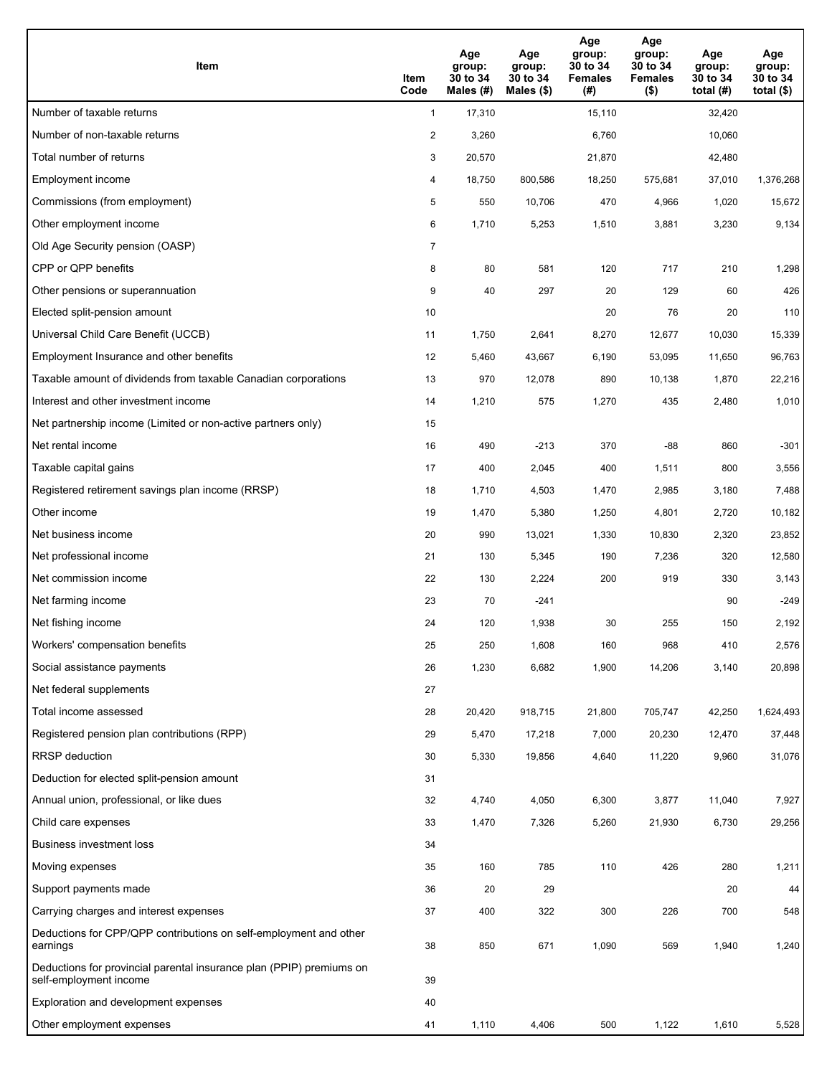| Item                                                                                           | Item<br>Code   | Age<br>group:<br>30 to 34<br>Males (#) | Age<br>group:<br>30 to 34<br>Males $(\$)$ | Age<br>group:<br>30 to 34<br><b>Females</b><br>(#) | Age<br>group:<br>30 to 34<br><b>Females</b><br>$($ \$) | Age<br>group:<br>30 to 34<br>total $(H)$ | Age<br>group:<br>30 to 34<br>total $($)$ |
|------------------------------------------------------------------------------------------------|----------------|----------------------------------------|-------------------------------------------|----------------------------------------------------|--------------------------------------------------------|------------------------------------------|------------------------------------------|
| Number of taxable returns                                                                      | $\mathbf{1}$   | 17,310                                 |                                           | 15,110                                             |                                                        | 32,420                                   |                                          |
| Number of non-taxable returns                                                                  | $\overline{a}$ | 3,260                                  |                                           | 6,760                                              |                                                        | 10,060                                   |                                          |
| Total number of returns                                                                        | 3              | 20,570                                 |                                           | 21,870                                             |                                                        | 42,480                                   |                                          |
| <b>Employment income</b>                                                                       | 4              | 18,750                                 | 800,586                                   | 18,250                                             | 575,681                                                | 37,010                                   | 1,376,268                                |
| Commissions (from employment)                                                                  | 5              | 550                                    | 10,706                                    | 470                                                | 4,966                                                  | 1,020                                    | 15,672                                   |
| Other employment income                                                                        | 6              | 1,710                                  | 5,253                                     | 1,510                                              | 3,881                                                  | 3,230                                    | 9,134                                    |
| Old Age Security pension (OASP)                                                                | $\overline{7}$ |                                        |                                           |                                                    |                                                        |                                          |                                          |
| CPP or QPP benefits                                                                            | 8              | 80                                     | 581                                       | 120                                                | 717                                                    | 210                                      | 1,298                                    |
| Other pensions or superannuation                                                               | 9              | 40                                     | 297                                       | 20                                                 | 129                                                    | 60                                       | 426                                      |
| Elected split-pension amount                                                                   | 10             |                                        |                                           | 20                                                 | 76                                                     | 20                                       | 110                                      |
| Universal Child Care Benefit (UCCB)                                                            | 11             | 1,750                                  | 2,641                                     | 8,270                                              | 12,677                                                 | 10,030                                   | 15,339                                   |
| Employment Insurance and other benefits                                                        | 12             | 5,460                                  | 43,667                                    | 6,190                                              | 53,095                                                 | 11,650                                   | 96,763                                   |
| Taxable amount of dividends from taxable Canadian corporations                                 | 13             | 970                                    | 12,078                                    | 890                                                | 10,138                                                 | 1,870                                    | 22,216                                   |
| Interest and other investment income                                                           | 14             | 1,210                                  | 575                                       | 1,270                                              | 435                                                    | 2,480                                    | 1,010                                    |
| Net partnership income (Limited or non-active partners only)                                   | 15             |                                        |                                           |                                                    |                                                        |                                          |                                          |
| Net rental income                                                                              | 16             | 490                                    | $-213$                                    | 370                                                | $-88$                                                  | 860                                      | $-301$                                   |
| Taxable capital gains                                                                          | 17             | 400                                    | 2,045                                     | 400                                                | 1,511                                                  | 800                                      | 3,556                                    |
| Registered retirement savings plan income (RRSP)                                               | 18             | 1,710                                  | 4,503                                     | 1,470                                              | 2,985                                                  | 3,180                                    | 7,488                                    |
| Other income                                                                                   | 19             | 1,470                                  | 5,380                                     | 1,250                                              | 4,801                                                  | 2,720                                    | 10,182                                   |
| Net business income                                                                            | 20             | 990                                    | 13,021                                    | 1,330                                              | 10,830                                                 | 2,320                                    | 23,852                                   |
| Net professional income                                                                        | 21             | 130                                    | 5,345                                     | 190                                                | 7,236                                                  | 320                                      | 12,580                                   |
| Net commission income                                                                          | 22             | 130                                    | 2,224                                     | 200                                                | 919                                                    | 330                                      | 3,143                                    |
| Net farming income                                                                             | 23             | 70                                     | $-241$                                    |                                                    |                                                        | 90                                       | $-249$                                   |
| Net fishing income                                                                             | 24             | 120                                    | 1,938                                     | 30                                                 | 255                                                    | 150                                      | 2,192                                    |
| Workers' compensation benefits                                                                 | 25             | 250                                    | 1,608                                     | 160                                                | 968                                                    | 410                                      | 2,576                                    |
| Social assistance payments                                                                     | 26             | 1,230                                  | 6,682                                     | 1,900                                              | 14,206                                                 | 3,140                                    | 20,898                                   |
| Net federal supplements                                                                        | 27             |                                        |                                           |                                                    |                                                        |                                          |                                          |
| Total income assessed                                                                          | 28             | 20,420                                 | 918,715                                   | 21,800                                             | 705,747                                                | 42,250                                   | 1,624,493                                |
| Registered pension plan contributions (RPP)                                                    | 29             | 5,470                                  | 17,218                                    | 7,000                                              | 20,230                                                 | 12,470                                   | 37,448                                   |
| RRSP deduction                                                                                 | 30             | 5,330                                  | 19,856                                    | 4,640                                              | 11,220                                                 | 9,960                                    | 31,076                                   |
| Deduction for elected split-pension amount                                                     | 31             |                                        |                                           |                                                    |                                                        |                                          |                                          |
| Annual union, professional, or like dues                                                       | 32             | 4,740                                  | 4,050                                     | 6,300                                              | 3,877                                                  | 11,040                                   | 7,927                                    |
| Child care expenses                                                                            | 33             | 1,470                                  | 7,326                                     | 5,260                                              | 21,930                                                 | 6,730                                    | 29,256                                   |
| Business investment loss                                                                       | 34             |                                        |                                           |                                                    |                                                        |                                          |                                          |
| Moving expenses                                                                                | 35             | 160                                    | 785                                       | 110                                                | 426                                                    | 280                                      | 1,211                                    |
| Support payments made                                                                          | 36             | 20                                     | 29                                        |                                                    |                                                        | 20                                       | 44                                       |
| Carrying charges and interest expenses                                                         | 37             | 400                                    | 322                                       | 300                                                | 226                                                    | 700                                      | 548                                      |
| Deductions for CPP/QPP contributions on self-employment and other<br>earnings                  | 38             | 850                                    | 671                                       | 1,090                                              | 569                                                    | 1,940                                    | 1,240                                    |
| Deductions for provincial parental insurance plan (PPIP) premiums on<br>self-employment income | 39             |                                        |                                           |                                                    |                                                        |                                          |                                          |
| Exploration and development expenses                                                           | 40             |                                        |                                           |                                                    |                                                        |                                          |                                          |
| Other employment expenses                                                                      | 41             | 1,110                                  | 4,406                                     | 500                                                | 1,122                                                  | 1,610                                    | 5,528                                    |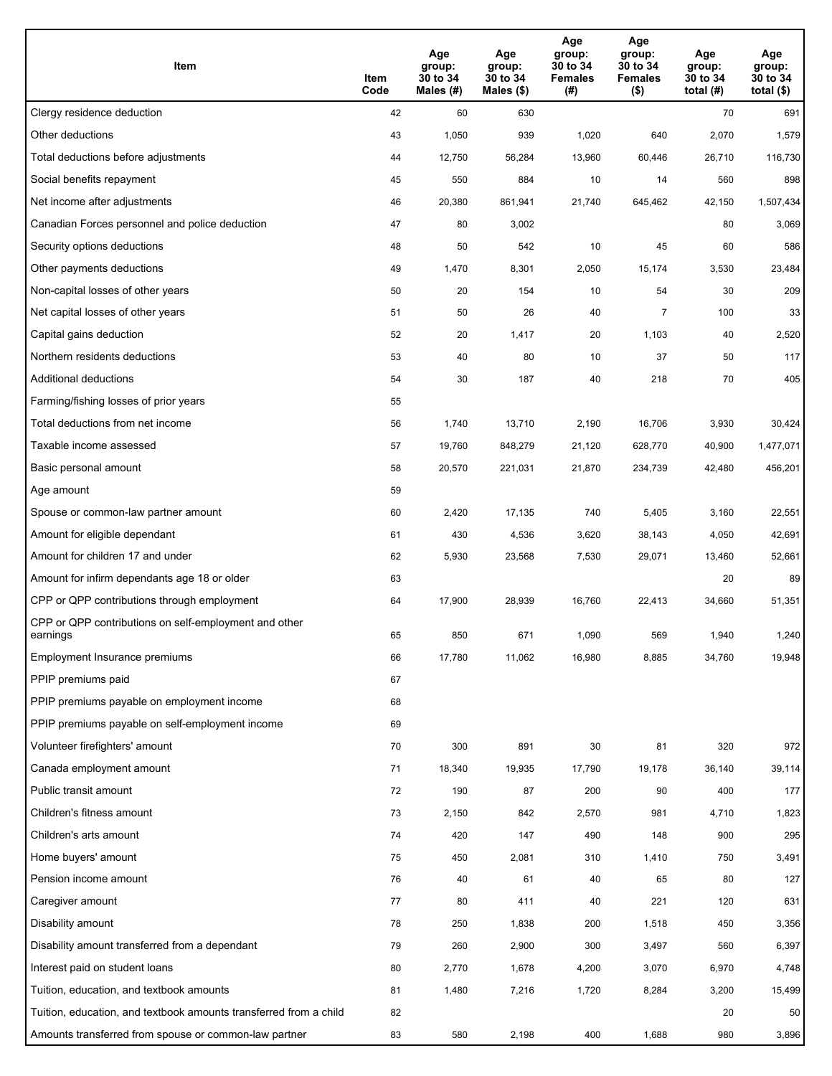| Item                                                              | Item<br>Code | Age<br>group:<br>30 to 34<br>Males (#) | Age<br>group:<br>30 to 34<br>Males (\$) | Age<br>group:<br>30 to 34<br><b>Females</b><br>(#) | Age<br>group:<br>30 to 34<br><b>Females</b><br>$($ \$) | Age<br>group:<br>30 to 34<br>total $(H)$ | Age<br>group:<br>30 to 34<br>total $($)$ |
|-------------------------------------------------------------------|--------------|----------------------------------------|-----------------------------------------|----------------------------------------------------|--------------------------------------------------------|------------------------------------------|------------------------------------------|
| Clergy residence deduction                                        | 42           | 60                                     | 630                                     |                                                    |                                                        | 70                                       | 691                                      |
| Other deductions                                                  | 43           | 1,050                                  | 939                                     | 1,020                                              | 640                                                    | 2,070                                    | 1,579                                    |
| Total deductions before adjustments                               | 44           | 12,750                                 | 56,284                                  | 13,960                                             | 60,446                                                 | 26,710                                   | 116,730                                  |
| Social benefits repayment                                         | 45           | 550                                    | 884                                     | 10                                                 | 14                                                     | 560                                      | 898                                      |
| Net income after adjustments                                      | 46           | 20,380                                 | 861,941                                 | 21,740                                             | 645,462                                                | 42,150                                   | 1,507,434                                |
| Canadian Forces personnel and police deduction                    | 47           | 80                                     | 3,002                                   |                                                    |                                                        | 80                                       | 3,069                                    |
| Security options deductions                                       | 48           | 50                                     | 542                                     | 10                                                 | 45                                                     | 60                                       | 586                                      |
| Other payments deductions                                         | 49           | 1,470                                  | 8,301                                   | 2,050                                              | 15,174                                                 | 3,530                                    | 23,484                                   |
| Non-capital losses of other years                                 | 50           | 20                                     | 154                                     | 10                                                 | 54                                                     | 30                                       | 209                                      |
| Net capital losses of other years                                 | 51           | 50                                     | 26                                      | 40                                                 | $\overline{7}$                                         | 100                                      | 33                                       |
| Capital gains deduction                                           | 52           | 20                                     | 1,417                                   | 20                                                 | 1,103                                                  | 40                                       | 2,520                                    |
| Northern residents deductions                                     | 53           | 40                                     | 80                                      | 10                                                 | 37                                                     | 50                                       | 117                                      |
| Additional deductions                                             | 54           | 30                                     | 187                                     | 40                                                 | 218                                                    | 70                                       | 405                                      |
| Farming/fishing losses of prior years                             | 55           |                                        |                                         |                                                    |                                                        |                                          |                                          |
| Total deductions from net income                                  | 56           | 1,740                                  | 13,710                                  | 2,190                                              | 16,706                                                 | 3,930                                    | 30,424                                   |
| Taxable income assessed                                           | 57           | 19,760                                 | 848,279                                 | 21,120                                             | 628,770                                                | 40,900                                   | 1,477,071                                |
| Basic personal amount                                             | 58           | 20,570                                 | 221,031                                 | 21,870                                             | 234,739                                                | 42,480                                   | 456,201                                  |
| Age amount                                                        | 59           |                                        |                                         |                                                    |                                                        |                                          |                                          |
| Spouse or common-law partner amount                               | 60           | 2,420                                  | 17,135                                  | 740                                                | 5,405                                                  | 3,160                                    | 22,551                                   |
| Amount for eligible dependant                                     | 61           | 430                                    | 4,536                                   | 3,620                                              | 38,143                                                 | 4,050                                    | 42,691                                   |
| Amount for children 17 and under                                  | 62           | 5,930                                  | 23,568                                  | 7,530                                              | 29,071                                                 | 13,460                                   | 52,661                                   |
| Amount for infirm dependants age 18 or older                      | 63           |                                        |                                         |                                                    |                                                        | 20                                       | 89                                       |
| CPP or QPP contributions through employment                       | 64           | 17,900                                 | 28,939                                  | 16,760                                             | 22,413                                                 | 34,660                                   | 51,351                                   |
| CPP or QPP contributions on self-employment and other<br>earnings | 65           | 850                                    | 671                                     | 1,090                                              | 569                                                    | 1,940                                    | 1,240                                    |
| Employment Insurance premiums                                     | 66           | 17,780                                 | 11,062                                  | 16,980                                             | 8,885                                                  | 34,760                                   | 19,948                                   |
| PPIP premiums paid                                                | 67           |                                        |                                         |                                                    |                                                        |                                          |                                          |
| PPIP premiums payable on employment income                        | 68           |                                        |                                         |                                                    |                                                        |                                          |                                          |
| PPIP premiums payable on self-employment income                   | 69           |                                        |                                         |                                                    |                                                        |                                          |                                          |
| Volunteer firefighters' amount                                    | 70           | 300                                    | 891                                     | 30                                                 | 81                                                     | 320                                      | 972                                      |
| Canada employment amount                                          | 71           | 18,340                                 | 19,935                                  | 17,790                                             | 19,178                                                 | 36,140                                   | 39,114                                   |
| Public transit amount                                             | 72           | 190                                    | 87                                      | 200                                                | 90                                                     | 400                                      | 177                                      |
| Children's fitness amount                                         | 73           | 2,150                                  | 842                                     | 2,570                                              | 981                                                    | 4,710                                    | 1,823                                    |
| Children's arts amount                                            | 74           | 420                                    | 147                                     | 490                                                | 148                                                    | 900                                      | 295                                      |
| Home buyers' amount                                               | 75           | 450                                    | 2,081                                   | 310                                                | 1,410                                                  | 750                                      | 3,491                                    |
| Pension income amount                                             | 76           | 40                                     | 61                                      | 40                                                 | 65                                                     | 80                                       | 127                                      |
| Caregiver amount                                                  | 77           | 80                                     | 411                                     | 40                                                 | 221                                                    | 120                                      | 631                                      |
| Disability amount                                                 | 78           | 250                                    | 1,838                                   | 200                                                | 1,518                                                  | 450                                      | 3,356                                    |
| Disability amount transferred from a dependant                    | 79           | 260                                    | 2,900                                   | 300                                                | 3,497                                                  | 560                                      | 6,397                                    |
| Interest paid on student loans                                    | 80           | 2,770                                  | 1,678                                   | 4,200                                              | 3,070                                                  | 6,970                                    | 4,748                                    |
| Tuition, education, and textbook amounts                          | 81           | 1,480                                  | 7,216                                   | 1,720                                              | 8,284                                                  | 3,200                                    | 15,499                                   |
| Tuition, education, and textbook amounts transferred from a child | 82           |                                        |                                         |                                                    |                                                        | 20                                       | 50                                       |
| Amounts transferred from spouse or common-law partner             | 83           | 580                                    | 2,198                                   | 400                                                | 1,688                                                  | 980                                      | 3,896                                    |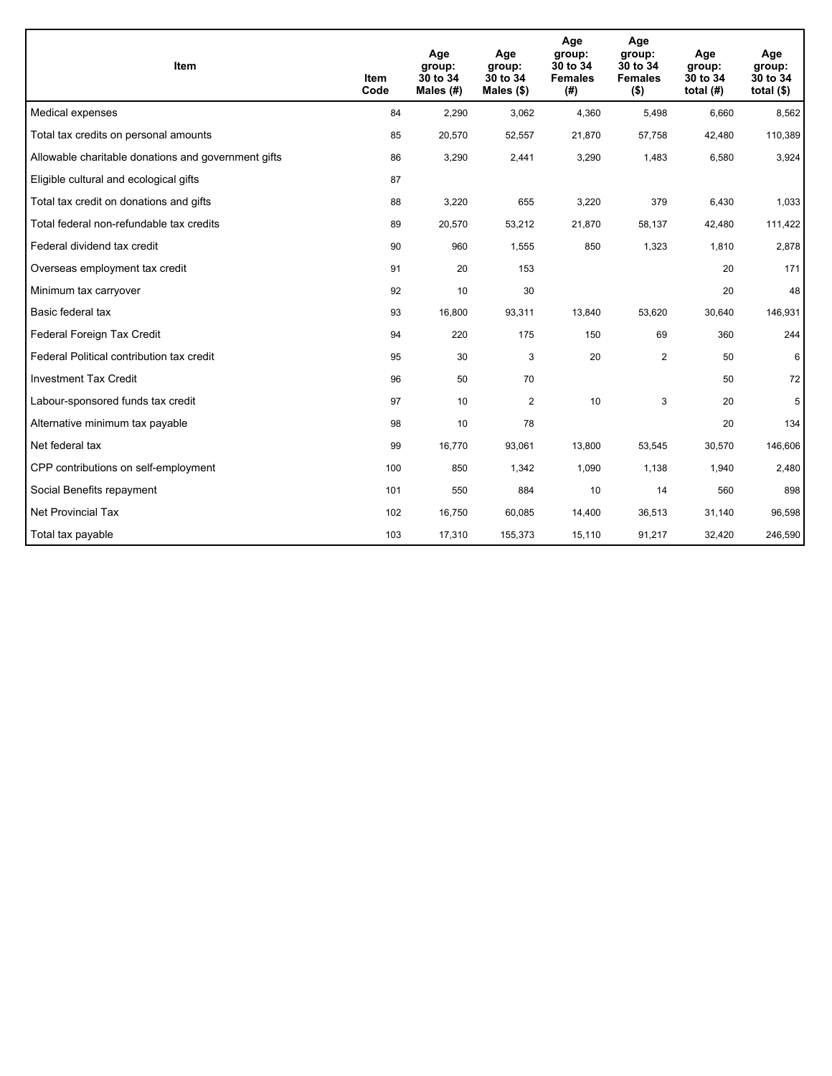| <b>Item</b>                                         | Item<br>Code | Age<br>group:<br>30 to 34<br>Males (#) | Age<br>group:<br>30 to 34<br>Males $(\$)$ | Age<br>group:<br>30 to 34<br><b>Females</b><br>(#) | Age<br>group:<br>30 to 34<br><b>Females</b><br>$($ \$) | Age<br>group:<br>30 to 34<br>total $(H)$ | Age<br>group:<br>30 to 34<br>total $($)$ |
|-----------------------------------------------------|--------------|----------------------------------------|-------------------------------------------|----------------------------------------------------|--------------------------------------------------------|------------------------------------------|------------------------------------------|
| Medical expenses                                    | 84           | 2,290                                  | 3,062                                     | 4,360                                              | 5,498                                                  | 6,660                                    | 8,562                                    |
| Total tax credits on personal amounts               | 85           | 20,570                                 | 52,557                                    | 21,870                                             | 57,758                                                 | 42,480                                   | 110,389                                  |
| Allowable charitable donations and government gifts | 86           | 3,290                                  | 2,441                                     | 3,290                                              | 1,483                                                  | 6,580                                    | 3,924                                    |
| Eligible cultural and ecological gifts              | 87           |                                        |                                           |                                                    |                                                        |                                          |                                          |
| Total tax credit on donations and gifts             | 88           | 3,220                                  | 655                                       | 3,220                                              | 379                                                    | 6,430                                    | 1,033                                    |
| Total federal non-refundable tax credits            | 89           | 20,570                                 | 53,212                                    | 21,870                                             | 58,137                                                 | 42,480                                   | 111,422                                  |
| Federal dividend tax credit                         | 90           | 960                                    | 1,555                                     | 850                                                | 1,323                                                  | 1,810                                    | 2,878                                    |
| Overseas employment tax credit                      | 91           | 20                                     | 153                                       |                                                    |                                                        | 20                                       | 171                                      |
| Minimum tax carryover                               | 92           | 10                                     | 30                                        |                                                    |                                                        | 20                                       | 48                                       |
| Basic federal tax                                   | 93           | 16,800                                 | 93,311                                    | 13,840                                             | 53,620                                                 | 30,640                                   | 146,931                                  |
| Federal Foreign Tax Credit                          | 94           | 220                                    | 175                                       | 150                                                | 69                                                     | 360                                      | 244                                      |
| Federal Political contribution tax credit           | 95           | 30                                     | 3                                         | 20                                                 | $\mathbf{2}$                                           | 50                                       | 6                                        |
| <b>Investment Tax Credit</b>                        | 96           | 50                                     | 70                                        |                                                    |                                                        | 50                                       | 72                                       |
| Labour-sponsored funds tax credit                   | 97           | 10                                     | 2                                         | 10                                                 | 3                                                      | 20                                       | 5                                        |
| Alternative minimum tax payable                     | 98           | 10                                     | 78                                        |                                                    |                                                        | 20                                       | 134                                      |
| Net federal tax                                     | 99           | 16,770                                 | 93,061                                    | 13,800                                             | 53,545                                                 | 30,570                                   | 146,606                                  |
| CPP contributions on self-employment                | 100          | 850                                    | 1,342                                     | 1,090                                              | 1,138                                                  | 1,940                                    | 2,480                                    |
| Social Benefits repayment                           | 101          | 550                                    | 884                                       | 10                                                 | 14                                                     | 560                                      | 898                                      |
| <b>Net Provincial Tax</b>                           | 102          | 16,750                                 | 60,085                                    | 14,400                                             | 36,513                                                 | 31,140                                   | 96,598                                   |
| Total tax payable                                   | 103          | 17,310                                 | 155,373                                   | 15,110                                             | 91,217                                                 | 32,420                                   | 246,590                                  |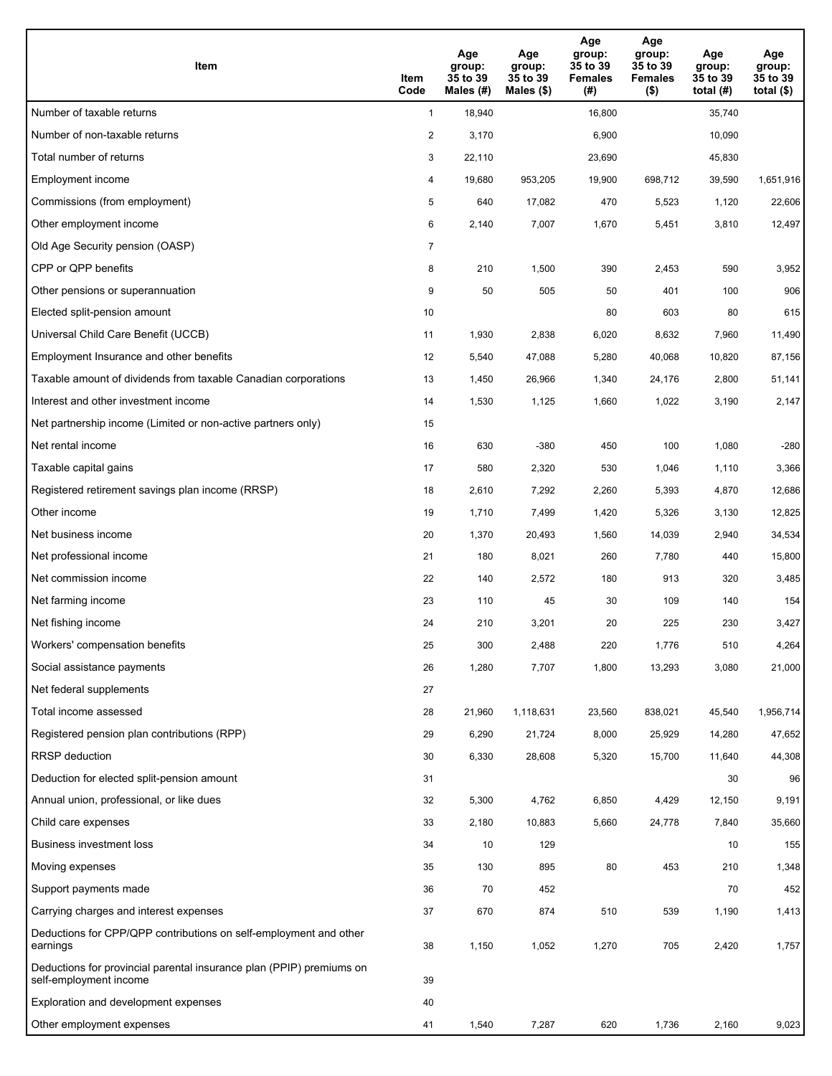| Item                                                                                           | Item<br>Code   | Age<br>group:<br>35 to 39<br>Males (#) | Age<br>group:<br>35 to 39<br>Males $(\$)$ | Age<br>group:<br>35 to 39<br><b>Females</b><br>(#) | Age<br>group:<br>35 to 39<br><b>Females</b><br>$($ \$) | Age<br>group:<br>35 to 39<br>total $(H)$ | Age<br>group:<br>35 to 39<br>total $($)$ |
|------------------------------------------------------------------------------------------------|----------------|----------------------------------------|-------------------------------------------|----------------------------------------------------|--------------------------------------------------------|------------------------------------------|------------------------------------------|
| Number of taxable returns                                                                      | $\mathbf{1}$   | 18,940                                 |                                           | 16,800                                             |                                                        | 35,740                                   |                                          |
| Number of non-taxable returns                                                                  | $\overline{c}$ | 3,170                                  |                                           | 6,900                                              |                                                        | 10,090                                   |                                          |
| Total number of returns                                                                        | 3              | 22,110                                 |                                           | 23,690                                             |                                                        | 45,830                                   |                                          |
| Employment income                                                                              | 4              | 19,680                                 | 953,205                                   | 19,900                                             | 698,712                                                | 39,590                                   | 1,651,916                                |
| Commissions (from employment)                                                                  | 5              | 640                                    | 17,082                                    | 470                                                | 5,523                                                  | 1,120                                    | 22,606                                   |
| Other employment income                                                                        | 6              | 2,140                                  | 7,007                                     | 1,670                                              | 5,451                                                  | 3,810                                    | 12,497                                   |
| Old Age Security pension (OASP)                                                                | $\overline{7}$ |                                        |                                           |                                                    |                                                        |                                          |                                          |
| CPP or QPP benefits                                                                            | 8              | 210                                    | 1,500                                     | 390                                                | 2,453                                                  | 590                                      | 3,952                                    |
| Other pensions or superannuation                                                               | 9              | 50                                     | 505                                       | 50                                                 | 401                                                    | 100                                      | 906                                      |
| Elected split-pension amount                                                                   | 10             |                                        |                                           | 80                                                 | 603                                                    | 80                                       | 615                                      |
| Universal Child Care Benefit (UCCB)                                                            | 11             | 1,930                                  | 2,838                                     | 6,020                                              | 8,632                                                  | 7,960                                    | 11,490                                   |
| Employment Insurance and other benefits                                                        | 12             | 5,540                                  | 47,088                                    | 5,280                                              | 40,068                                                 | 10,820                                   | 87,156                                   |
| Taxable amount of dividends from taxable Canadian corporations                                 | 13             | 1,450                                  | 26,966                                    | 1,340                                              | 24,176                                                 | 2,800                                    | 51,141                                   |
| Interest and other investment income                                                           | 14             | 1,530                                  | 1,125                                     | 1,660                                              | 1,022                                                  | 3,190                                    | 2,147                                    |
| Net partnership income (Limited or non-active partners only)                                   | 15             |                                        |                                           |                                                    |                                                        |                                          |                                          |
| Net rental income                                                                              | 16             | 630                                    | $-380$                                    | 450                                                | 100                                                    | 1,080                                    | $-280$                                   |
| Taxable capital gains                                                                          | 17             | 580                                    | 2,320                                     | 530                                                | 1,046                                                  | 1,110                                    | 3,366                                    |
| Registered retirement savings plan income (RRSP)                                               | 18             | 2,610                                  | 7,292                                     | 2,260                                              | 5,393                                                  | 4,870                                    | 12,686                                   |
| Other income                                                                                   | 19             | 1,710                                  | 7,499                                     | 1,420                                              | 5,326                                                  | 3,130                                    | 12,825                                   |
| Net business income                                                                            | 20             | 1,370                                  | 20,493                                    | 1,560                                              | 14,039                                                 | 2,940                                    | 34,534                                   |
| Net professional income                                                                        | 21             | 180                                    | 8,021                                     | 260                                                | 7,780                                                  | 440                                      | 15,800                                   |
| Net commission income                                                                          | 22             | 140                                    | 2,572                                     | 180                                                | 913                                                    | 320                                      | 3,485                                    |
| Net farming income                                                                             | 23             | 110                                    | 45                                        | 30                                                 | 109                                                    | 140                                      | 154                                      |
| Net fishing income                                                                             | 24             | 210                                    | 3,201                                     | 20                                                 | 225                                                    | 230                                      | 3,427                                    |
| Workers' compensation benefits                                                                 | 25             | 300                                    | 2,488                                     | 220                                                | 1,776                                                  | 510                                      | 4,264                                    |
| Social assistance payments                                                                     | 26             | 1,280                                  | 7,707                                     | 1,800                                              | 13,293                                                 | 3,080                                    | 21,000                                   |
| Net federal supplements                                                                        | 27             |                                        |                                           |                                                    |                                                        |                                          |                                          |
| Total income assessed                                                                          | 28             | 21,960                                 | 1,118,631                                 | 23,560                                             | 838,021                                                | 45,540                                   | 1,956,714                                |
| Registered pension plan contributions (RPP)                                                    | 29             | 6,290                                  | 21,724                                    | 8,000                                              | 25,929                                                 | 14,280                                   | 47,652                                   |
| RRSP deduction                                                                                 | 30             | 6,330                                  | 28,608                                    | 5,320                                              | 15,700                                                 | 11,640                                   | 44,308                                   |
| Deduction for elected split-pension amount                                                     | 31             |                                        |                                           |                                                    |                                                        | 30                                       | 96                                       |
| Annual union, professional, or like dues                                                       | 32             | 5,300                                  | 4,762                                     | 6,850                                              | 4,429                                                  | 12,150                                   | 9,191                                    |
| Child care expenses                                                                            | 33             | 2,180                                  | 10,883                                    | 5,660                                              | 24,778                                                 | 7,840                                    | 35,660                                   |
| <b>Business investment loss</b>                                                                | 34             | 10                                     | 129                                       |                                                    |                                                        | 10                                       | 155                                      |
| Moving expenses                                                                                | 35             | 130                                    | 895                                       | 80                                                 | 453                                                    | 210                                      | 1,348                                    |
| Support payments made                                                                          | 36             | 70                                     | 452                                       |                                                    |                                                        | 70                                       | 452                                      |
| Carrying charges and interest expenses                                                         | 37             | 670                                    | 874                                       | 510                                                | 539                                                    | 1,190                                    | 1,413                                    |
| Deductions for CPP/QPP contributions on self-employment and other<br>earnings                  | 38             | 1,150                                  | 1,052                                     | 1,270                                              | 705                                                    | 2,420                                    | 1,757                                    |
| Deductions for provincial parental insurance plan (PPIP) premiums on<br>self-employment income | 39             |                                        |                                           |                                                    |                                                        |                                          |                                          |
| Exploration and development expenses                                                           | 40             |                                        |                                           |                                                    |                                                        |                                          |                                          |
| Other employment expenses                                                                      | 41             | 1,540                                  | 7,287                                     | 620                                                | 1,736                                                  | 2,160                                    | 9,023                                    |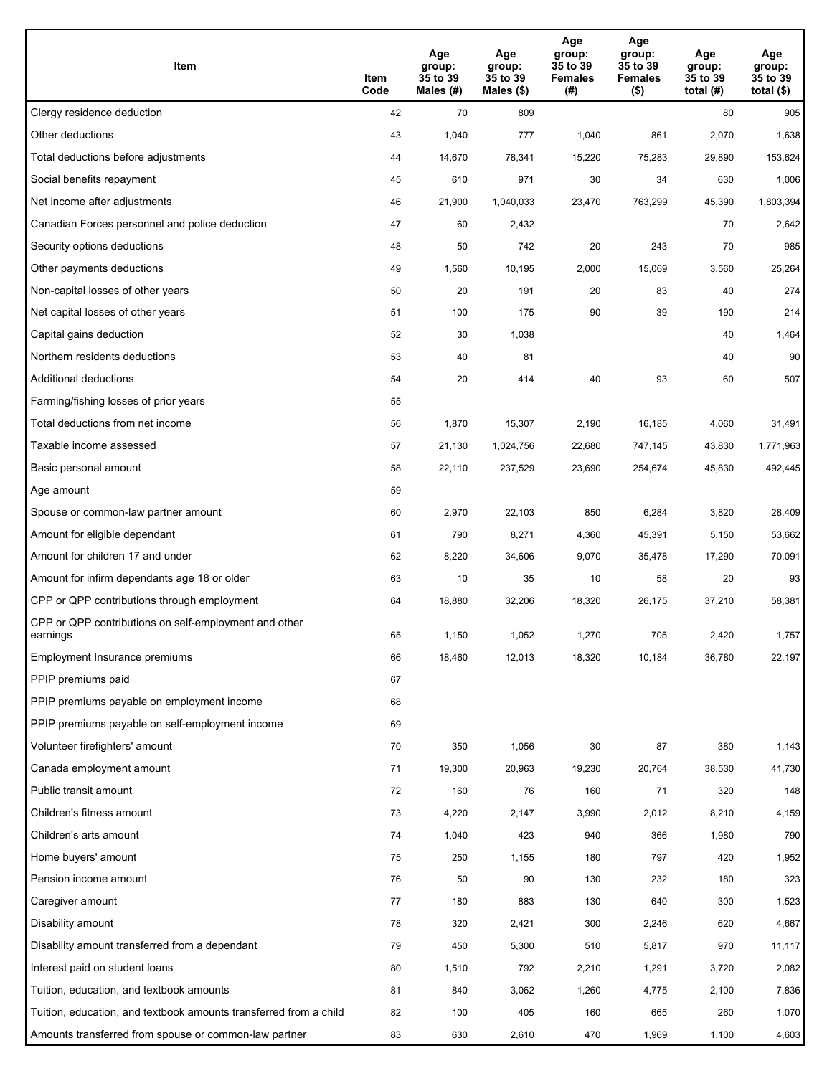| Item                                                              | Item<br>Code | Age<br>group:<br>35 to 39<br>Males (#) | Age<br>group:<br>35 to 39<br>Males (\$) | Age<br>group:<br>35 to 39<br><b>Females</b><br>(#) | Age<br>group:<br>35 to 39<br><b>Females</b><br>$($ \$) | Age<br>group:<br>35 to 39<br>total $(H)$ | Age<br>group:<br>35 to 39<br>total $($)$ |
|-------------------------------------------------------------------|--------------|----------------------------------------|-----------------------------------------|----------------------------------------------------|--------------------------------------------------------|------------------------------------------|------------------------------------------|
| Clergy residence deduction                                        | 42           | 70                                     | 809                                     |                                                    |                                                        | 80                                       | 905                                      |
| Other deductions                                                  | 43           | 1,040                                  | 777                                     | 1,040                                              | 861                                                    | 2,070                                    | 1,638                                    |
| Total deductions before adjustments                               | 44           | 14,670                                 | 78,341                                  | 15,220                                             | 75,283                                                 | 29,890                                   | 153,624                                  |
| Social benefits repayment                                         | 45           | 610                                    | 971                                     | 30                                                 | 34                                                     | 630                                      | 1,006                                    |
| Net income after adjustments                                      | 46           | 21,900                                 | 1,040,033                               | 23,470                                             | 763,299                                                | 45,390                                   | 1,803,394                                |
| Canadian Forces personnel and police deduction                    | 47           | 60                                     | 2,432                                   |                                                    |                                                        | 70                                       | 2,642                                    |
| Security options deductions                                       | 48           | 50                                     | 742                                     | 20                                                 | 243                                                    | 70                                       | 985                                      |
| Other payments deductions                                         | 49           | 1,560                                  | 10,195                                  | 2,000                                              | 15,069                                                 | 3,560                                    | 25,264                                   |
| Non-capital losses of other years                                 | 50           | 20                                     | 191                                     | 20                                                 | 83                                                     | 40                                       | 274                                      |
| Net capital losses of other years                                 | 51           | 100                                    | 175                                     | 90                                                 | 39                                                     | 190                                      | 214                                      |
| Capital gains deduction                                           | 52           | 30                                     | 1,038                                   |                                                    |                                                        | 40                                       | 1,464                                    |
| Northern residents deductions                                     | 53           | 40                                     | 81                                      |                                                    |                                                        | 40                                       | 90                                       |
| Additional deductions                                             | 54           | 20                                     | 414                                     | 40                                                 | 93                                                     | 60                                       | 507                                      |
| Farming/fishing losses of prior years                             | 55           |                                        |                                         |                                                    |                                                        |                                          |                                          |
| Total deductions from net income                                  | 56           | 1,870                                  | 15,307                                  | 2,190                                              | 16,185                                                 | 4,060                                    | 31,491                                   |
| Taxable income assessed                                           | 57           | 21,130                                 | 1,024,756                               | 22,680                                             | 747,145                                                | 43,830                                   | 1,771,963                                |
| Basic personal amount                                             | 58           | 22,110                                 | 237,529                                 | 23,690                                             | 254,674                                                | 45,830                                   | 492,445                                  |
| Age amount                                                        | 59           |                                        |                                         |                                                    |                                                        |                                          |                                          |
| Spouse or common-law partner amount                               | 60           | 2,970                                  | 22,103                                  | 850                                                | 6,284                                                  | 3,820                                    | 28,409                                   |
| Amount for eligible dependant                                     | 61           | 790                                    | 8,271                                   | 4,360                                              | 45,391                                                 | 5,150                                    | 53,662                                   |
| Amount for children 17 and under                                  | 62           | 8,220                                  | 34,606                                  | 9,070                                              | 35,478                                                 | 17,290                                   | 70,091                                   |
| Amount for infirm dependants age 18 or older                      | 63           | 10                                     | 35                                      | 10                                                 | 58                                                     | 20                                       | 93                                       |
| CPP or QPP contributions through employment                       | 64           | 18,880                                 | 32,206                                  | 18,320                                             | 26,175                                                 | 37,210                                   | 58,381                                   |
| CPP or QPP contributions on self-employment and other<br>earnings | 65           | 1.150                                  | 1,052                                   | 1,270                                              | 705                                                    | 2,420                                    | 1,757                                    |
| Employment Insurance premiums                                     | 66           | 18,460                                 | 12,013                                  | 18,320                                             | 10,184                                                 | 36,780                                   | 22,197                                   |
| PPIP premiums paid                                                | 67           |                                        |                                         |                                                    |                                                        |                                          |                                          |
| PPIP premiums payable on employment income                        | 68           |                                        |                                         |                                                    |                                                        |                                          |                                          |
| PPIP premiums payable on self-employment income                   | 69           |                                        |                                         |                                                    |                                                        |                                          |                                          |
| Volunteer firefighters' amount                                    | 70           | 350                                    | 1,056                                   | 30                                                 | 87                                                     | 380                                      | 1,143                                    |
| Canada employment amount                                          | 71           | 19,300                                 | 20,963                                  | 19,230                                             | 20,764                                                 | 38,530                                   | 41,730                                   |
| Public transit amount                                             | 72           | 160                                    | 76                                      | 160                                                | 71                                                     | 320                                      | 148                                      |
| Children's fitness amount                                         | 73           | 4,220                                  | 2,147                                   | 3,990                                              | 2,012                                                  | 8,210                                    | 4,159                                    |
| Children's arts amount                                            | 74           | 1,040                                  | 423                                     | 940                                                | 366                                                    | 1,980                                    | 790                                      |
| Home buyers' amount                                               | 75           | 250                                    | 1,155                                   | 180                                                | 797                                                    | 420                                      | 1,952                                    |
| Pension income amount                                             | 76           | 50                                     | 90                                      | 130                                                | 232                                                    | 180                                      | 323                                      |
| Caregiver amount                                                  | 77           | 180                                    | 883                                     | 130                                                | 640                                                    | 300                                      | 1,523                                    |
| Disability amount                                                 | 78           | 320                                    | 2,421                                   | 300                                                | 2,246                                                  | 620                                      | 4,667                                    |
| Disability amount transferred from a dependant                    | 79           | 450                                    | 5,300                                   | 510                                                | 5,817                                                  | 970                                      | 11,117                                   |
| Interest paid on student loans                                    | 80           | 1,510                                  | 792                                     | 2,210                                              | 1,291                                                  | 3,720                                    | 2,082                                    |
| Tuition, education, and textbook amounts                          | 81           | 840                                    | 3,062                                   | 1,260                                              | 4,775                                                  | 2,100                                    | 7,836                                    |
| Tuition, education, and textbook amounts transferred from a child | 82           | 100                                    | 405                                     | 160                                                | 665                                                    | 260                                      | 1,070                                    |
| Amounts transferred from spouse or common-law partner             | 83           | 630                                    | 2,610                                   | 470                                                | 1,969                                                  | 1,100                                    | 4,603                                    |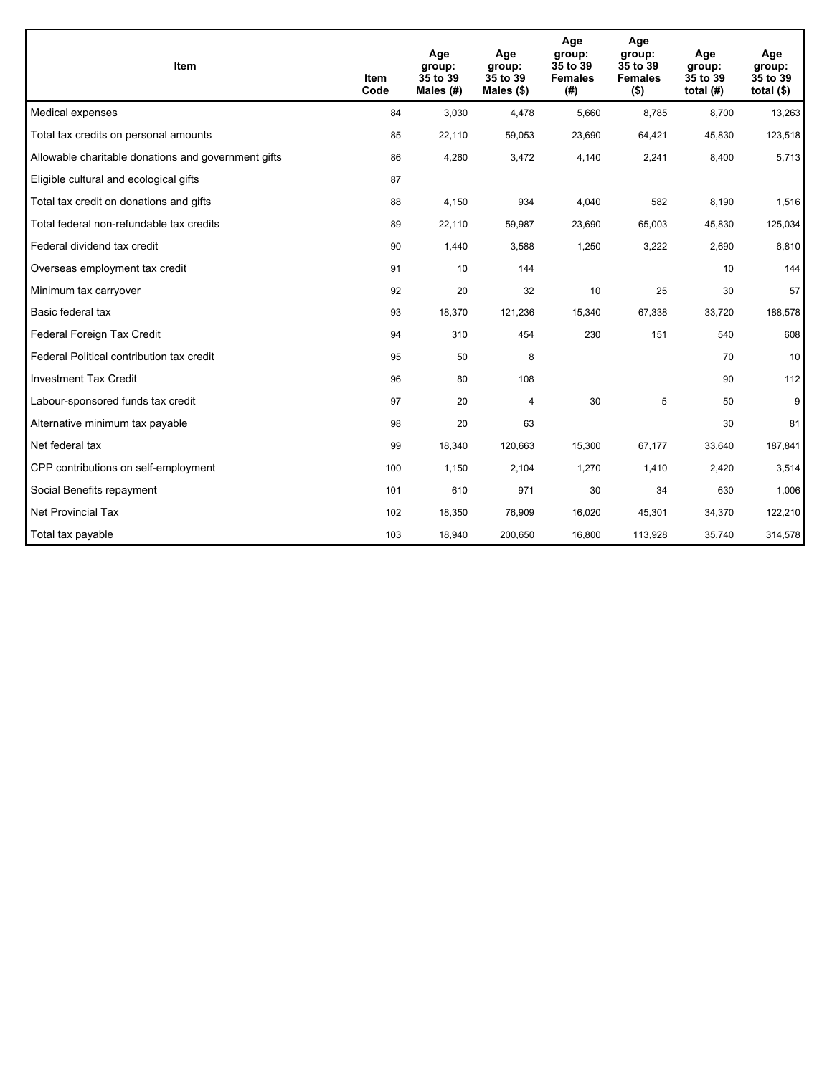| <b>Item</b>                                         | Item<br>Code | Age<br>group:<br>35 to 39<br>Males $(H)$ | Age<br>group:<br>35 to 39<br>Males $(\$)$ | Age<br>group:<br>35 to 39<br><b>Females</b><br>(# ) | Age<br>group:<br>35 to 39<br><b>Females</b><br>$($ \$) | Age<br>group:<br>35 to 39<br>total $(H)$ | Age<br>group:<br>35 to 39<br>total $($)$ |
|-----------------------------------------------------|--------------|------------------------------------------|-------------------------------------------|-----------------------------------------------------|--------------------------------------------------------|------------------------------------------|------------------------------------------|
| Medical expenses                                    | 84           | 3,030                                    | 4,478                                     | 5,660                                               | 8,785                                                  | 8,700                                    | 13,263                                   |
| Total tax credits on personal amounts               | 85           | 22,110                                   | 59,053                                    | 23,690                                              | 64,421                                                 | 45,830                                   | 123,518                                  |
| Allowable charitable donations and government gifts | 86           | 4,260                                    | 3,472                                     | 4,140                                               | 2,241                                                  | 8,400                                    | 5,713                                    |
| Eligible cultural and ecological gifts              | 87           |                                          |                                           |                                                     |                                                        |                                          |                                          |
| Total tax credit on donations and gifts             | 88           | 4,150                                    | 934                                       | 4,040                                               | 582                                                    | 8,190                                    | 1,516                                    |
| Total federal non-refundable tax credits            | 89           | 22,110                                   | 59,987                                    | 23,690                                              | 65,003                                                 | 45,830                                   | 125,034                                  |
| Federal dividend tax credit                         | 90           | 1,440                                    | 3,588                                     | 1,250                                               | 3,222                                                  | 2,690                                    | 6,810                                    |
| Overseas employment tax credit                      | 91           | 10                                       | 144                                       |                                                     |                                                        | 10                                       | 144                                      |
| Minimum tax carryover                               | 92           | 20                                       | 32                                        | 10                                                  | 25                                                     | 30                                       | 57                                       |
| Basic federal tax                                   | 93           | 18,370                                   | 121,236                                   | 15,340                                              | 67,338                                                 | 33,720                                   | 188,578                                  |
| Federal Foreign Tax Credit                          | 94           | 310                                      | 454                                       | 230                                                 | 151                                                    | 540                                      | 608                                      |
| Federal Political contribution tax credit           | 95           | 50                                       | 8                                         |                                                     |                                                        | 70                                       | 10                                       |
| <b>Investment Tax Credit</b>                        | 96           | 80                                       | 108                                       |                                                     |                                                        | 90                                       | 112                                      |
| Labour-sponsored funds tax credit                   | 97           | 20                                       | 4                                         | 30                                                  | 5                                                      | 50                                       | 9 <sup>°</sup>                           |
| Alternative minimum tax payable                     | 98           | 20                                       | 63                                        |                                                     |                                                        | 30                                       | 81                                       |
| Net federal tax                                     | 99           | 18,340                                   | 120,663                                   | 15,300                                              | 67,177                                                 | 33,640                                   | 187,841                                  |
| CPP contributions on self-employment                | 100          | 1,150                                    | 2,104                                     | 1,270                                               | 1,410                                                  | 2,420                                    | 3,514                                    |
| Social Benefits repayment                           | 101          | 610                                      | 971                                       | 30                                                  | 34                                                     | 630                                      | 1,006                                    |
| <b>Net Provincial Tax</b>                           | 102          | 18,350                                   | 76,909                                    | 16,020                                              | 45,301                                                 | 34,370                                   | 122,210                                  |
| Total tax payable                                   | 103          | 18,940                                   | 200,650                                   | 16,800                                              | 113,928                                                | 35,740                                   | 314,578                                  |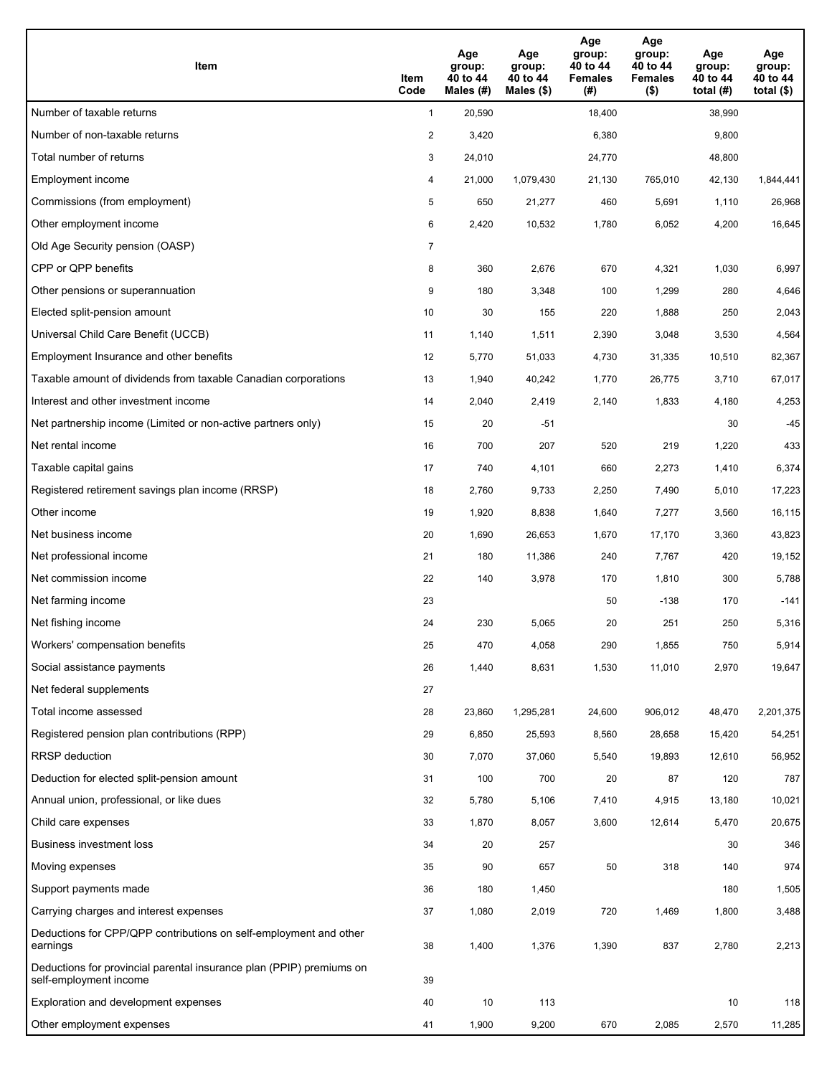| Item                                                                                           | Item<br>Code   | Age<br>group:<br>40 to 44<br>Males (#) | Age<br>group:<br>40 to 44<br>Males $(\$)$ | Age<br>group:<br>40 to 44<br><b>Females</b><br>(#) | Age<br>group:<br>40 to 44<br><b>Females</b><br>$($ \$) | Age<br>group:<br>40 to 44<br>total $(H)$ | Age<br>group:<br>40 to 44<br>total $($ |
|------------------------------------------------------------------------------------------------|----------------|----------------------------------------|-------------------------------------------|----------------------------------------------------|--------------------------------------------------------|------------------------------------------|----------------------------------------|
| Number of taxable returns                                                                      | $\mathbf{1}$   | 20,590                                 |                                           | 18,400                                             |                                                        | 38,990                                   |                                        |
| Number of non-taxable returns                                                                  | $\overline{a}$ | 3,420                                  |                                           | 6,380                                              |                                                        | 9,800                                    |                                        |
| Total number of returns                                                                        | 3              | 24,010                                 |                                           | 24,770                                             |                                                        | 48,800                                   |                                        |
| Employment income                                                                              | 4              | 21,000                                 | 1,079,430                                 | 21,130                                             | 765,010                                                | 42,130                                   | 1,844,441                              |
| Commissions (from employment)                                                                  | 5              | 650                                    | 21,277                                    | 460                                                | 5,691                                                  | 1,110                                    | 26,968                                 |
| Other employment income                                                                        | 6              | 2,420                                  | 10,532                                    | 1,780                                              | 6,052                                                  | 4,200                                    | 16,645                                 |
| Old Age Security pension (OASP)                                                                | 7              |                                        |                                           |                                                    |                                                        |                                          |                                        |
| CPP or QPP benefits                                                                            | 8              | 360                                    | 2,676                                     | 670                                                | 4,321                                                  | 1,030                                    | 6,997                                  |
| Other pensions or superannuation                                                               | 9              | 180                                    | 3,348                                     | 100                                                | 1,299                                                  | 280                                      | 4,646                                  |
| Elected split-pension amount                                                                   | 10             | 30                                     | 155                                       | 220                                                | 1,888                                                  | 250                                      | 2,043                                  |
| Universal Child Care Benefit (UCCB)                                                            | 11             | 1,140                                  | 1,511                                     | 2,390                                              | 3,048                                                  | 3,530                                    | 4,564                                  |
| Employment Insurance and other benefits                                                        | 12             | 5,770                                  | 51,033                                    | 4,730                                              | 31,335                                                 | 10,510                                   | 82,367                                 |
| Taxable amount of dividends from taxable Canadian corporations                                 | 13             | 1,940                                  | 40,242                                    | 1,770                                              | 26,775                                                 | 3,710                                    | 67,017                                 |
| Interest and other investment income                                                           | 14             | 2,040                                  | 2,419                                     | 2,140                                              | 1,833                                                  | 4,180                                    | 4,253                                  |
| Net partnership income (Limited or non-active partners only)                                   | 15             | 20                                     | $-51$                                     |                                                    |                                                        | 30                                       | $-45$                                  |
| Net rental income                                                                              | 16             | 700                                    | 207                                       | 520                                                | 219                                                    | 1,220                                    | 433                                    |
| Taxable capital gains                                                                          | 17             | 740                                    | 4,101                                     | 660                                                | 2,273                                                  | 1,410                                    | 6,374                                  |
| Registered retirement savings plan income (RRSP)                                               | 18             | 2,760                                  | 9,733                                     | 2,250                                              | 7,490                                                  | 5,010                                    | 17,223                                 |
| Other income                                                                                   | 19             | 1,920                                  | 8,838                                     | 1,640                                              | 7,277                                                  | 3,560                                    | 16,115                                 |
| Net business income                                                                            | 20             | 1,690                                  | 26,653                                    | 1,670                                              | 17,170                                                 | 3,360                                    | 43,823                                 |
| Net professional income                                                                        | 21             | 180                                    | 11,386                                    | 240                                                | 7,767                                                  | 420                                      | 19,152                                 |
| Net commission income                                                                          | 22             | 140                                    | 3,978                                     | 170                                                | 1,810                                                  | 300                                      | 5,788                                  |
| Net farming income                                                                             | 23             |                                        |                                           | 50                                                 | $-138$                                                 | 170                                      | $-141$                                 |
| Net fishing income                                                                             | 24             | 230                                    | 5,065                                     | 20                                                 | 251                                                    | 250                                      | 5,316                                  |
| Workers' compensation benefits                                                                 | 25             | 470                                    | 4,058                                     | 290                                                | 1,855                                                  | 750                                      | 5,914                                  |
| Social assistance payments                                                                     | 26             | 1,440                                  | 8,631                                     | 1,530                                              | 11,010                                                 | 2,970                                    | 19,647                                 |
| Net federal supplements                                                                        | 27             |                                        |                                           |                                                    |                                                        |                                          |                                        |
| Total income assessed                                                                          | 28             | 23,860                                 | 1,295,281                                 | 24,600                                             | 906,012                                                | 48,470                                   | 2,201,375                              |
| Registered pension plan contributions (RPP)                                                    | 29             | 6,850                                  | 25,593                                    | 8,560                                              | 28,658                                                 | 15,420                                   | 54,251                                 |
| <b>RRSP</b> deduction                                                                          | 30             | 7,070                                  | 37,060                                    | 5,540                                              | 19,893                                                 | 12,610                                   | 56,952                                 |
| Deduction for elected split-pension amount                                                     | 31             | 100                                    | 700                                       | 20                                                 | 87                                                     | 120                                      | 787                                    |
| Annual union, professional, or like dues                                                       | 32             | 5,780                                  | 5,106                                     | 7,410                                              | 4,915                                                  | 13,180                                   | 10,021                                 |
| Child care expenses                                                                            | 33             | 1,870                                  | 8,057                                     | 3,600                                              | 12,614                                                 | 5,470                                    | 20,675                                 |
| Business investment loss                                                                       | 34             | 20                                     | 257                                       |                                                    |                                                        | 30                                       | 346                                    |
| Moving expenses                                                                                | 35             | 90                                     | 657                                       | 50                                                 | 318                                                    | 140                                      | 974                                    |
| Support payments made                                                                          | 36             | 180                                    | 1,450                                     |                                                    |                                                        | 180                                      | 1,505                                  |
| Carrying charges and interest expenses                                                         | 37             | 1,080                                  | 2,019                                     | 720                                                | 1,469                                                  | 1,800                                    | 3,488                                  |
| Deductions for CPP/QPP contributions on self-employment and other<br>earnings                  | 38             | 1,400                                  | 1,376                                     | 1,390                                              | 837                                                    | 2,780                                    | 2,213                                  |
| Deductions for provincial parental insurance plan (PPIP) premiums on<br>self-employment income | 39             |                                        |                                           |                                                    |                                                        |                                          |                                        |
| Exploration and development expenses                                                           | 40             | 10                                     | 113                                       |                                                    |                                                        | 10                                       | 118                                    |
| Other employment expenses                                                                      | 41             | 1,900                                  | 9,200                                     | 670                                                | 2,085                                                  | 2,570                                    | 11,285                                 |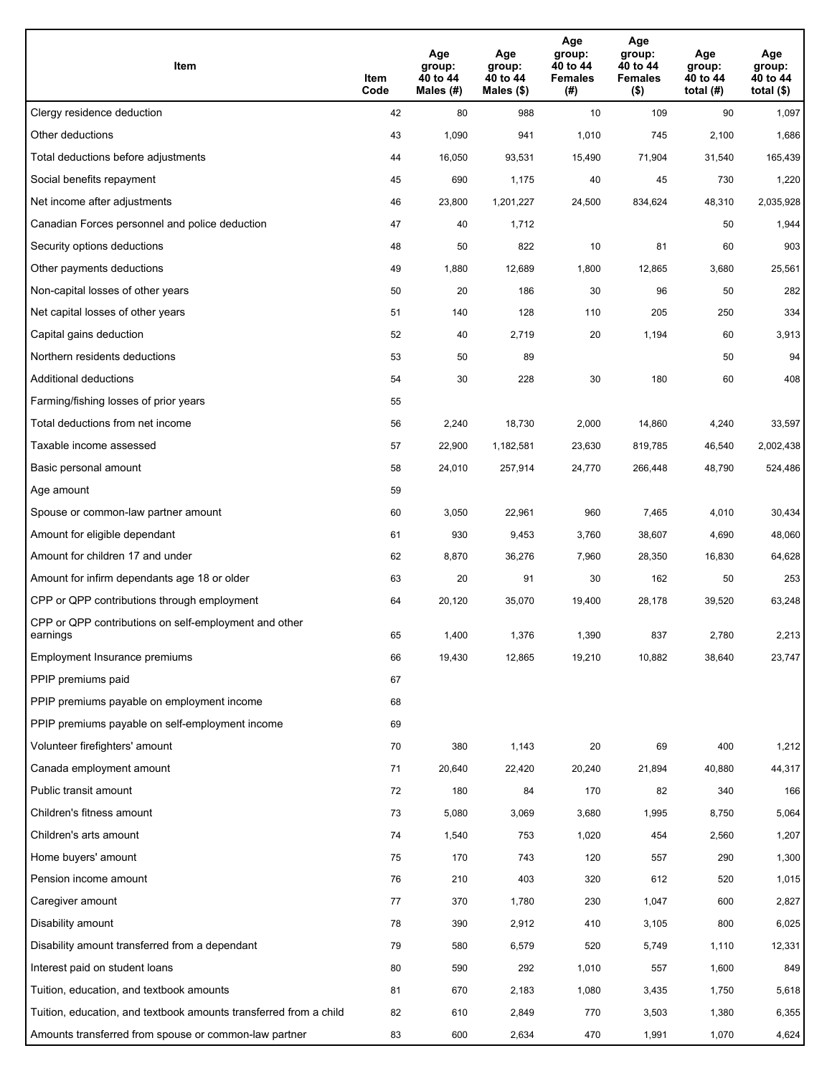| Item                                                              | Item<br>Code | Age<br>group:<br>40 to 44<br>Males (#) | Age<br>group:<br>40 to 44<br>Males (\$) | Age<br>group:<br>40 to 44<br><b>Females</b><br>(#) | Age<br>group:<br>40 to 44<br><b>Females</b><br>$($ \$) | Age<br>group:<br>40 to 44<br>total $(H)$ | Age<br>group:<br>40 to 44<br>total $($)$ |
|-------------------------------------------------------------------|--------------|----------------------------------------|-----------------------------------------|----------------------------------------------------|--------------------------------------------------------|------------------------------------------|------------------------------------------|
| Clergy residence deduction                                        | 42           | 80                                     | 988                                     | 10                                                 | 109                                                    | 90                                       | 1,097                                    |
| Other deductions                                                  | 43           | 1,090                                  | 941                                     | 1,010                                              | 745                                                    | 2,100                                    | 1,686                                    |
| Total deductions before adjustments                               | 44           | 16,050                                 | 93,531                                  | 15,490                                             | 71,904                                                 | 31,540                                   | 165,439                                  |
| Social benefits repayment                                         | 45           | 690                                    | 1,175                                   | 40                                                 | 45                                                     | 730                                      | 1,220                                    |
| Net income after adjustments                                      | 46           | 23,800                                 | 1,201,227                               | 24,500                                             | 834,624                                                | 48,310                                   | 2,035,928                                |
| Canadian Forces personnel and police deduction                    | 47           | 40                                     | 1,712                                   |                                                    |                                                        | 50                                       | 1,944                                    |
| Security options deductions                                       | 48           | 50                                     | 822                                     | 10                                                 | 81                                                     | 60                                       | 903                                      |
| Other payments deductions                                         | 49           | 1,880                                  | 12,689                                  | 1,800                                              | 12,865                                                 | 3,680                                    | 25,561                                   |
| Non-capital losses of other years                                 | 50           | 20                                     | 186                                     | 30                                                 | 96                                                     | 50                                       | 282                                      |
| Net capital losses of other years                                 | 51           | 140                                    | 128                                     | 110                                                | 205                                                    | 250                                      | 334                                      |
| Capital gains deduction                                           | 52           | 40                                     | 2,719                                   | 20                                                 | 1,194                                                  | 60                                       | 3,913                                    |
| Northern residents deductions                                     | 53           | 50                                     | 89                                      |                                                    |                                                        | 50                                       | 94                                       |
| Additional deductions                                             | 54           | 30                                     | 228                                     | 30                                                 | 180                                                    | 60                                       | 408                                      |
| Farming/fishing losses of prior years                             | 55           |                                        |                                         |                                                    |                                                        |                                          |                                          |
| Total deductions from net income                                  | 56           | 2,240                                  | 18,730                                  | 2,000                                              | 14,860                                                 | 4,240                                    | 33,597                                   |
| Taxable income assessed                                           | 57           | 22,900                                 | 1,182,581                               | 23,630                                             | 819,785                                                | 46,540                                   | 2,002,438                                |
| Basic personal amount                                             | 58           | 24,010                                 | 257,914                                 | 24,770                                             | 266,448                                                | 48,790                                   | 524,486                                  |
| Age amount                                                        | 59           |                                        |                                         |                                                    |                                                        |                                          |                                          |
| Spouse or common-law partner amount                               | 60           | 3,050                                  | 22,961                                  | 960                                                | 7,465                                                  | 4,010                                    | 30,434                                   |
| Amount for eligible dependant                                     | 61           | 930                                    | 9,453                                   | 3,760                                              | 38,607                                                 | 4,690                                    | 48,060                                   |
| Amount for children 17 and under                                  | 62           | 8,870                                  | 36,276                                  | 7,960                                              | 28,350                                                 | 16,830                                   | 64,628                                   |
| Amount for infirm dependants age 18 or older                      | 63           | 20                                     | 91                                      | 30                                                 | 162                                                    | 50                                       | 253                                      |
| CPP or QPP contributions through employment                       | 64           | 20,120                                 | 35,070                                  | 19,400                                             | 28,178                                                 | 39,520                                   | 63,248                                   |
| CPP or QPP contributions on self-employment and other<br>earnings | 65           | 1,400                                  | 1,376                                   | 1,390                                              | 837                                                    | 2,780                                    | 2,213                                    |
| Employment Insurance premiums                                     | 66           | 19,430                                 | 12,865                                  | 19,210                                             | 10,882                                                 | 38,640                                   | 23,747                                   |
| PPIP premiums paid                                                | 67           |                                        |                                         |                                                    |                                                        |                                          |                                          |
| PPIP premiums payable on employment income                        | 68           |                                        |                                         |                                                    |                                                        |                                          |                                          |
| PPIP premiums payable on self-employment income                   | 69           |                                        |                                         |                                                    |                                                        |                                          |                                          |
| Volunteer firefighters' amount                                    | $70\,$       | 380                                    | 1,143                                   | 20                                                 | 69                                                     | 400                                      | 1,212                                    |
| Canada employment amount                                          | 71           | 20,640                                 | 22,420                                  | 20,240                                             | 21,894                                                 | 40,880                                   | 44,317                                   |
| Public transit amount                                             | 72           | 180                                    | 84                                      | 170                                                | 82                                                     | 340                                      | 166                                      |
| Children's fitness amount                                         | 73           | 5,080                                  | 3,069                                   | 3,680                                              | 1,995                                                  | 8,750                                    | 5,064                                    |
| Children's arts amount                                            | 74           | 1,540                                  | 753                                     | 1,020                                              | 454                                                    | 2,560                                    | 1,207                                    |
| Home buyers' amount                                               | 75           | 170                                    | 743                                     | 120                                                | 557                                                    | 290                                      | 1,300                                    |
| Pension income amount                                             | 76           | 210                                    | 403                                     | 320                                                | 612                                                    | 520                                      | 1,015                                    |
| Caregiver amount                                                  | 77           | 370                                    | 1,780                                   | 230                                                | 1,047                                                  | 600                                      | 2,827                                    |
| Disability amount                                                 | 78           | 390                                    | 2,912                                   | 410                                                | 3,105                                                  | 800                                      | 6,025                                    |
| Disability amount transferred from a dependant                    | 79           | 580                                    | 6,579                                   | 520                                                | 5,749                                                  | 1,110                                    | 12,331                                   |
| Interest paid on student loans                                    | 80           | 590                                    | 292                                     | 1,010                                              | 557                                                    | 1,600                                    | 849                                      |
| Tuition, education, and textbook amounts                          | 81           | 670                                    | 2,183                                   | 1,080                                              | 3,435                                                  | 1,750                                    | 5,618                                    |
| Tuition, education, and textbook amounts transferred from a child | 82           | 610                                    | 2,849                                   | 770                                                | 3,503                                                  | 1,380                                    | 6,355                                    |
| Amounts transferred from spouse or common-law partner             | 83           | 600                                    | 2,634                                   | 470                                                | 1,991                                                  | 1,070                                    | 4,624                                    |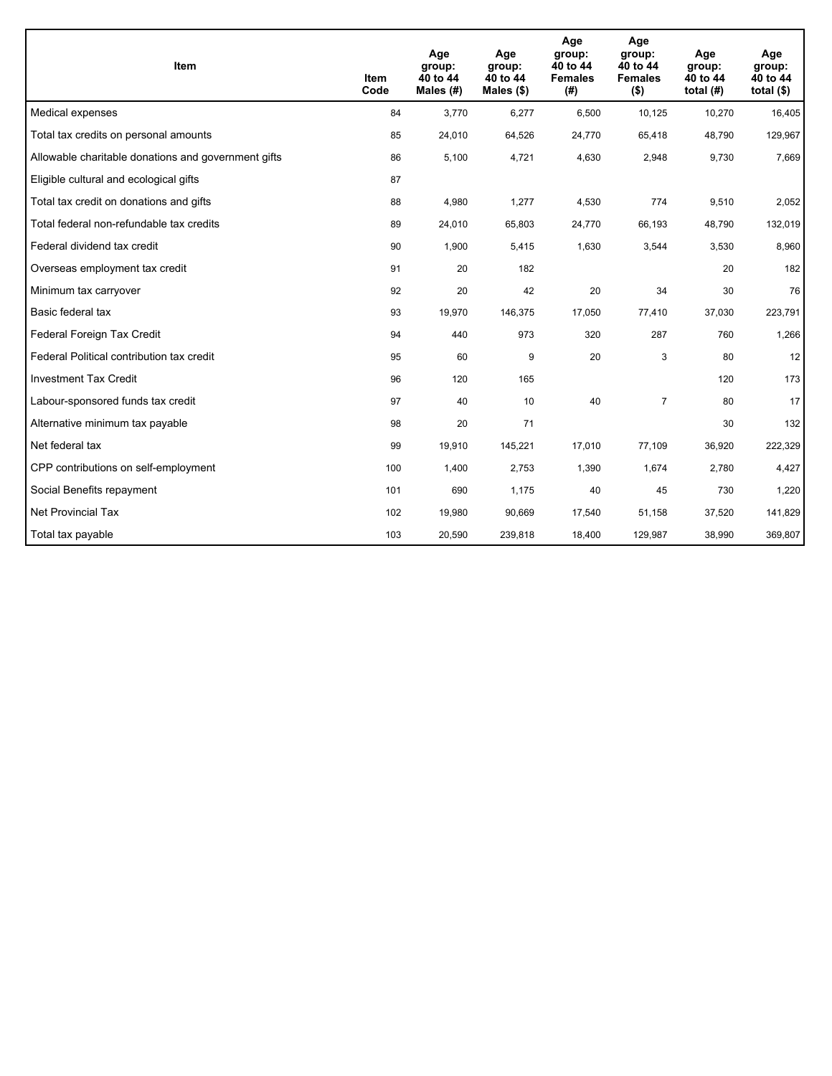| <b>Item</b>                                         | Item<br>Code | Age<br>group:<br>40 to 44<br>Males $(H)$ | Age<br>group:<br>40 to 44<br>Males $(\$)$ | Age<br>group:<br>40 to 44<br><b>Females</b><br>(# ) | Age<br>group:<br>40 to 44<br><b>Females</b><br>$($ \$) | Age<br>group:<br>40 to 44<br>total $(H)$ | Age<br>group:<br>40 to 44<br>total $($)$ |
|-----------------------------------------------------|--------------|------------------------------------------|-------------------------------------------|-----------------------------------------------------|--------------------------------------------------------|------------------------------------------|------------------------------------------|
| Medical expenses                                    | 84           | 3,770                                    | 6,277                                     | 6,500                                               | 10,125                                                 | 10,270                                   | 16,405                                   |
| Total tax credits on personal amounts               | 85           | 24,010                                   | 64,526                                    | 24,770                                              | 65,418                                                 | 48,790                                   | 129,967                                  |
| Allowable charitable donations and government gifts | 86           | 5,100                                    | 4,721                                     | 4,630                                               | 2,948                                                  | 9,730                                    | 7,669                                    |
| Eligible cultural and ecological gifts              | 87           |                                          |                                           |                                                     |                                                        |                                          |                                          |
| Total tax credit on donations and gifts             | 88           | 4,980                                    | 1,277                                     | 4,530                                               | 774                                                    | 9,510                                    | 2,052                                    |
| Total federal non-refundable tax credits            | 89           | 24,010                                   | 65,803                                    | 24,770                                              | 66,193                                                 | 48,790                                   | 132,019                                  |
| Federal dividend tax credit                         | 90           | 1,900                                    | 5,415                                     | 1,630                                               | 3,544                                                  | 3,530                                    | 8,960                                    |
| Overseas employment tax credit                      | 91           | 20                                       | 182                                       |                                                     |                                                        | 20                                       | 182                                      |
| Minimum tax carryover                               | 92           | 20                                       | 42                                        | 20                                                  | 34                                                     | 30                                       | 76                                       |
| Basic federal tax                                   | 93           | 19,970                                   | 146,375                                   | 17.050                                              | 77,410                                                 | 37,030                                   | 223,791                                  |
| Federal Foreign Tax Credit                          | 94           | 440                                      | 973                                       | 320                                                 | 287                                                    | 760                                      | 1,266                                    |
| Federal Political contribution tax credit           | 95           | 60                                       | 9                                         | 20                                                  | 3                                                      | 80                                       | 12                                       |
| <b>Investment Tax Credit</b>                        | 96           | 120                                      | 165                                       |                                                     |                                                        | 120                                      | 173                                      |
| Labour-sponsored funds tax credit                   | 97           | 40                                       | 10                                        | 40                                                  | $\overline{7}$                                         | 80                                       | 17                                       |
| Alternative minimum tax payable                     | 98           | 20                                       | 71                                        |                                                     |                                                        | 30                                       | 132                                      |
| Net federal tax                                     | 99           | 19,910                                   | 145,221                                   | 17,010                                              | 77,109                                                 | 36,920                                   | 222,329                                  |
| CPP contributions on self-employment                | 100          | 1,400                                    | 2,753                                     | 1,390                                               | 1,674                                                  | 2,780                                    | 4,427                                    |
| Social Benefits repayment                           | 101          | 690                                      | 1,175                                     | 40                                                  | 45                                                     | 730                                      | 1,220                                    |
| <b>Net Provincial Tax</b>                           | 102          | 19,980                                   | 90,669                                    | 17.540                                              | 51,158                                                 | 37,520                                   | 141,829                                  |
| Total tax payable                                   | 103          | 20,590                                   | 239,818                                   | 18,400                                              | 129,987                                                | 38,990                                   | 369,807                                  |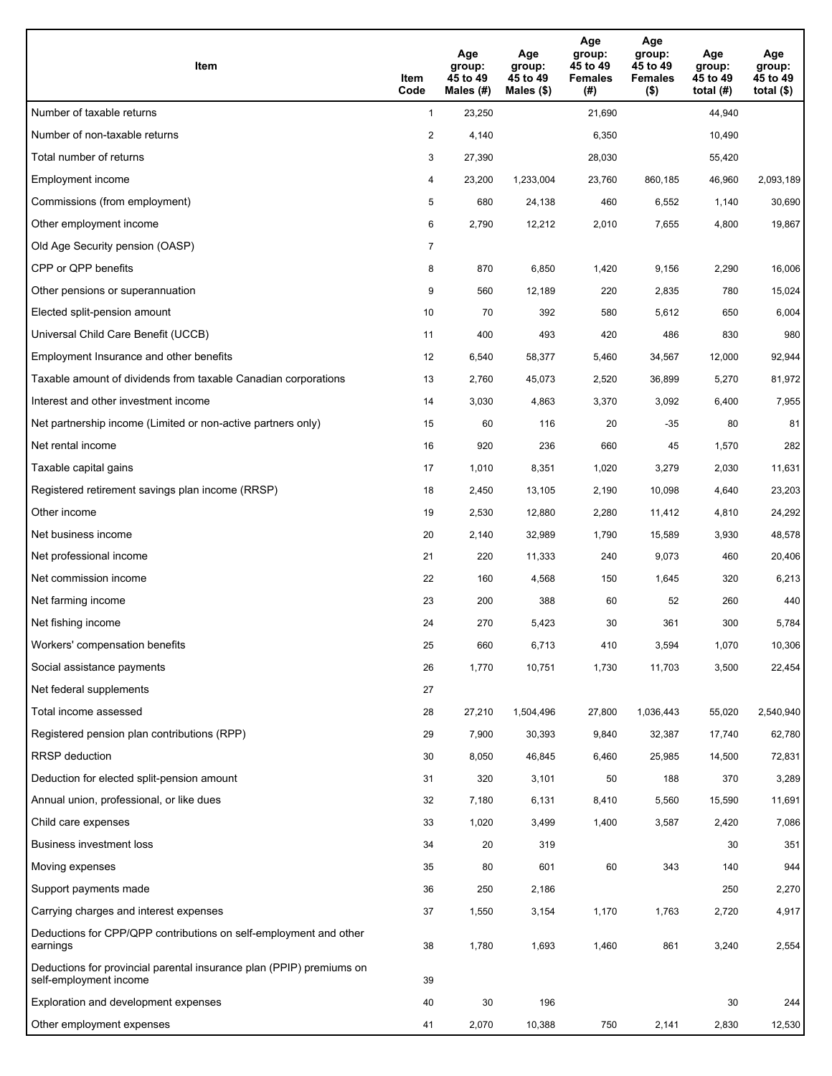| Item                                                                                           | Item<br>Code   | Age<br>group:<br>45 to 49<br>Males (#) | Age<br>group:<br>45 to 49<br>Males $(\$)$ | Age<br>group:<br>45 to 49<br><b>Females</b><br>(#) | Age<br>group:<br>45 to 49<br><b>Females</b><br>$($ \$) | Age<br>group:<br>45 to 49<br>total $(#)$ | Age<br>group:<br>45 to 49<br>total $($ |
|------------------------------------------------------------------------------------------------|----------------|----------------------------------------|-------------------------------------------|----------------------------------------------------|--------------------------------------------------------|------------------------------------------|----------------------------------------|
| Number of taxable returns                                                                      | $\mathbf{1}$   | 23,250                                 |                                           | 21,690                                             |                                                        | 44,940                                   |                                        |
| Number of non-taxable returns                                                                  | $\overline{a}$ | 4,140                                  |                                           | 6,350                                              |                                                        | 10,490                                   |                                        |
| Total number of returns                                                                        | 3              | 27,390                                 |                                           | 28,030                                             |                                                        | 55,420                                   |                                        |
| Employment income                                                                              | 4              | 23,200                                 | 1,233,004                                 | 23,760                                             | 860,185                                                | 46,960                                   | 2,093,189                              |
| Commissions (from employment)                                                                  | 5              | 680                                    | 24,138                                    | 460                                                | 6,552                                                  | 1,140                                    | 30,690                                 |
| Other employment income                                                                        | 6              | 2,790                                  | 12,212                                    | 2,010                                              | 7,655                                                  | 4,800                                    | 19,867                                 |
| Old Age Security pension (OASP)                                                                | 7              |                                        |                                           |                                                    |                                                        |                                          |                                        |
| CPP or QPP benefits                                                                            | 8              | 870                                    | 6,850                                     | 1,420                                              | 9,156                                                  | 2,290                                    | 16,006                                 |
| Other pensions or superannuation                                                               | 9              | 560                                    | 12,189                                    | 220                                                | 2,835                                                  | 780                                      | 15,024                                 |
| Elected split-pension amount                                                                   | 10             | 70                                     | 392                                       | 580                                                | 5,612                                                  | 650                                      | 6,004                                  |
| Universal Child Care Benefit (UCCB)                                                            | 11             | 400                                    | 493                                       | 420                                                | 486                                                    | 830                                      | 980                                    |
| Employment Insurance and other benefits                                                        | 12             | 6,540                                  | 58,377                                    | 5,460                                              | 34,567                                                 | 12,000                                   | 92,944                                 |
| Taxable amount of dividends from taxable Canadian corporations                                 | 13             | 2,760                                  | 45,073                                    | 2,520                                              | 36,899                                                 | 5,270                                    | 81,972                                 |
| Interest and other investment income                                                           | 14             | 3,030                                  | 4,863                                     | 3,370                                              | 3,092                                                  | 6,400                                    | 7,955                                  |
| Net partnership income (Limited or non-active partners only)                                   | 15             | 60                                     | 116                                       | 20                                                 | $-35$                                                  | 80                                       | 81                                     |
| Net rental income                                                                              | 16             | 920                                    | 236                                       | 660                                                | 45                                                     | 1,570                                    | 282                                    |
| Taxable capital gains                                                                          | 17             | 1,010                                  | 8,351                                     | 1,020                                              | 3,279                                                  | 2,030                                    | 11,631                                 |
| Registered retirement savings plan income (RRSP)                                               | 18             | 2,450                                  | 13,105                                    | 2,190                                              | 10,098                                                 | 4,640                                    | 23,203                                 |
| Other income                                                                                   | 19             | 2,530                                  | 12,880                                    | 2,280                                              | 11,412                                                 | 4,810                                    | 24,292                                 |
| Net business income                                                                            | 20             | 2,140                                  | 32,989                                    | 1,790                                              | 15,589                                                 | 3,930                                    | 48,578                                 |
| Net professional income                                                                        | 21             | 220                                    | 11,333                                    | 240                                                | 9,073                                                  | 460                                      | 20,406                                 |
| Net commission income                                                                          | 22             | 160                                    | 4,568                                     | 150                                                | 1,645                                                  | 320                                      | 6,213                                  |
| Net farming income                                                                             | 23             | 200                                    | 388                                       | 60                                                 | 52                                                     | 260                                      | 440                                    |
| Net fishing income                                                                             | 24             | 270                                    | 5,423                                     | 30                                                 | 361                                                    | 300                                      | 5,784                                  |
| Workers' compensation benefits                                                                 | 25             | 660                                    | 6,713                                     | 410                                                | 3,594                                                  | 1,070                                    | 10,306                                 |
| Social assistance payments                                                                     | 26             | 1,770                                  | 10,751                                    | 1,730                                              | 11,703                                                 | 3,500                                    | 22,454                                 |
| Net federal supplements                                                                        | 27             |                                        |                                           |                                                    |                                                        |                                          |                                        |
| Total income assessed                                                                          | 28             | 27,210                                 | 1,504,496                                 | 27,800                                             | 1,036,443                                              | 55,020                                   | 2,540,940                              |
| Registered pension plan contributions (RPP)                                                    | 29             | 7,900                                  | 30,393                                    | 9,840                                              | 32,387                                                 | 17,740                                   | 62,780                                 |
| <b>RRSP</b> deduction                                                                          | 30             | 8,050                                  | 46,845                                    | 6,460                                              | 25,985                                                 | 14,500                                   | 72,831                                 |
| Deduction for elected split-pension amount                                                     | 31             | 320                                    | 3,101                                     | 50                                                 | 188                                                    | 370                                      | 3,289                                  |
| Annual union, professional, or like dues                                                       | 32             | 7,180                                  | 6,131                                     | 8,410                                              | 5,560                                                  | 15,590                                   | 11,691                                 |
| Child care expenses                                                                            | 33             | 1,020                                  | 3,499                                     | 1,400                                              | 3,587                                                  | 2,420                                    | 7,086                                  |
| Business investment loss                                                                       | 34             | 20                                     | 319                                       |                                                    |                                                        | 30                                       | 351                                    |
| Moving expenses                                                                                | 35             | 80                                     | 601                                       | 60                                                 | 343                                                    | 140                                      | 944                                    |
| Support payments made                                                                          | 36             | 250                                    | 2,186                                     |                                                    |                                                        | 250                                      | 2,270                                  |
| Carrying charges and interest expenses                                                         | 37             | 1,550                                  | 3,154                                     | 1,170                                              | 1,763                                                  | 2,720                                    | 4,917                                  |
| Deductions for CPP/QPP contributions on self-employment and other<br>earnings                  | 38             | 1,780                                  | 1,693                                     | 1,460                                              | 861                                                    | 3,240                                    | 2,554                                  |
| Deductions for provincial parental insurance plan (PPIP) premiums on<br>self-employment income | 39             |                                        |                                           |                                                    |                                                        |                                          |                                        |
| Exploration and development expenses                                                           | 40             | 30                                     | 196                                       |                                                    |                                                        | 30                                       | 244                                    |
| Other employment expenses                                                                      | 41             | 2,070                                  | 10,388                                    | 750                                                | 2,141                                                  | 2,830                                    | 12,530                                 |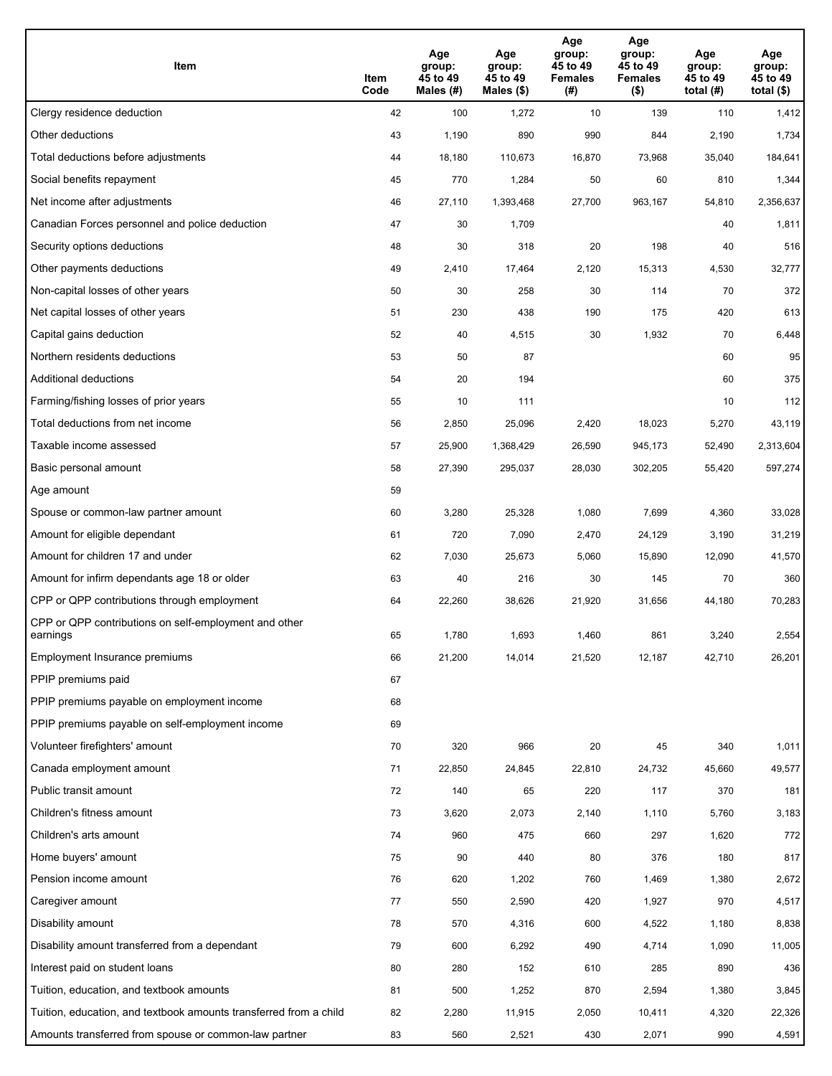| Item                                                              | Item<br>Code | Age<br>group:<br>45 to 49<br>Males (#) | Age<br>group:<br>45 to 49<br>Males (\$) | Age<br>group:<br>45 to 49<br><b>Females</b><br>(# ) | Age<br>group:<br>45 to 49<br><b>Females</b><br>$($ \$) | Age<br>group:<br>45 to 49<br>total $(#)$ | Age<br>group:<br>45 to 49<br>total $($)$ |
|-------------------------------------------------------------------|--------------|----------------------------------------|-----------------------------------------|-----------------------------------------------------|--------------------------------------------------------|------------------------------------------|------------------------------------------|
| Clergy residence deduction                                        | 42           | 100                                    | 1,272                                   | 10                                                  | 139                                                    | 110                                      | 1,412                                    |
| Other deductions                                                  | 43           | 1,190                                  | 890                                     | 990                                                 | 844                                                    | 2,190                                    | 1,734                                    |
| Total deductions before adjustments                               | 44           | 18,180                                 | 110,673                                 | 16,870                                              | 73,968                                                 | 35,040                                   | 184,641                                  |
| Social benefits repayment                                         | 45           | 770                                    | 1,284                                   | 50                                                  | 60                                                     | 810                                      | 1,344                                    |
| Net income after adjustments                                      | 46           | 27,110                                 | 1,393,468                               | 27,700                                              | 963,167                                                | 54,810                                   | 2,356,637                                |
| Canadian Forces personnel and police deduction                    | 47           | 30                                     | 1,709                                   |                                                     |                                                        | 40                                       | 1,811                                    |
| Security options deductions                                       | 48           | 30                                     | 318                                     | 20                                                  | 198                                                    | 40                                       | 516                                      |
| Other payments deductions                                         | 49           | 2,410                                  | 17,464                                  | 2,120                                               | 15,313                                                 | 4,530                                    | 32,777                                   |
| Non-capital losses of other years                                 | 50           | 30                                     | 258                                     | 30                                                  | 114                                                    | 70                                       | 372                                      |
| Net capital losses of other years                                 | 51           | 230                                    | 438                                     | 190                                                 | 175                                                    | 420                                      | 613                                      |
| Capital gains deduction                                           | 52           | 40                                     | 4,515                                   | 30                                                  | 1,932                                                  | 70                                       | 6,448                                    |
| Northern residents deductions                                     | 53           | 50                                     | 87                                      |                                                     |                                                        | 60                                       | 95                                       |
| Additional deductions                                             | 54           | 20                                     | 194                                     |                                                     |                                                        | 60                                       | 375                                      |
| Farming/fishing losses of prior years                             | 55           | 10                                     | 111                                     |                                                     |                                                        | 10                                       | 112                                      |
| Total deductions from net income                                  | 56           | 2,850                                  | 25,096                                  | 2,420                                               | 18,023                                                 | 5,270                                    | 43,119                                   |
| Taxable income assessed                                           | 57           | 25,900                                 | 1,368,429                               | 26,590                                              | 945,173                                                | 52,490                                   | 2,313,604                                |
| Basic personal amount                                             | 58           | 27,390                                 | 295,037                                 | 28,030                                              | 302,205                                                | 55,420                                   | 597,274                                  |
| Age amount                                                        | 59           |                                        |                                         |                                                     |                                                        |                                          |                                          |
| Spouse or common-law partner amount                               | 60           | 3,280                                  | 25,328                                  | 1,080                                               | 7,699                                                  | 4,360                                    | 33,028                                   |
| Amount for eligible dependant                                     | 61           | 720                                    | 7,090                                   | 2,470                                               | 24,129                                                 | 3,190                                    | 31,219                                   |
| Amount for children 17 and under                                  | 62           | 7,030                                  | 25,673                                  | 5,060                                               | 15,890                                                 | 12,090                                   | 41,570                                   |
| Amount for infirm dependants age 18 or older                      | 63           | 40                                     | 216                                     | 30                                                  | 145                                                    | 70                                       | 360                                      |
| CPP or QPP contributions through employment                       | 64           | 22,260                                 | 38,626                                  | 21,920                                              | 31,656                                                 | 44,180                                   | 70,283                                   |
| CPP or QPP contributions on self-employment and other<br>earnings | 65           | 1.780                                  | 1,693                                   | 1,460                                               | 861                                                    | 3,240                                    | 2,554                                    |
| Employment Insurance premiums                                     | 66           | 21,200                                 | 14,014                                  | 21,520                                              | 12,187                                                 | 42,710                                   | 26,201                                   |
| PPIP premiums paid                                                | 67           |                                        |                                         |                                                     |                                                        |                                          |                                          |
| PPIP premiums payable on employment income                        | 68           |                                        |                                         |                                                     |                                                        |                                          |                                          |
| PPIP premiums payable on self-employment income                   | 69           |                                        |                                         |                                                     |                                                        |                                          |                                          |
| Volunteer firefighters' amount                                    | 70           | 320                                    | 966                                     | 20                                                  | 45                                                     | 340                                      | 1,011                                    |
| Canada employment amount                                          | 71           | 22,850                                 | 24,845                                  | 22,810                                              | 24,732                                                 | 45,660                                   | 49,577                                   |
| Public transit amount                                             | 72           | 140                                    | 65                                      | 220                                                 | 117                                                    | 370                                      | 181                                      |
| Children's fitness amount                                         | 73           | 3,620                                  | 2,073                                   | 2,140                                               | 1,110                                                  | 5,760                                    | 3,183                                    |
| Children's arts amount                                            | 74           | 960                                    | 475                                     | 660                                                 | 297                                                    | 1,620                                    | 772                                      |
| Home buyers' amount                                               | 75           | 90                                     | 440                                     | 80                                                  | 376                                                    | 180                                      | 817                                      |
| Pension income amount                                             | 76           | 620                                    | 1,202                                   | 760                                                 | 1,469                                                  | 1,380                                    | 2,672                                    |
| Caregiver amount                                                  | $77\,$       | 550                                    | 2,590                                   | 420                                                 | 1,927                                                  | 970                                      | 4,517                                    |
| Disability amount                                                 | 78           | 570                                    | 4,316                                   | 600                                                 | 4,522                                                  | 1,180                                    | 8,838                                    |
| Disability amount transferred from a dependant                    | 79           | 600                                    | 6,292                                   | 490                                                 | 4,714                                                  | 1,090                                    | 11,005                                   |
| Interest paid on student loans                                    | 80           | 280                                    | 152                                     | 610                                                 | 285                                                    | 890                                      | 436                                      |
| Tuition, education, and textbook amounts                          | 81           | 500                                    | 1,252                                   | 870                                                 | 2,594                                                  | 1,380                                    | 3,845                                    |
| Tuition, education, and textbook amounts transferred from a child | 82           | 2,280                                  | 11,915                                  | 2,050                                               | 10,411                                                 | 4,320                                    | 22,326                                   |
| Amounts transferred from spouse or common-law partner             | 83           | 560                                    | 2,521                                   | 430                                                 | 2,071                                                  | 990                                      | 4,591                                    |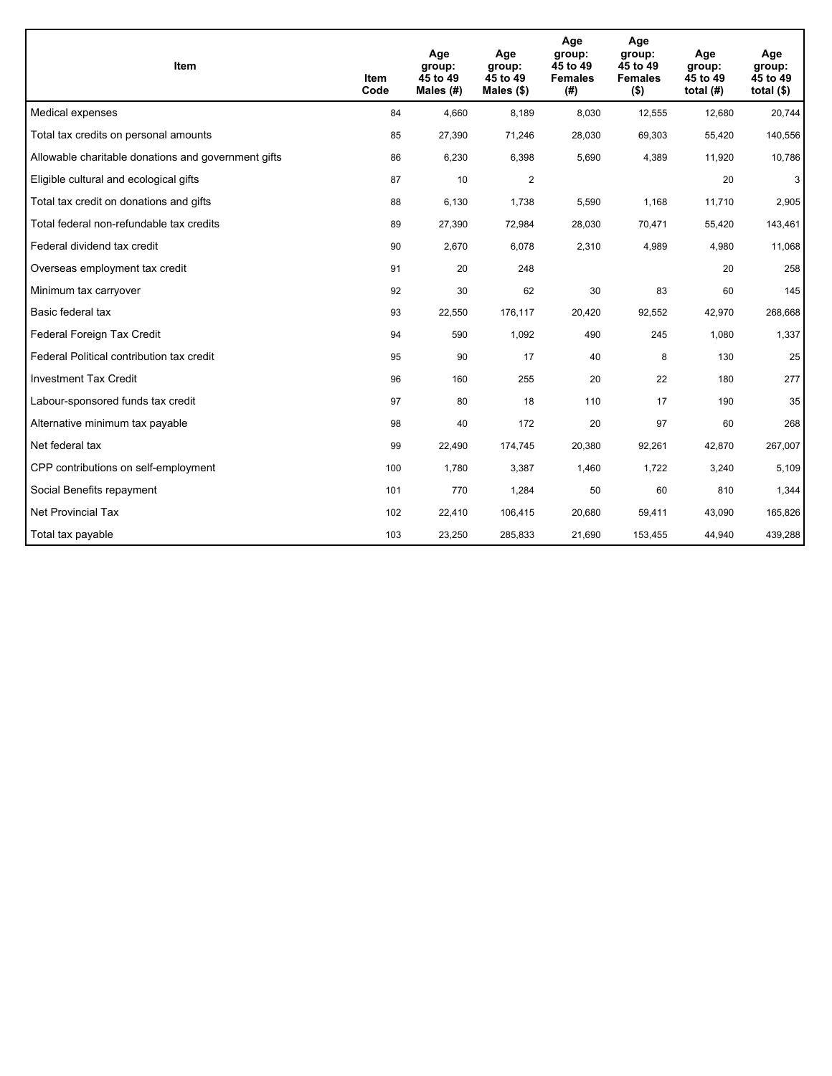| <b>Item</b>                                         | Item<br>Code | Age<br>group:<br>45 to 49<br>Males $(H)$ | Age<br>group:<br>45 to 49<br>Males $(\$)$ | Age<br>group:<br>45 to 49<br><b>Females</b><br>(# ) | Age<br>group:<br>45 to 49<br><b>Females</b><br>$($ \$) | Age<br>group:<br>45 to 49<br>total $(H)$ | Age<br>group:<br>45 to 49<br>total $($)$ |
|-----------------------------------------------------|--------------|------------------------------------------|-------------------------------------------|-----------------------------------------------------|--------------------------------------------------------|------------------------------------------|------------------------------------------|
| Medical expenses                                    | 84           | 4,660                                    | 8,189                                     | 8,030                                               | 12,555                                                 | 12,680                                   | 20,744                                   |
| Total tax credits on personal amounts               | 85           | 27,390                                   | 71,246                                    | 28,030                                              | 69,303                                                 | 55,420                                   | 140,556                                  |
| Allowable charitable donations and government gifts | 86           | 6,230                                    | 6,398                                     | 5,690                                               | 4,389                                                  | 11,920                                   | 10,786                                   |
| Eligible cultural and ecological gifts              | 87           | 10                                       | 2                                         |                                                     |                                                        | 20                                       | 3 <sup>1</sup>                           |
| Total tax credit on donations and gifts             | 88           | 6,130                                    | 1,738                                     | 5,590                                               | 1,168                                                  | 11,710                                   | 2,905                                    |
| Total federal non-refundable tax credits            | 89           | 27,390                                   | 72,984                                    | 28,030                                              | 70,471                                                 | 55,420                                   | 143,461                                  |
| Federal dividend tax credit                         | 90           | 2,670                                    | 6,078                                     | 2,310                                               | 4,989                                                  | 4,980                                    | 11,068                                   |
| Overseas employment tax credit                      | 91           | 20                                       | 248                                       |                                                     |                                                        | 20                                       | 258                                      |
| Minimum tax carryover                               | 92           | 30                                       | 62                                        | 30                                                  | 83                                                     | 60                                       | 145                                      |
| Basic federal tax                                   | 93           | 22,550                                   | 176,117                                   | 20,420                                              | 92,552                                                 | 42,970                                   | 268,668                                  |
| Federal Foreign Tax Credit                          | 94           | 590                                      | 1,092                                     | 490                                                 | 245                                                    | 1,080                                    | 1,337                                    |
| Federal Political contribution tax credit           | 95           | 90                                       | 17                                        | 40                                                  | 8                                                      | 130                                      | 25                                       |
| <b>Investment Tax Credit</b>                        | 96           | 160                                      | 255                                       | 20                                                  | 22                                                     | 180                                      | 277                                      |
| Labour-sponsored funds tax credit                   | 97           | 80                                       | 18                                        | 110                                                 | 17                                                     | 190                                      | 35                                       |
| Alternative minimum tax payable                     | 98           | 40                                       | 172                                       | 20                                                  | 97                                                     | 60                                       | 268                                      |
| Net federal tax                                     | 99           | 22,490                                   | 174,745                                   | 20,380                                              | 92,261                                                 | 42,870                                   | 267,007                                  |
| CPP contributions on self-employment                | 100          | 1,780                                    | 3,387                                     | 1,460                                               | 1,722                                                  | 3,240                                    | 5,109                                    |
| Social Benefits repayment                           | 101          | 770                                      | 1,284                                     | 50                                                  | 60                                                     | 810                                      | 1,344                                    |
| <b>Net Provincial Tax</b>                           | 102          | 22,410                                   | 106,415                                   | 20,680                                              | 59,411                                                 | 43,090                                   | 165,826                                  |
| Total tax payable                                   | 103          | 23,250                                   | 285,833                                   | 21,690                                              | 153,455                                                | 44,940                                   | 439,288                                  |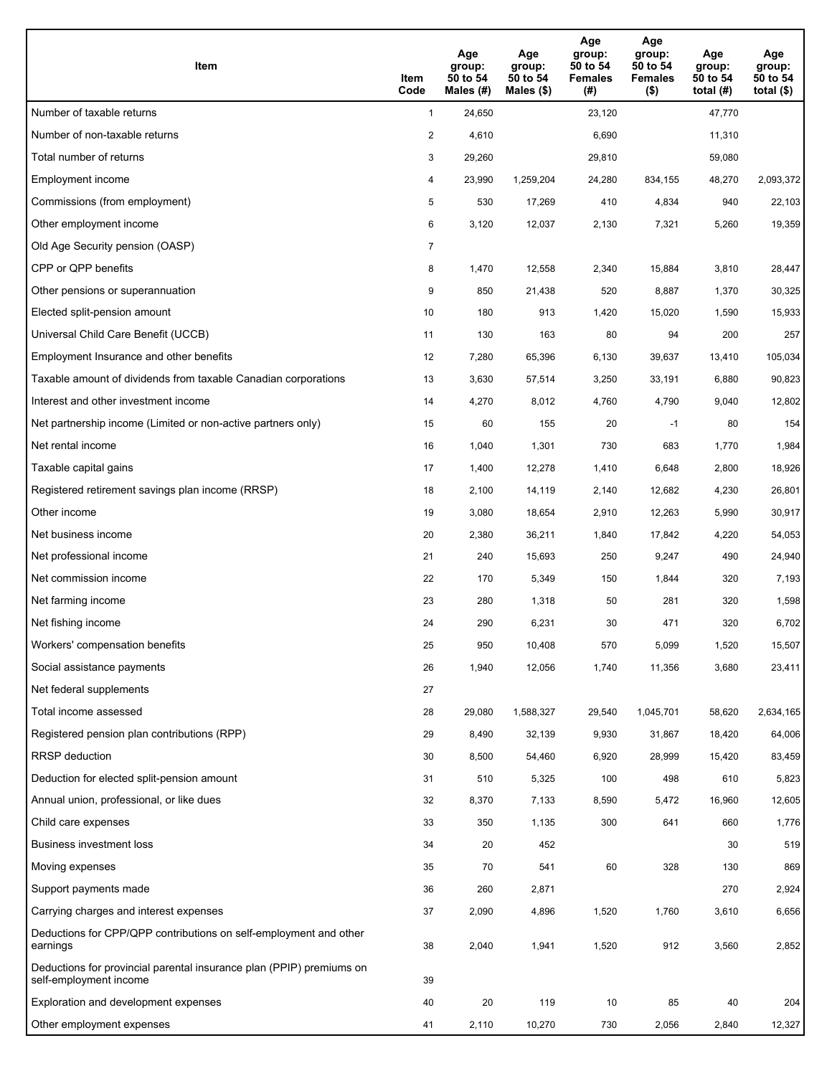| Item                                                                                           | Item<br>Code   | Age<br>group:<br>50 to 54<br>Males (#) | Age<br>group:<br>50 to 54<br>Males $(\$)$ | Age<br>group:<br>50 to 54<br><b>Females</b><br>(#) | Age<br>group:<br>50 to 54<br><b>Females</b><br>$($ \$) | Age<br>group:<br>50 to 54<br>total $(H)$ | Age<br>group:<br>50 to 54<br>total $($ |
|------------------------------------------------------------------------------------------------|----------------|----------------------------------------|-------------------------------------------|----------------------------------------------------|--------------------------------------------------------|------------------------------------------|----------------------------------------|
| Number of taxable returns                                                                      | $\mathbf{1}$   | 24,650                                 |                                           | 23,120                                             |                                                        | 47,770                                   |                                        |
| Number of non-taxable returns                                                                  | $\overline{a}$ | 4,610                                  |                                           | 6,690                                              |                                                        | 11,310                                   |                                        |
| Total number of returns                                                                        | 3              | 29,260                                 |                                           | 29,810                                             |                                                        | 59,080                                   |                                        |
| Employment income                                                                              | 4              | 23,990                                 | 1,259,204                                 | 24,280                                             | 834,155                                                | 48,270                                   | 2,093,372                              |
| Commissions (from employment)                                                                  | 5              | 530                                    | 17,269                                    | 410                                                | 4,834                                                  | 940                                      | 22,103                                 |
| Other employment income                                                                        | 6              | 3,120                                  | 12,037                                    | 2,130                                              | 7,321                                                  | 5,260                                    | 19,359                                 |
| Old Age Security pension (OASP)                                                                | $\overline{7}$ |                                        |                                           |                                                    |                                                        |                                          |                                        |
| CPP or QPP benefits                                                                            | 8              | 1,470                                  | 12,558                                    | 2,340                                              | 15,884                                                 | 3,810                                    | 28,447                                 |
| Other pensions or superannuation                                                               | 9              | 850                                    | 21,438                                    | 520                                                | 8,887                                                  | 1,370                                    | 30,325                                 |
| Elected split-pension amount                                                                   | 10             | 180                                    | 913                                       | 1,420                                              | 15,020                                                 | 1,590                                    | 15,933                                 |
| Universal Child Care Benefit (UCCB)                                                            | 11             | 130                                    | 163                                       | 80                                                 | 94                                                     | 200                                      | 257                                    |
| Employment Insurance and other benefits                                                        | 12             | 7,280                                  | 65,396                                    | 6,130                                              | 39,637                                                 | 13,410                                   | 105,034                                |
| Taxable amount of dividends from taxable Canadian corporations                                 | 13             | 3,630                                  | 57,514                                    | 3,250                                              | 33,191                                                 | 6,880                                    | 90,823                                 |
| Interest and other investment income                                                           | 14             | 4,270                                  | 8,012                                     | 4,760                                              | 4,790                                                  | 9,040                                    | 12,802                                 |
| Net partnership income (Limited or non-active partners only)                                   | 15             | 60                                     | 155                                       | 20                                                 | $-1$                                                   | 80                                       | 154                                    |
| Net rental income                                                                              | 16             | 1,040                                  | 1,301                                     | 730                                                | 683                                                    | 1,770                                    | 1,984                                  |
| Taxable capital gains                                                                          | 17             | 1,400                                  | 12,278                                    | 1,410                                              | 6,648                                                  | 2,800                                    | 18,926                                 |
| Registered retirement savings plan income (RRSP)                                               | 18             | 2,100                                  | 14,119                                    | 2,140                                              | 12,682                                                 | 4,230                                    | 26,801                                 |
| Other income                                                                                   | 19             | 3,080                                  | 18,654                                    | 2,910                                              | 12,263                                                 | 5,990                                    | 30,917                                 |
| Net business income                                                                            | 20             | 2,380                                  | 36,211                                    | 1,840                                              | 17,842                                                 | 4,220                                    | 54,053                                 |
| Net professional income                                                                        | 21             | 240                                    | 15,693                                    | 250                                                | 9,247                                                  | 490                                      | 24,940                                 |
| Net commission income                                                                          | 22             | 170                                    | 5,349                                     | 150                                                | 1,844                                                  | 320                                      | 7,193                                  |
| Net farming income                                                                             | 23             | 280                                    | 1,318                                     | 50                                                 | 281                                                    | 320                                      | 1,598                                  |
| Net fishing income                                                                             | 24             | 290                                    | 6,231                                     | 30                                                 | 471                                                    | 320                                      | 6,702                                  |
| Workers' compensation benefits                                                                 | 25             | 950                                    | 10,408                                    | 570                                                | 5,099                                                  | 1,520                                    | 15,507                                 |
| Social assistance payments                                                                     | 26             | 1,940                                  | 12,056                                    | 1,740                                              | 11,356                                                 | 3,680                                    | 23,411                                 |
| Net federal supplements                                                                        | 27             |                                        |                                           |                                                    |                                                        |                                          |                                        |
| Total income assessed                                                                          | 28             | 29,080                                 | 1,588,327                                 | 29,540                                             | 1,045,701                                              | 58,620                                   | 2,634,165                              |
| Registered pension plan contributions (RPP)                                                    | 29             | 8,490                                  | 32,139                                    | 9,930                                              | 31,867                                                 | 18,420                                   | 64,006                                 |
| RRSP deduction                                                                                 | 30             | 8,500                                  | 54,460                                    | 6,920                                              | 28,999                                                 | 15,420                                   | 83,459                                 |
| Deduction for elected split-pension amount                                                     | 31             | 510                                    | 5,325                                     | 100                                                | 498                                                    | 610                                      | 5,823                                  |
| Annual union, professional, or like dues                                                       | 32             | 8,370                                  | 7,133                                     | 8,590                                              | 5,472                                                  | 16,960                                   | 12,605                                 |
| Child care expenses                                                                            | 33             | 350                                    | 1,135                                     | 300                                                | 641                                                    | 660                                      | 1,776                                  |
| Business investment loss                                                                       | 34             | 20                                     | 452                                       |                                                    |                                                        | 30                                       | 519                                    |
| Moving expenses                                                                                | 35             | 70                                     | 541                                       | 60                                                 | 328                                                    | 130                                      | 869                                    |
| Support payments made                                                                          | 36             | 260                                    | 2,871                                     |                                                    |                                                        | 270                                      | 2,924                                  |
| Carrying charges and interest expenses                                                         | 37             | 2,090                                  | 4,896                                     | 1,520                                              | 1,760                                                  | 3,610                                    | 6,656                                  |
| Deductions for CPP/QPP contributions on self-employment and other<br>earnings                  | 38             | 2,040                                  | 1,941                                     | 1,520                                              | 912                                                    | 3,560                                    | 2,852                                  |
| Deductions for provincial parental insurance plan (PPIP) premiums on<br>self-employment income | 39             |                                        |                                           |                                                    |                                                        |                                          |                                        |
| Exploration and development expenses                                                           | 40             | 20                                     | 119                                       | 10                                                 | 85                                                     | 40                                       | 204                                    |
| Other employment expenses                                                                      | 41             | 2,110                                  | 10,270                                    | 730                                                | 2,056                                                  | 2,840                                    | 12,327                                 |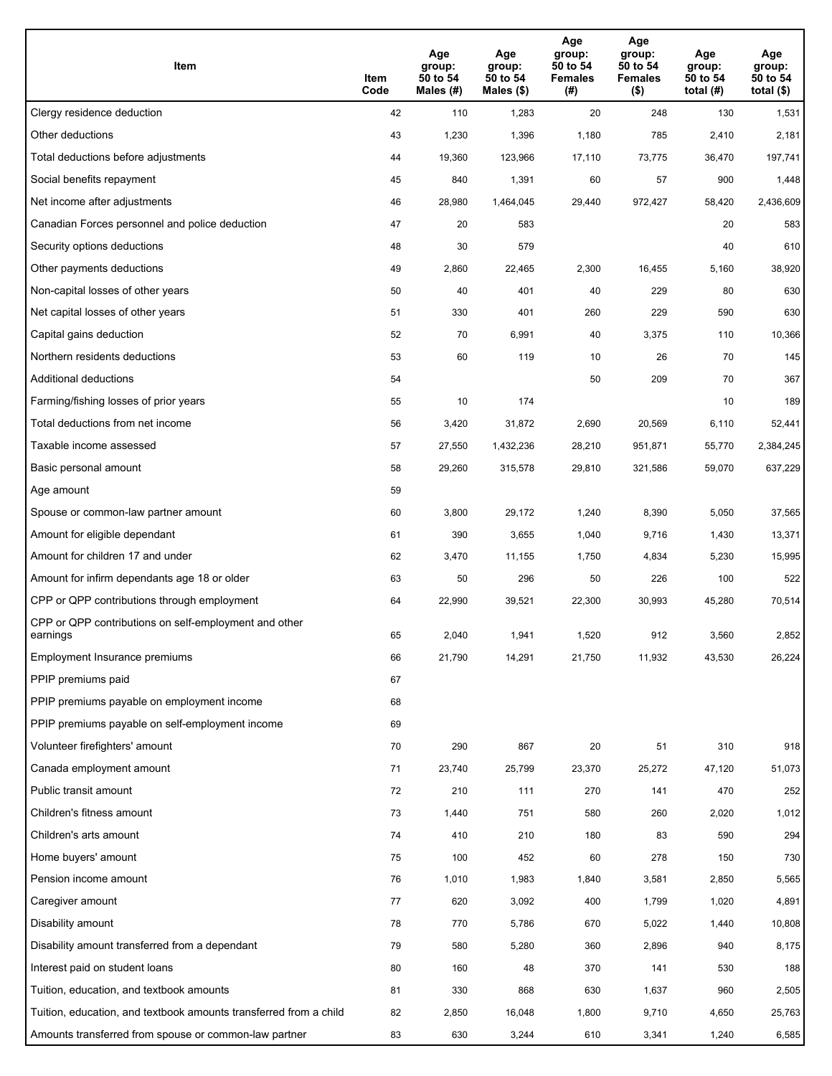| Item                                                              | Item<br>Code | Age<br>group:<br>50 to 54<br>Males (#) | Age<br>group:<br>50 to 54<br>Males (\$) | Age<br>group:<br>50 to 54<br><b>Females</b><br>(# ) | Age<br>group:<br>50 to 54<br><b>Females</b><br>$($ \$) | Age<br>group:<br>50 to 54<br>total $(H)$ | Age<br>group:<br>50 to 54<br>total $($)$ |
|-------------------------------------------------------------------|--------------|----------------------------------------|-----------------------------------------|-----------------------------------------------------|--------------------------------------------------------|------------------------------------------|------------------------------------------|
| Clergy residence deduction                                        | 42           | 110                                    | 1,283                                   | 20                                                  | 248                                                    | 130                                      | 1,531                                    |
| Other deductions                                                  | 43           | 1,230                                  | 1,396                                   | 1,180                                               | 785                                                    | 2,410                                    | 2,181                                    |
| Total deductions before adjustments                               | 44           | 19,360                                 | 123,966                                 | 17,110                                              | 73,775                                                 | 36,470                                   | 197,741                                  |
| Social benefits repayment                                         | 45           | 840                                    | 1,391                                   | 60                                                  | 57                                                     | 900                                      | 1,448                                    |
| Net income after adjustments                                      | 46           | 28,980                                 | 1,464,045                               | 29,440                                              | 972,427                                                | 58,420                                   | 2,436,609                                |
| Canadian Forces personnel and police deduction                    | 47           | 20                                     | 583                                     |                                                     |                                                        | 20                                       | 583                                      |
| Security options deductions                                       | 48           | 30                                     | 579                                     |                                                     |                                                        | 40                                       | 610                                      |
| Other payments deductions                                         | 49           | 2,860                                  | 22,465                                  | 2,300                                               | 16,455                                                 | 5,160                                    | 38,920                                   |
| Non-capital losses of other years                                 | 50           | 40                                     | 401                                     | 40                                                  | 229                                                    | 80                                       | 630                                      |
| Net capital losses of other years                                 | 51           | 330                                    | 401                                     | 260                                                 | 229                                                    | 590                                      | 630                                      |
| Capital gains deduction                                           | 52           | 70                                     | 6,991                                   | 40                                                  | 3,375                                                  | 110                                      | 10,366                                   |
| Northern residents deductions                                     | 53           | 60                                     | 119                                     | 10                                                  | 26                                                     | 70                                       | 145                                      |
| Additional deductions                                             | 54           |                                        |                                         | 50                                                  | 209                                                    | 70                                       | 367                                      |
| Farming/fishing losses of prior years                             | 55           | 10                                     | 174                                     |                                                     |                                                        | 10                                       | 189                                      |
| Total deductions from net income                                  | 56           | 3,420                                  | 31,872                                  | 2,690                                               | 20,569                                                 | 6,110                                    | 52,441                                   |
| Taxable income assessed                                           | 57           | 27,550                                 | 1,432,236                               | 28,210                                              | 951,871                                                | 55,770                                   | 2,384,245                                |
| Basic personal amount                                             | 58           | 29,260                                 | 315,578                                 | 29,810                                              | 321,586                                                | 59,070                                   | 637,229                                  |
| Age amount                                                        | 59           |                                        |                                         |                                                     |                                                        |                                          |                                          |
| Spouse or common-law partner amount                               | 60           | 3,800                                  | 29,172                                  | 1,240                                               | 8,390                                                  | 5,050                                    | 37,565                                   |
| Amount for eligible dependant                                     | 61           | 390                                    | 3,655                                   | 1,040                                               | 9,716                                                  | 1,430                                    | 13,371                                   |
| Amount for children 17 and under                                  | 62           | 3,470                                  | 11,155                                  | 1,750                                               | 4,834                                                  | 5,230                                    | 15,995                                   |
| Amount for infirm dependants age 18 or older                      | 63           | 50                                     | 296                                     | 50                                                  | 226                                                    | 100                                      | 522                                      |
| CPP or QPP contributions through employment                       | 64           | 22,990                                 | 39,521                                  | 22,300                                              | 30,993                                                 | 45,280                                   | 70,514                                   |
| CPP or QPP contributions on self-employment and other<br>earnings | 65           | 2,040                                  | 1,941                                   | 1,520                                               | 912                                                    | 3,560                                    | 2,852                                    |
| Employment Insurance premiums                                     | 66           | 21,790                                 | 14,291                                  | 21,750                                              | 11,932                                                 | 43,530                                   | 26,224                                   |
| PPIP premiums paid                                                | 67           |                                        |                                         |                                                     |                                                        |                                          |                                          |
| PPIP premiums payable on employment income                        | 68           |                                        |                                         |                                                     |                                                        |                                          |                                          |
| PPIP premiums payable on self-employment income                   | 69           |                                        |                                         |                                                     |                                                        |                                          |                                          |
| Volunteer firefighters' amount                                    | 70           | 290                                    | 867                                     | 20                                                  | 51                                                     | 310                                      | 918                                      |
| Canada employment amount                                          | 71           | 23,740                                 | 25,799                                  | 23,370                                              | 25,272                                                 | 47,120                                   | 51,073                                   |
| Public transit amount                                             | 72           | 210                                    | 111                                     | 270                                                 | 141                                                    | 470                                      | 252                                      |
| Children's fitness amount                                         | 73           | 1,440                                  | 751                                     | 580                                                 | 260                                                    | 2,020                                    | 1,012                                    |
| Children's arts amount                                            | 74           | 410                                    | 210                                     | 180                                                 | 83                                                     | 590                                      | 294                                      |
| Home buyers' amount                                               | 75           | 100                                    | 452                                     | 60                                                  | 278                                                    | 150                                      | 730                                      |
| Pension income amount                                             | 76           | 1,010                                  | 1,983                                   | 1,840                                               | 3,581                                                  | 2,850                                    | 5,565                                    |
| Caregiver amount                                                  | $77 \,$      | 620                                    | 3,092                                   | 400                                                 | 1,799                                                  | 1,020                                    | 4,891                                    |
| Disability amount                                                 | 78           | 770                                    | 5,786                                   | 670                                                 | 5,022                                                  | 1,440                                    | 10,808                                   |
| Disability amount transferred from a dependant                    | 79           | 580                                    | 5,280                                   | 360                                                 | 2,896                                                  | 940                                      | 8,175                                    |
| Interest paid on student loans                                    | 80           | 160                                    | 48                                      | 370                                                 | 141                                                    | 530                                      | 188                                      |
| Tuition, education, and textbook amounts                          | 81           | 330                                    | 868                                     | 630                                                 | 1,637                                                  | 960                                      | 2,505                                    |
| Tuition, education, and textbook amounts transferred from a child | 82           | 2,850                                  | 16,048                                  | 1,800                                               | 9,710                                                  | 4,650                                    | 25,763                                   |
| Amounts transferred from spouse or common-law partner             | 83           | 630                                    | 3,244                                   | 610                                                 | 3,341                                                  | 1,240                                    | 6,585                                    |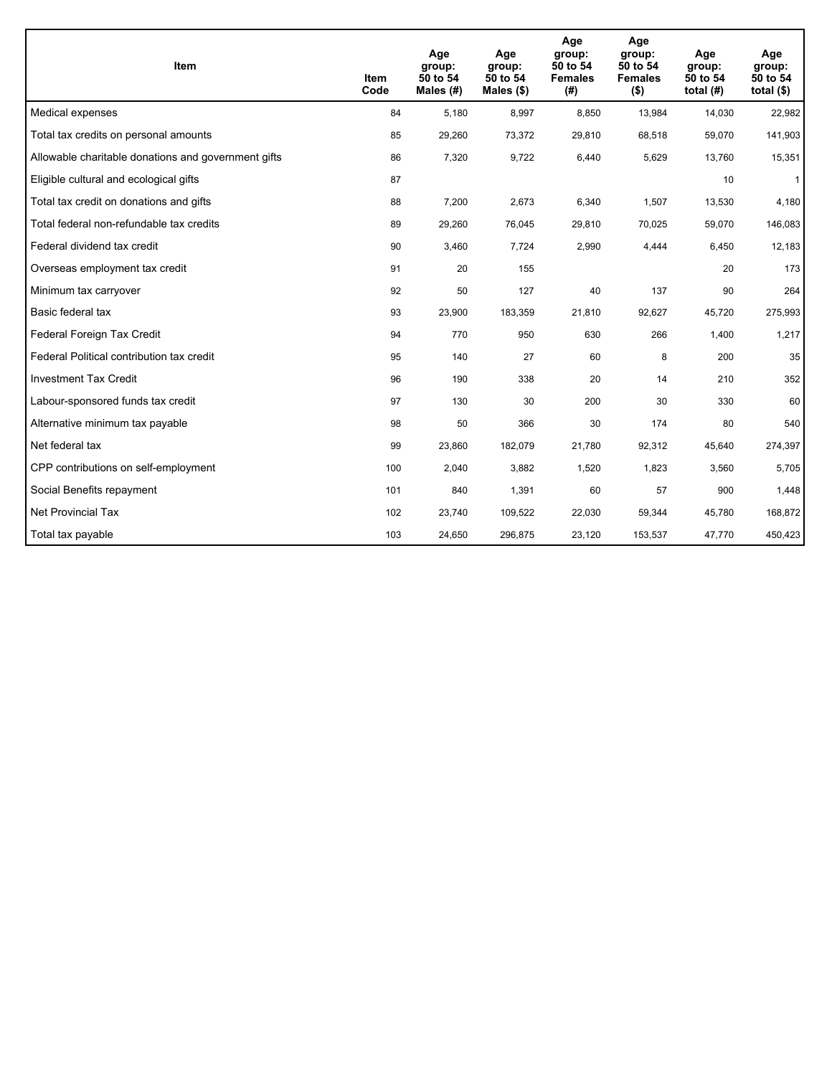| <b>Item</b>                                         | Item<br>Code | Age<br>group:<br>50 to 54<br>Males $(H)$ | Age<br>group:<br>50 to 54<br>Males $(\$)$ | Age<br>group:<br>50 to 54<br><b>Females</b><br>(#) | Age<br>group:<br>50 to 54<br><b>Females</b><br>$($ \$) | Age<br>group:<br>50 to 54<br>total $(H)$ | Age<br>group:<br>50 to 54<br>total $($)$ |
|-----------------------------------------------------|--------------|------------------------------------------|-------------------------------------------|----------------------------------------------------|--------------------------------------------------------|------------------------------------------|------------------------------------------|
| Medical expenses                                    | 84           | 5,180                                    | 8,997                                     | 8,850                                              | 13,984                                                 | 14,030                                   | 22,982                                   |
| Total tax credits on personal amounts               | 85           | 29,260                                   | 73,372                                    | 29,810                                             | 68,518                                                 | 59,070                                   | 141,903                                  |
| Allowable charitable donations and government gifts | 86           | 7,320                                    | 9,722                                     | 6,440                                              | 5,629                                                  | 13,760                                   | 15,351                                   |
| Eligible cultural and ecological gifts              | 87           |                                          |                                           |                                                    |                                                        | 10                                       | $\mathbf{1}$                             |
| Total tax credit on donations and gifts             | 88           | 7,200                                    | 2,673                                     | 6,340                                              | 1,507                                                  | 13,530                                   | 4,180                                    |
| Total federal non-refundable tax credits            | 89           | 29,260                                   | 76,045                                    | 29,810                                             | 70,025                                                 | 59,070                                   | 146,083                                  |
| Federal dividend tax credit                         | 90           | 3,460                                    | 7,724                                     | 2,990                                              | 4,444                                                  | 6,450                                    | 12,183                                   |
| Overseas employment tax credit                      | 91           | 20                                       | 155                                       |                                                    |                                                        | 20                                       | 173                                      |
| Minimum tax carryover                               | 92           | 50                                       | 127                                       | 40                                                 | 137                                                    | 90                                       | 264                                      |
| Basic federal tax                                   | 93           | 23,900                                   | 183,359                                   | 21,810                                             | 92.627                                                 | 45,720                                   | 275,993                                  |
| Federal Foreign Tax Credit                          | 94           | 770                                      | 950                                       | 630                                                | 266                                                    | 1,400                                    | 1,217                                    |
| Federal Political contribution tax credit           | 95           | 140                                      | 27                                        | 60                                                 | 8                                                      | 200                                      | 35                                       |
| <b>Investment Tax Credit</b>                        | 96           | 190                                      | 338                                       | 20                                                 | 14                                                     | 210                                      | 352                                      |
| Labour-sponsored funds tax credit                   | 97           | 130                                      | 30                                        | 200                                                | 30                                                     | 330                                      | 60                                       |
| Alternative minimum tax payable                     | 98           | 50                                       | 366                                       | 30                                                 | 174                                                    | 80                                       | 540                                      |
| Net federal tax                                     | 99           | 23,860                                   | 182,079                                   | 21,780                                             | 92,312                                                 | 45,640                                   | 274,397                                  |
| CPP contributions on self-employment                | 100          | 2,040                                    | 3,882                                     | 1,520                                              | 1,823                                                  | 3,560                                    | 5,705                                    |
| Social Benefits repayment                           | 101          | 840                                      | 1,391                                     | 60                                                 | 57                                                     | 900                                      | 1,448                                    |
| <b>Net Provincial Tax</b>                           | 102          | 23,740                                   | 109,522                                   | 22,030                                             | 59,344                                                 | 45,780                                   | 168,872                                  |
| Total tax payable                                   | 103          | 24,650                                   | 296,875                                   | 23,120                                             | 153,537                                                | 47,770                                   | 450,423                                  |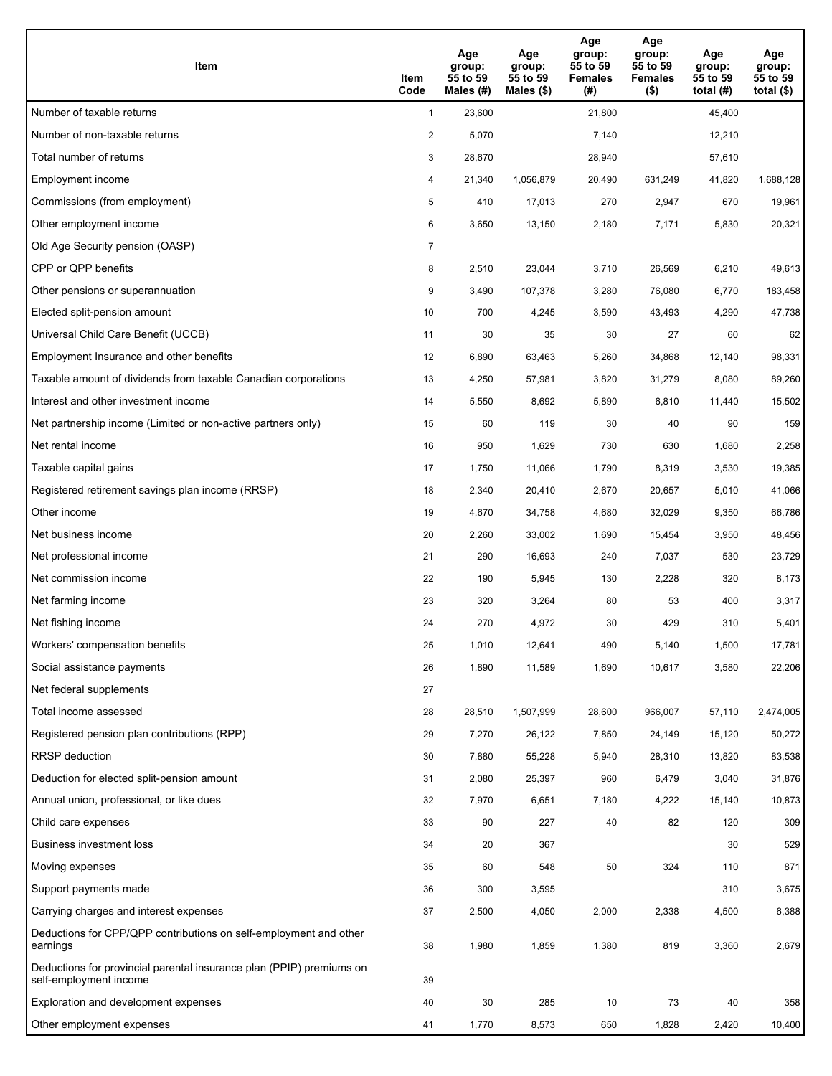| Item                                                                                           | Item<br>Code   | Age<br>group:<br>55 to 59<br>Males (#) | Age<br>group:<br>55 to 59<br>Males $(\$)$ | Age<br>group:<br>55 to 59<br><b>Females</b><br>(#) | Age<br>group:<br>55 to 59<br><b>Females</b><br>$($ \$) | Age<br>group:<br>55 to 59<br>total $(#)$ | Age<br>group:<br>55 to 59<br>total $($ |
|------------------------------------------------------------------------------------------------|----------------|----------------------------------------|-------------------------------------------|----------------------------------------------------|--------------------------------------------------------|------------------------------------------|----------------------------------------|
| Number of taxable returns                                                                      | $\mathbf{1}$   | 23,600                                 |                                           | 21,800                                             |                                                        | 45,400                                   |                                        |
| Number of non-taxable returns                                                                  | $\overline{a}$ | 5,070                                  |                                           | 7,140                                              |                                                        | 12,210                                   |                                        |
| Total number of returns                                                                        | 3              | 28,670                                 |                                           | 28,940                                             |                                                        | 57,610                                   |                                        |
| Employment income                                                                              | 4              | 21,340                                 | 1.056.879                                 | 20,490                                             | 631.249                                                | 41,820                                   | 1,688,128                              |
| Commissions (from employment)                                                                  | 5              | 410                                    | 17,013                                    | 270                                                | 2,947                                                  | 670                                      | 19,961                                 |
| Other employment income                                                                        | 6              | 3,650                                  | 13,150                                    | 2,180                                              | 7,171                                                  | 5,830                                    | 20,321                                 |
| Old Age Security pension (OASP)                                                                | 7              |                                        |                                           |                                                    |                                                        |                                          |                                        |
| CPP or QPP benefits                                                                            | 8              | 2,510                                  | 23,044                                    | 3,710                                              | 26,569                                                 | 6,210                                    | 49,613                                 |
| Other pensions or superannuation                                                               | 9              | 3,490                                  | 107,378                                   | 3,280                                              | 76,080                                                 | 6,770                                    | 183,458                                |
| Elected split-pension amount                                                                   | 10             | 700                                    | 4,245                                     | 3,590                                              | 43,493                                                 | 4,290                                    | 47,738                                 |
| Universal Child Care Benefit (UCCB)                                                            | 11             | 30                                     | 35                                        | 30                                                 | 27                                                     | 60                                       | 62                                     |
| Employment Insurance and other benefits                                                        | 12             | 6,890                                  | 63,463                                    | 5,260                                              | 34,868                                                 | 12,140                                   | 98,331                                 |
| Taxable amount of dividends from taxable Canadian corporations                                 | 13             | 4,250                                  | 57,981                                    | 3,820                                              | 31,279                                                 | 8,080                                    | 89,260                                 |
| Interest and other investment income                                                           | 14             | 5,550                                  | 8,692                                     | 5,890                                              | 6,810                                                  | 11,440                                   | 15,502                                 |
| Net partnership income (Limited or non-active partners only)                                   | 15             | 60                                     | 119                                       | 30                                                 | 40                                                     | 90                                       | 159                                    |
| Net rental income                                                                              | 16             | 950                                    | 1,629                                     | 730                                                | 630                                                    | 1,680                                    | 2,258                                  |
| Taxable capital gains                                                                          | 17             | 1,750                                  | 11,066                                    | 1,790                                              | 8,319                                                  | 3,530                                    | 19,385                                 |
| Registered retirement savings plan income (RRSP)                                               | 18             | 2,340                                  | 20,410                                    | 2,670                                              | 20,657                                                 | 5,010                                    | 41,066                                 |
| Other income                                                                                   | 19             | 4,670                                  | 34,758                                    | 4,680                                              | 32,029                                                 | 9,350                                    | 66,786                                 |
| Net business income                                                                            | 20             | 2,260                                  | 33,002                                    | 1,690                                              | 15,454                                                 | 3,950                                    | 48,456                                 |
| Net professional income                                                                        | 21             | 290                                    | 16,693                                    | 240                                                | 7,037                                                  | 530                                      | 23,729                                 |
| Net commission income                                                                          | 22             | 190                                    | 5,945                                     | 130                                                | 2,228                                                  | 320                                      | 8,173                                  |
| Net farming income                                                                             | 23             | 320                                    | 3,264                                     | 80                                                 | 53                                                     | 400                                      | 3,317                                  |
| Net fishing income                                                                             | 24             | 270                                    | 4,972                                     | 30                                                 | 429                                                    | 310                                      | 5,401                                  |
| Workers' compensation benefits                                                                 | 25             | 1,010                                  | 12,641                                    | 490                                                | 5,140                                                  | 1,500                                    | 17,781                                 |
| Social assistance payments                                                                     | 26             | 1,890                                  | 11,589                                    | 1,690                                              | 10,617                                                 | 3,580                                    | 22,206                                 |
| Net federal supplements                                                                        | 27             |                                        |                                           |                                                    |                                                        |                                          |                                        |
| Total income assessed                                                                          | 28             | 28,510                                 | 1,507,999                                 | 28,600                                             | 966,007                                                | 57,110                                   | 2,474,005                              |
| Registered pension plan contributions (RPP)                                                    | 29             | 7,270                                  | 26,122                                    | 7,850                                              | 24,149                                                 | 15,120                                   | 50,272                                 |
| RRSP deduction                                                                                 | 30             | 7,880                                  | 55,228                                    | 5,940                                              | 28,310                                                 | 13,820                                   | 83,538                                 |
| Deduction for elected split-pension amount                                                     | 31             | 2,080                                  | 25,397                                    | 960                                                | 6,479                                                  | 3,040                                    | 31,876                                 |
| Annual union, professional, or like dues                                                       | 32             | 7,970                                  | 6,651                                     | 7,180                                              | 4,222                                                  | 15,140                                   | 10,873                                 |
| Child care expenses                                                                            | 33             | 90                                     | 227                                       | 40                                                 | 82                                                     | 120                                      | 309                                    |
| Business investment loss                                                                       | 34             | 20                                     | 367                                       |                                                    |                                                        | 30                                       | 529                                    |
| Moving expenses                                                                                | 35             | 60                                     | 548                                       | 50                                                 | 324                                                    | 110                                      | 871                                    |
| Support payments made                                                                          | 36             | 300                                    | 3,595                                     |                                                    |                                                        | 310                                      | 3,675                                  |
| Carrying charges and interest expenses                                                         | 37             | 2,500                                  | 4,050                                     | 2,000                                              | 2,338                                                  | 4,500                                    | 6,388                                  |
| Deductions for CPP/QPP contributions on self-employment and other<br>earnings                  | 38             | 1,980                                  | 1,859                                     | 1,380                                              | 819                                                    | 3,360                                    | 2,679                                  |
| Deductions for provincial parental insurance plan (PPIP) premiums on<br>self-employment income | 39             |                                        |                                           |                                                    |                                                        |                                          |                                        |
| Exploration and development expenses                                                           | 40             | 30                                     | 285                                       | 10                                                 | 73                                                     | 40                                       | 358                                    |
| Other employment expenses                                                                      | 41             | 1,770                                  | 8,573                                     | 650                                                | 1,828                                                  | 2,420                                    | 10,400                                 |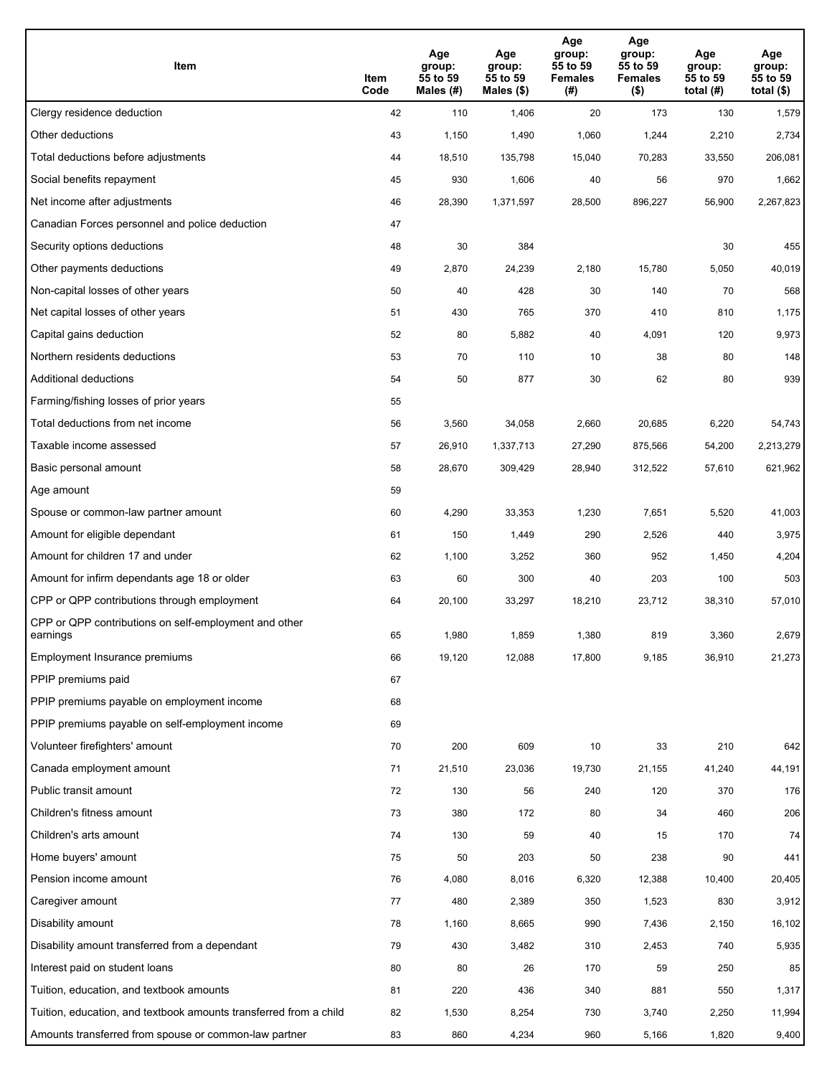| Item                                                              | Item<br>Code | Age<br>group:<br>55 to 59<br>Males (#) | Age<br>group:<br>55 to 59<br>Males (\$) | Age<br>group:<br>55 to 59<br><b>Females</b><br>(# ) | Age<br>group:<br>55 to 59<br><b>Females</b><br>$($ \$) | Age<br>group:<br>55 to 59<br>total $(H)$ | Age<br>group:<br>55 to 59<br>total $($)$ |
|-------------------------------------------------------------------|--------------|----------------------------------------|-----------------------------------------|-----------------------------------------------------|--------------------------------------------------------|------------------------------------------|------------------------------------------|
| Clergy residence deduction                                        | 42           | 110                                    | 1,406                                   | 20                                                  | 173                                                    | 130                                      | 1,579                                    |
| Other deductions                                                  | 43           | 1,150                                  | 1,490                                   | 1,060                                               | 1,244                                                  | 2,210                                    | 2,734                                    |
| Total deductions before adjustments                               | 44           | 18,510                                 | 135,798                                 | 15,040                                              | 70,283                                                 | 33,550                                   | 206,081                                  |
| Social benefits repayment                                         | 45           | 930                                    | 1,606                                   | 40                                                  | 56                                                     | 970                                      | 1,662                                    |
| Net income after adjustments                                      | 46           | 28,390                                 | 1,371,597                               | 28,500                                              | 896,227                                                | 56,900                                   | 2,267,823                                |
| Canadian Forces personnel and police deduction                    | 47           |                                        |                                         |                                                     |                                                        |                                          |                                          |
| Security options deductions                                       | 48           | 30                                     | 384                                     |                                                     |                                                        | 30                                       | 455                                      |
| Other payments deductions                                         | 49           | 2,870                                  | 24,239                                  | 2,180                                               | 15,780                                                 | 5,050                                    | 40,019                                   |
| Non-capital losses of other years                                 | 50           | 40                                     | 428                                     | 30                                                  | 140                                                    | 70                                       | 568                                      |
| Net capital losses of other years                                 | 51           | 430                                    | 765                                     | 370                                                 | 410                                                    | 810                                      | 1,175                                    |
| Capital gains deduction                                           | 52           | 80                                     | 5,882                                   | 40                                                  | 4,091                                                  | 120                                      | 9,973                                    |
| Northern residents deductions                                     | 53           | 70                                     | 110                                     | 10                                                  | 38                                                     | 80                                       | 148                                      |
| Additional deductions                                             | 54           | 50                                     | 877                                     | 30                                                  | 62                                                     | 80                                       | 939                                      |
| Farming/fishing losses of prior years                             | 55           |                                        |                                         |                                                     |                                                        |                                          |                                          |
| Total deductions from net income                                  | 56           | 3,560                                  | 34,058                                  | 2,660                                               | 20,685                                                 | 6,220                                    | 54,743                                   |
| Taxable income assessed                                           | 57           | 26,910                                 | 1,337,713                               | 27,290                                              | 875,566                                                | 54,200                                   | 2,213,279                                |
| Basic personal amount                                             | 58           | 28,670                                 | 309,429                                 | 28,940                                              | 312,522                                                | 57,610                                   | 621,962                                  |
| Age amount                                                        | 59           |                                        |                                         |                                                     |                                                        |                                          |                                          |
| Spouse or common-law partner amount                               | 60           | 4,290                                  | 33,353                                  | 1,230                                               | 7,651                                                  | 5,520                                    | 41,003                                   |
| Amount for eligible dependant                                     | 61           | 150                                    | 1,449                                   | 290                                                 | 2,526                                                  | 440                                      | 3,975                                    |
| Amount for children 17 and under                                  | 62           | 1,100                                  | 3,252                                   | 360                                                 | 952                                                    | 1,450                                    | 4,204                                    |
| Amount for infirm dependants age 18 or older                      | 63           | 60                                     | 300                                     | 40                                                  | 203                                                    | 100                                      | 503                                      |
| CPP or QPP contributions through employment                       | 64           | 20,100                                 | 33,297                                  | 18,210                                              | 23,712                                                 | 38,310                                   | 57,010                                   |
| CPP or QPP contributions on self-employment and other<br>earnings | 65           | 1,980                                  | 1,859                                   | 1.380                                               | 819                                                    | 3,360                                    | 2,679                                    |
| Employment Insurance premiums                                     | 66           | 19,120                                 | 12,088                                  | 17,800                                              | 9,185                                                  | 36,910                                   | 21,273                                   |
| PPIP premiums paid                                                | 67           |                                        |                                         |                                                     |                                                        |                                          |                                          |
| PPIP premiums payable on employment income                        | 68           |                                        |                                         |                                                     |                                                        |                                          |                                          |
| PPIP premiums payable on self-employment income                   | 69           |                                        |                                         |                                                     |                                                        |                                          |                                          |
| Volunteer firefighters' amount                                    | 70           | 200                                    | 609                                     | 10                                                  | 33                                                     | 210                                      | 642                                      |
| Canada employment amount                                          | 71           | 21,510                                 | 23,036                                  | 19,730                                              | 21,155                                                 | 41,240                                   | 44,191                                   |
| Public transit amount                                             | 72           | 130                                    | 56                                      | 240                                                 | 120                                                    | 370                                      | 176                                      |
| Children's fitness amount                                         | 73           | 380                                    | 172                                     | 80                                                  | 34                                                     | 460                                      | 206                                      |
| Children's arts amount                                            | 74           | 130                                    | 59                                      | 40                                                  | 15                                                     | 170                                      | $74$                                     |
| Home buyers' amount                                               | 75           | 50                                     | 203                                     | 50                                                  | 238                                                    | 90                                       | 441                                      |
| Pension income amount                                             | 76           | 4,080                                  | 8,016                                   | 6,320                                               | 12,388                                                 | 10,400                                   | 20,405                                   |
| Caregiver amount                                                  | 77           | 480                                    | 2,389                                   | 350                                                 | 1,523                                                  | 830                                      | 3,912                                    |
| Disability amount                                                 | 78           | 1,160                                  | 8,665                                   | 990                                                 | 7,436                                                  | 2,150                                    | 16,102                                   |
| Disability amount transferred from a dependant                    | 79           | 430                                    | 3,482                                   | 310                                                 | 2,453                                                  | 740                                      | 5,935                                    |
| Interest paid on student loans                                    | 80           | 80                                     | 26                                      | 170                                                 | 59                                                     | 250                                      | 85                                       |
| Tuition, education, and textbook amounts                          | 81           | 220                                    | 436                                     | 340                                                 | 881                                                    | 550                                      | 1,317                                    |
| Tuition, education, and textbook amounts transferred from a child | 82           | 1,530                                  | 8,254                                   | 730                                                 | 3,740                                                  | 2,250                                    | 11,994                                   |
| Amounts transferred from spouse or common-law partner             | 83           | 860                                    | 4,234                                   | 960                                                 | 5,166                                                  | 1,820                                    | 9,400                                    |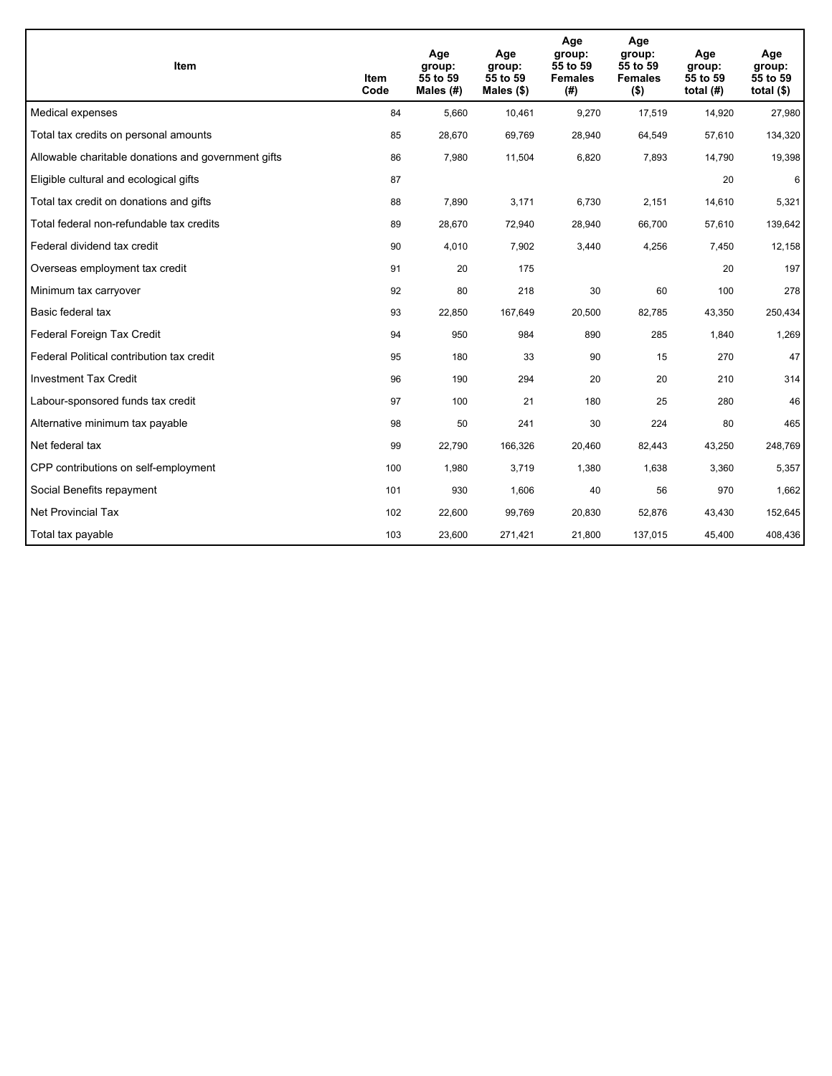| <b>Item</b>                                         | Item<br>Code | Age<br>group:<br>55 to 59<br>Males $(H)$ | Age<br>group:<br>55 to 59<br>Males $(\$)$ | Age<br>group:<br>55 to 59<br><b>Females</b><br>(# ) | Age<br>group:<br>55 to 59<br><b>Females</b><br>$($ \$) | Age<br>group:<br>55 to 59<br>total $(H)$ | Age<br>group:<br>55 to 59<br>total $($)$ |
|-----------------------------------------------------|--------------|------------------------------------------|-------------------------------------------|-----------------------------------------------------|--------------------------------------------------------|------------------------------------------|------------------------------------------|
| Medical expenses                                    | 84           | 5,660                                    | 10,461                                    | 9,270                                               | 17,519                                                 | 14,920                                   | 27,980                                   |
| Total tax credits on personal amounts               | 85           | 28,670                                   | 69,769                                    | 28,940                                              | 64,549                                                 | 57,610                                   | 134,320                                  |
| Allowable charitable donations and government gifts | 86           | 7,980                                    | 11,504                                    | 6,820                                               | 7,893                                                  | 14,790                                   | 19,398                                   |
| Eligible cultural and ecological gifts              | 87           |                                          |                                           |                                                     |                                                        | 20                                       | 6                                        |
| Total tax credit on donations and gifts             | 88           | 7,890                                    | 3,171                                     | 6,730                                               | 2,151                                                  | 14,610                                   | 5,321                                    |
| Total federal non-refundable tax credits            | 89           | 28,670                                   | 72,940                                    | 28,940                                              | 66,700                                                 | 57,610                                   | 139,642                                  |
| Federal dividend tax credit                         | 90           | 4,010                                    | 7,902                                     | 3,440                                               | 4,256                                                  | 7,450                                    | 12,158                                   |
| Overseas employment tax credit                      | 91           | 20                                       | 175                                       |                                                     |                                                        | 20                                       | 197                                      |
| Minimum tax carryover                               | 92           | 80                                       | 218                                       | 30                                                  | 60                                                     | 100                                      | 278                                      |
| Basic federal tax                                   | 93           | 22,850                                   | 167,649                                   | 20.500                                              | 82.785                                                 | 43,350                                   | 250,434                                  |
| Federal Foreign Tax Credit                          | 94           | 950                                      | 984                                       | 890                                                 | 285                                                    | 1,840                                    | 1,269                                    |
| Federal Political contribution tax credit           | 95           | 180                                      | 33                                        | 90                                                  | 15                                                     | 270                                      | 47                                       |
| <b>Investment Tax Credit</b>                        | 96           | 190                                      | 294                                       | 20                                                  | 20                                                     | 210                                      | 314                                      |
| Labour-sponsored funds tax credit                   | 97           | 100                                      | 21                                        | 180                                                 | 25                                                     | 280                                      | 46                                       |
| Alternative minimum tax payable                     | 98           | 50                                       | 241                                       | 30                                                  | 224                                                    | 80                                       | 465                                      |
| Net federal tax                                     | 99           | 22,790                                   | 166,326                                   | 20,460                                              | 82,443                                                 | 43,250                                   | 248,769                                  |
| CPP contributions on self-employment                | 100          | 1,980                                    | 3,719                                     | 1,380                                               | 1,638                                                  | 3,360                                    | 5,357                                    |
| Social Benefits repayment                           | 101          | 930                                      | 1,606                                     | 40                                                  | 56                                                     | 970                                      | 1,662                                    |
| <b>Net Provincial Tax</b>                           | 102          | 22,600                                   | 99,769                                    | 20,830                                              | 52,876                                                 | 43,430                                   | 152,645                                  |
| Total tax payable                                   | 103          | 23,600                                   | 271,421                                   | 21,800                                              | 137,015                                                | 45,400                                   | 408,436                                  |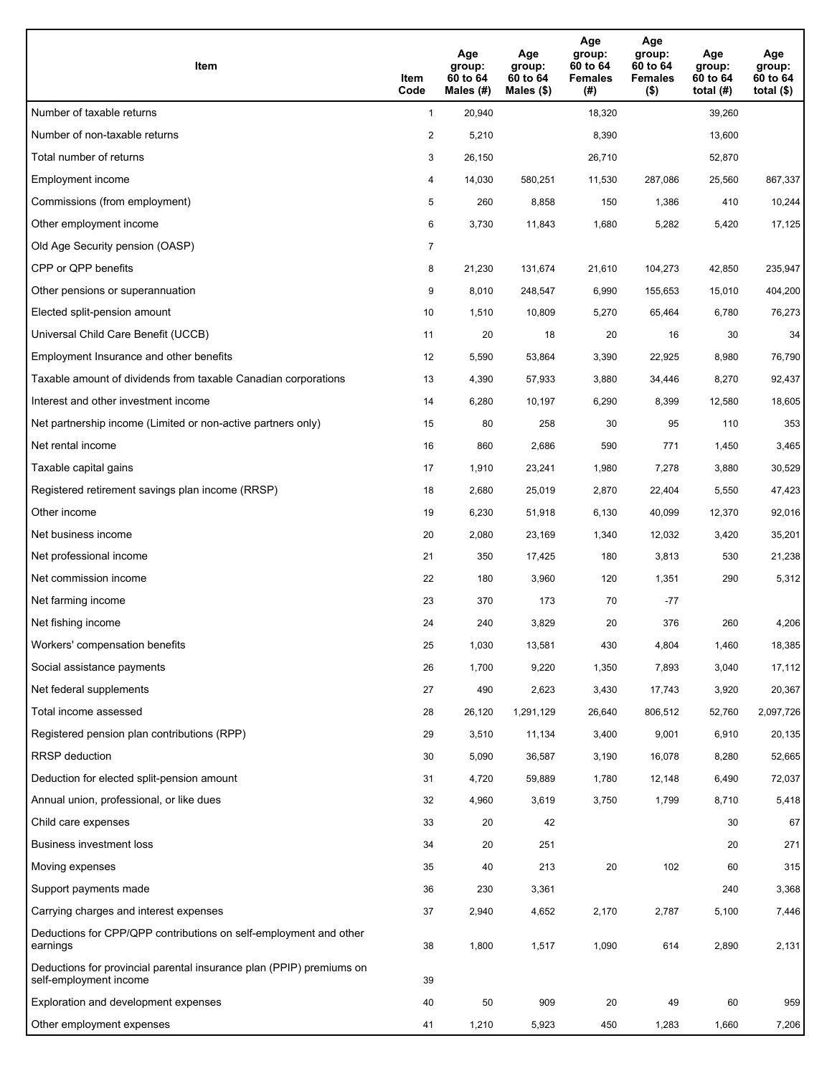| Item                                                                                           | Item<br>Code   | Age<br>group:<br>60 to 64<br>Males (#) | Age<br>group:<br>60 to 64<br>Males $(\$)$ | Age<br>group:<br>60 to 64<br><b>Females</b><br>(#) | Age<br>group:<br>60 to 64<br><b>Females</b><br>$($ \$) | Age<br>group:<br>60 to 64<br>total $(H)$ | Age<br>group:<br>60 to 64<br>total $($ |
|------------------------------------------------------------------------------------------------|----------------|----------------------------------------|-------------------------------------------|----------------------------------------------------|--------------------------------------------------------|------------------------------------------|----------------------------------------|
| Number of taxable returns                                                                      | $\mathbf{1}$   | 20,940                                 |                                           | 18,320                                             |                                                        | 39,260                                   |                                        |
| Number of non-taxable returns                                                                  | $\overline{2}$ | 5,210                                  |                                           | 8,390                                              |                                                        | 13,600                                   |                                        |
| Total number of returns                                                                        | 3              | 26,150                                 |                                           | 26,710                                             |                                                        | 52,870                                   |                                        |
| Employment income                                                                              | 4              | 14,030                                 | 580,251                                   | 11,530                                             | 287,086                                                | 25,560                                   | 867,337                                |
| Commissions (from employment)                                                                  | 5              | 260                                    | 8,858                                     | 150                                                | 1,386                                                  | 410                                      | 10,244                                 |
| Other employment income                                                                        | 6              | 3,730                                  | 11,843                                    | 1,680                                              | 5,282                                                  | 5,420                                    | 17,125                                 |
| Old Age Security pension (OASP)                                                                | 7              |                                        |                                           |                                                    |                                                        |                                          |                                        |
| CPP or QPP benefits                                                                            | 8              | 21,230                                 | 131,674                                   | 21,610                                             | 104,273                                                | 42,850                                   | 235,947                                |
| Other pensions or superannuation                                                               | 9              | 8,010                                  | 248,547                                   | 6,990                                              | 155,653                                                | 15,010                                   | 404,200                                |
| Elected split-pension amount                                                                   | 10             | 1,510                                  | 10,809                                    | 5,270                                              | 65,464                                                 | 6,780                                    | 76,273                                 |
| Universal Child Care Benefit (UCCB)                                                            | 11             | 20                                     | 18                                        | 20                                                 | 16                                                     | 30                                       | 34                                     |
| Employment Insurance and other benefits                                                        | 12             | 5,590                                  | 53,864                                    | 3,390                                              | 22,925                                                 | 8,980                                    | 76,790                                 |
| Taxable amount of dividends from taxable Canadian corporations                                 | 13             | 4,390                                  | 57,933                                    | 3,880                                              | 34,446                                                 | 8,270                                    | 92,437                                 |
| Interest and other investment income                                                           | 14             | 6,280                                  | 10,197                                    | 6,290                                              | 8,399                                                  | 12,580                                   | 18,605                                 |
| Net partnership income (Limited or non-active partners only)                                   | 15             | 80                                     | 258                                       | 30                                                 | 95                                                     | 110                                      | 353                                    |
| Net rental income                                                                              | 16             | 860                                    | 2,686                                     | 590                                                | 771                                                    | 1,450                                    | 3,465                                  |
| Taxable capital gains                                                                          | 17             | 1,910                                  | 23,241                                    | 1,980                                              | 7,278                                                  | 3,880                                    | 30,529                                 |
| Registered retirement savings plan income (RRSP)                                               | 18             | 2,680                                  | 25,019                                    | 2,870                                              | 22,404                                                 | 5,550                                    | 47,423                                 |
| Other income                                                                                   | 19             | 6,230                                  | 51,918                                    | 6,130                                              | 40,099                                                 | 12,370                                   | 92,016                                 |
| Net business income                                                                            | 20             | 2,080                                  | 23,169                                    | 1,340                                              | 12,032                                                 | 3,420                                    | 35,201                                 |
| Net professional income                                                                        | 21             | 350                                    | 17,425                                    | 180                                                | 3,813                                                  | 530                                      | 21,238                                 |
| Net commission income                                                                          | 22             | 180                                    | 3,960                                     | 120                                                | 1,351                                                  | 290                                      | 5,312                                  |
| Net farming income                                                                             | 23             | 370                                    | 173                                       | 70                                                 | $-77$                                                  |                                          |                                        |
| Net fishing income                                                                             | 24             | 240                                    | 3,829                                     | 20                                                 | 376                                                    | 260                                      | 4,206                                  |
| Workers' compensation benefits                                                                 | 25             | 1,030                                  | 13,581                                    | 430                                                | 4,804                                                  | 1,460                                    | 18,385                                 |
| Social assistance payments                                                                     | 26             | 1,700                                  | 9,220                                     | 1,350                                              | 7,893                                                  | 3,040                                    | 17,112                                 |
| Net federal supplements                                                                        | 27             | 490                                    | 2,623                                     | 3,430                                              | 17,743                                                 | 3,920                                    | 20,367                                 |
| Total income assessed                                                                          | 28             | 26,120                                 | 1,291,129                                 | 26,640                                             | 806,512                                                | 52,760                                   | 2,097,726                              |
| Registered pension plan contributions (RPP)                                                    | 29             | 3,510                                  | 11,134                                    | 3,400                                              | 9,001                                                  | 6,910                                    | 20,135                                 |
| RRSP deduction                                                                                 | 30             | 5,090                                  | 36,587                                    | 3,190                                              | 16,078                                                 | 8,280                                    | 52,665                                 |
| Deduction for elected split-pension amount                                                     | 31             | 4,720                                  | 59,889                                    | 1,780                                              | 12,148                                                 | 6,490                                    | 72,037                                 |
| Annual union, professional, or like dues                                                       | 32             | 4,960                                  | 3,619                                     | 3,750                                              | 1,799                                                  | 8,710                                    | 5,418                                  |
| Child care expenses                                                                            | 33             | 20                                     | 42                                        |                                                    |                                                        | 30                                       | 67                                     |
| Business investment loss                                                                       | 34             | 20                                     | 251                                       |                                                    |                                                        | 20                                       | 271                                    |
| Moving expenses                                                                                | 35             | 40                                     | 213                                       | 20                                                 | 102                                                    | 60                                       | 315                                    |
| Support payments made                                                                          | 36             | 230                                    | 3,361                                     |                                                    |                                                        | 240                                      | 3,368                                  |
| Carrying charges and interest expenses                                                         | 37             | 2,940                                  | 4,652                                     | 2,170                                              | 2,787                                                  | 5,100                                    | 7,446                                  |
| Deductions for CPP/QPP contributions on self-employment and other<br>earnings                  | 38             | 1,800                                  | 1,517                                     | 1,090                                              | 614                                                    | 2,890                                    | 2,131                                  |
| Deductions for provincial parental insurance plan (PPIP) premiums on<br>self-employment income | 39             |                                        |                                           |                                                    |                                                        |                                          |                                        |
| Exploration and development expenses                                                           | 40             | 50                                     | 909                                       | 20                                                 | 49                                                     | 60                                       | 959                                    |
| Other employment expenses                                                                      | 41             | 1,210                                  | 5,923                                     | 450                                                | 1,283                                                  | 1,660                                    | 7,206                                  |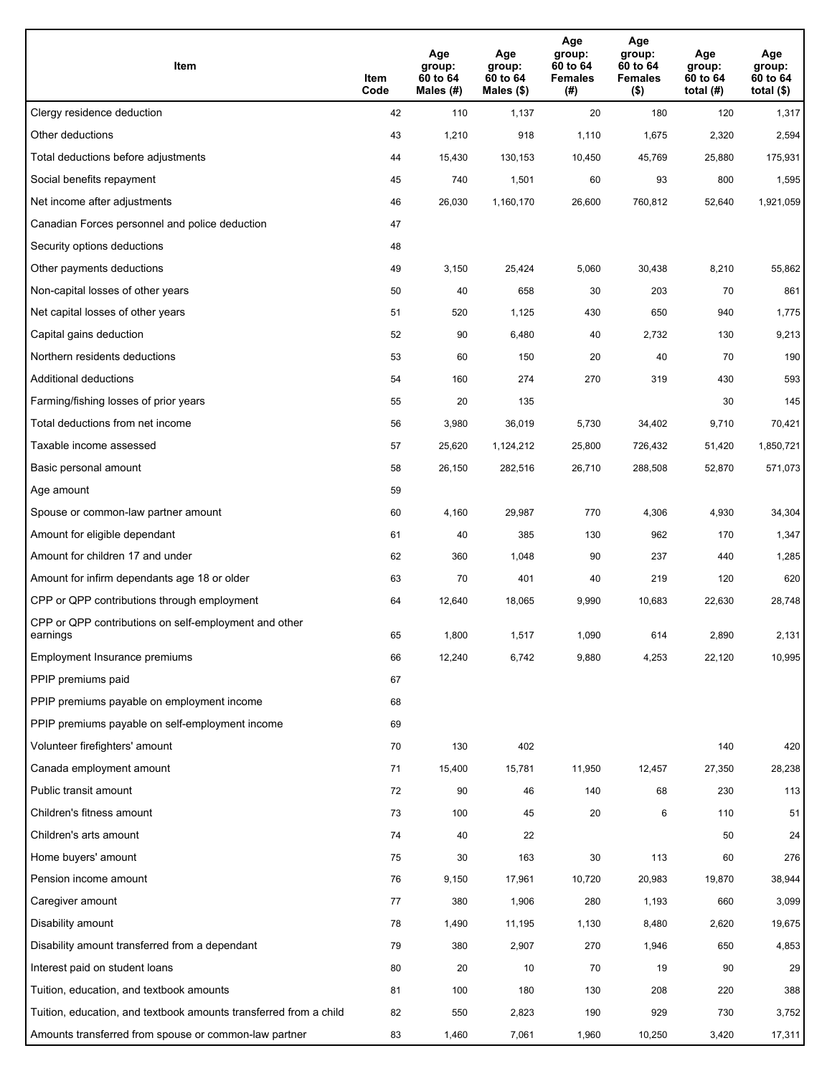| Item                                                              | Item<br>Code | Age<br>group:<br>60 to 64<br>Males (#) | Age<br>group:<br>60 to 64<br>Males (\$) | Age<br>group:<br>60 to 64<br><b>Females</b><br>(# ) | Age<br>group:<br>60 to 64<br><b>Females</b><br>$($ \$) | Age<br>group:<br>60 to 64<br>total $(#)$ | Age<br>group:<br>60 to 64<br>total $($)$ |
|-------------------------------------------------------------------|--------------|----------------------------------------|-----------------------------------------|-----------------------------------------------------|--------------------------------------------------------|------------------------------------------|------------------------------------------|
| Clergy residence deduction                                        | 42           | 110                                    | 1,137                                   | 20                                                  | 180                                                    | 120                                      | 1,317                                    |
| Other deductions                                                  | 43           | 1,210                                  | 918                                     | 1,110                                               | 1,675                                                  | 2,320                                    | 2,594                                    |
| Total deductions before adjustments                               | 44           | 15,430                                 | 130,153                                 | 10,450                                              | 45,769                                                 | 25,880                                   | 175,931                                  |
| Social benefits repayment                                         | 45           | 740                                    | 1,501                                   | 60                                                  | 93                                                     | 800                                      | 1,595                                    |
| Net income after adjustments                                      | 46           | 26,030                                 | 1,160,170                               | 26,600                                              | 760,812                                                | 52,640                                   | 1,921,059                                |
| Canadian Forces personnel and police deduction                    | 47           |                                        |                                         |                                                     |                                                        |                                          |                                          |
| Security options deductions                                       | 48           |                                        |                                         |                                                     |                                                        |                                          |                                          |
| Other payments deductions                                         | 49           | 3,150                                  | 25,424                                  | 5,060                                               | 30,438                                                 | 8,210                                    | 55,862                                   |
| Non-capital losses of other years                                 | 50           | 40                                     | 658                                     | 30                                                  | 203                                                    | 70                                       | 861                                      |
| Net capital losses of other years                                 | 51           | 520                                    | 1,125                                   | 430                                                 | 650                                                    | 940                                      | 1,775                                    |
| Capital gains deduction                                           | 52           | 90                                     | 6,480                                   | 40                                                  | 2,732                                                  | 130                                      | 9,213                                    |
| Northern residents deductions                                     | 53           | 60                                     | 150                                     | 20                                                  | 40                                                     | 70                                       | 190                                      |
| Additional deductions                                             | 54           | 160                                    | 274                                     | 270                                                 | 319                                                    | 430                                      | 593                                      |
| Farming/fishing losses of prior years                             | 55           | 20                                     | 135                                     |                                                     |                                                        | 30                                       | 145                                      |
| Total deductions from net income                                  | 56           | 3,980                                  | 36,019                                  | 5,730                                               | 34,402                                                 | 9,710                                    | 70,421                                   |
| Taxable income assessed                                           | 57           | 25,620                                 | 1,124,212                               | 25,800                                              | 726,432                                                | 51,420                                   | 1,850,721                                |
| Basic personal amount                                             | 58           | 26,150                                 | 282,516                                 | 26,710                                              | 288,508                                                | 52,870                                   | 571,073                                  |
| Age amount                                                        | 59           |                                        |                                         |                                                     |                                                        |                                          |                                          |
| Spouse or common-law partner amount                               | 60           | 4,160                                  | 29,987                                  | 770                                                 | 4,306                                                  | 4,930                                    | 34,304                                   |
| Amount for eligible dependant                                     | 61           | 40                                     | 385                                     | 130                                                 | 962                                                    | 170                                      | 1,347                                    |
| Amount for children 17 and under                                  | 62           | 360                                    | 1,048                                   | 90                                                  | 237                                                    | 440                                      | 1,285                                    |
| Amount for infirm dependants age 18 or older                      | 63           | 70                                     | 401                                     | 40                                                  | 219                                                    | 120                                      | 620                                      |
| CPP or QPP contributions through employment                       | 64           | 12,640                                 | 18,065                                  | 9,990                                               | 10,683                                                 | 22,630                                   | 28,748                                   |
| CPP or QPP contributions on self-employment and other<br>earnings | 65           | 1,800                                  | 1,517                                   | 1,090                                               | 614                                                    | 2,890                                    | 2,131                                    |
| Employment Insurance premiums                                     | 66           | 12,240                                 | 6,742                                   | 9,880                                               | 4,253                                                  | 22,120                                   | 10,995                                   |
| PPIP premiums paid                                                | 67           |                                        |                                         |                                                     |                                                        |                                          |                                          |
| PPIP premiums payable on employment income                        | 68           |                                        |                                         |                                                     |                                                        |                                          |                                          |
| PPIP premiums payable on self-employment income                   | 69           |                                        |                                         |                                                     |                                                        |                                          |                                          |
| Volunteer firefighters' amount                                    | 70           | 130                                    | 402                                     |                                                     |                                                        | 140                                      | 420                                      |
| Canada employment amount                                          | 71           | 15,400                                 | 15,781                                  | 11,950                                              | 12,457                                                 | 27,350                                   | 28,238                                   |
| Public transit amount                                             | 72           | 90                                     | 46                                      | 140                                                 | 68                                                     | 230                                      | 113                                      |
| Children's fitness amount                                         | 73           | 100                                    | 45                                      | 20                                                  | 6                                                      | 110                                      | 51                                       |
| Children's arts amount                                            | 74           | 40                                     | 22                                      |                                                     |                                                        | 50                                       | 24                                       |
| Home buyers' amount                                               | 75           | 30                                     | 163                                     | 30                                                  | 113                                                    | 60                                       | 276                                      |
| Pension income amount                                             | 76           | 9,150                                  | 17,961                                  | 10,720                                              | 20,983                                                 | 19,870                                   | 38,944                                   |
| Caregiver amount                                                  | $77\,$       | 380                                    | 1,906                                   | 280                                                 | 1,193                                                  | 660                                      | 3,099                                    |
| Disability amount                                                 | 78           | 1,490                                  | 11,195                                  | 1,130                                               | 8,480                                                  | 2,620                                    | 19,675                                   |
| Disability amount transferred from a dependant                    | 79           | 380                                    | 2,907                                   | 270                                                 | 1,946                                                  | 650                                      | 4,853                                    |
| Interest paid on student loans                                    | 80           | 20                                     | 10                                      | 70                                                  | 19                                                     | 90                                       | 29                                       |
| Tuition, education, and textbook amounts                          | 81           | 100                                    | 180                                     | 130                                                 | 208                                                    | 220                                      | 388                                      |
| Tuition, education, and textbook amounts transferred from a child | 82           | 550                                    | 2,823                                   | 190                                                 | 929                                                    | 730                                      | 3,752                                    |
| Amounts transferred from spouse or common-law partner             | 83           | 1,460                                  | 7,061                                   | 1,960                                               | 10,250                                                 | 3,420                                    | 17,311                                   |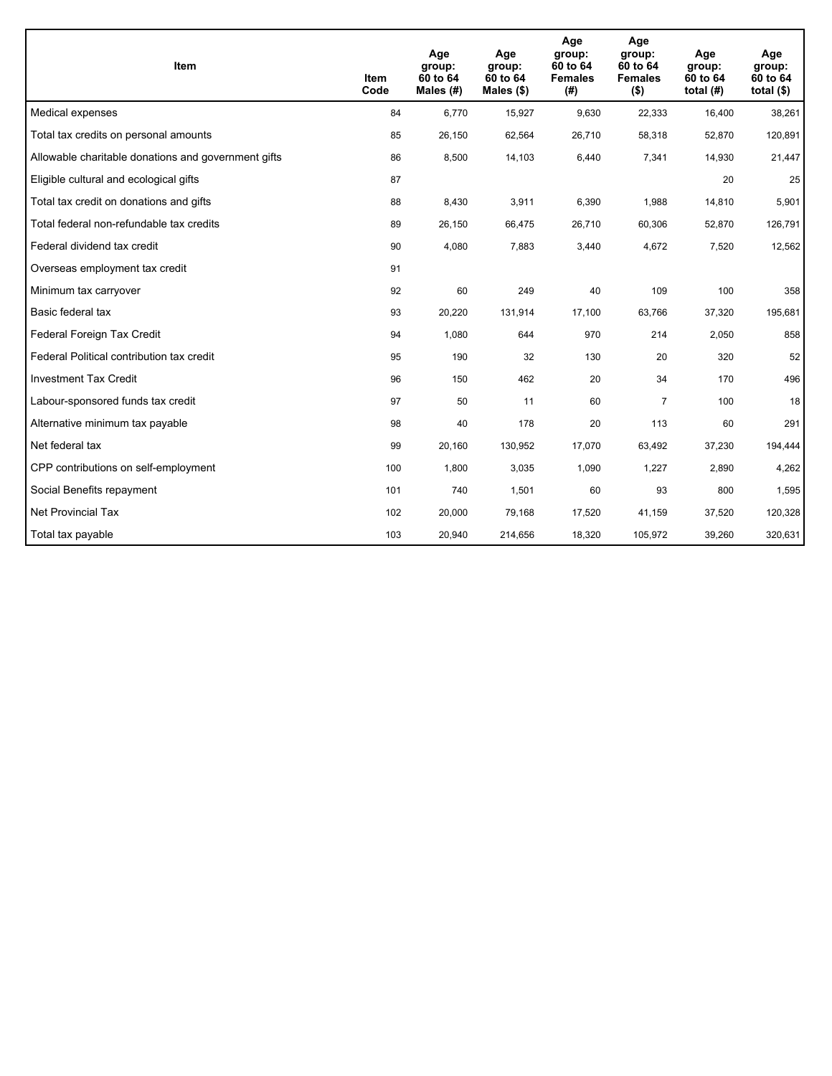| Item                                                | Item<br>Code | Age<br>group:<br>60 to 64<br>Males $(H)$ | Age<br>group:<br>60 to 64<br>Males (\$) | Age<br>group:<br>60 to 64<br><b>Females</b><br>(# ) | Age<br>group:<br>60 to 64<br><b>Females</b><br>$($ \$) | Age<br>group:<br>60 to 64<br>total $(H)$ | Age<br>group:<br>60 to 64<br>total $($)$ |
|-----------------------------------------------------|--------------|------------------------------------------|-----------------------------------------|-----------------------------------------------------|--------------------------------------------------------|------------------------------------------|------------------------------------------|
| Medical expenses                                    | 84           | 6,770                                    | 15,927                                  | 9,630                                               | 22,333                                                 | 16,400                                   | 38,261                                   |
| Total tax credits on personal amounts               | 85           | 26,150                                   | 62,564                                  | 26,710                                              | 58,318                                                 | 52,870                                   | 120,891                                  |
| Allowable charitable donations and government gifts | 86           | 8,500                                    | 14,103                                  | 6,440                                               | 7,341                                                  | 14,930                                   | 21,447                                   |
| Eligible cultural and ecological gifts              | 87           |                                          |                                         |                                                     |                                                        | 20                                       | 25                                       |
| Total tax credit on donations and gifts             | 88           | 8,430                                    | 3,911                                   | 6,390                                               | 1,988                                                  | 14,810                                   | 5,901                                    |
| Total federal non-refundable tax credits            | 89           | 26,150                                   | 66,475                                  | 26,710                                              | 60,306                                                 | 52,870                                   | 126,791                                  |
| Federal dividend tax credit                         | 90           | 4,080                                    | 7,883                                   | 3,440                                               | 4,672                                                  | 7,520                                    | 12,562                                   |
| Overseas employment tax credit                      | 91           |                                          |                                         |                                                     |                                                        |                                          |                                          |
| Minimum tax carryover                               | 92           | 60                                       | 249                                     | 40                                                  | 109                                                    | 100                                      | 358                                      |
| Basic federal tax                                   | 93           | 20,220                                   | 131,914                                 | 17,100                                              | 63,766                                                 | 37,320                                   | 195,681                                  |
| Federal Foreign Tax Credit                          | 94           | 1,080                                    | 644                                     | 970                                                 | 214                                                    | 2,050                                    | 858                                      |
| Federal Political contribution tax credit           | 95           | 190                                      | 32                                      | 130                                                 | 20                                                     | 320                                      | 52                                       |
| <b>Investment Tax Credit</b>                        | 96           | 150                                      | 462                                     | 20                                                  | 34                                                     | 170                                      | 496                                      |
| Labour-sponsored funds tax credit                   | 97           | 50                                       | 11                                      | 60                                                  | $\overline{7}$                                         | 100                                      | 18                                       |
| Alternative minimum tax payable                     | 98           | 40                                       | 178                                     | 20                                                  | 113                                                    | 60                                       | 291                                      |
| Net federal tax                                     | 99           | 20,160                                   | 130,952                                 | 17,070                                              | 63,492                                                 | 37,230                                   | 194,444                                  |
| CPP contributions on self-employment                | 100          | 1,800                                    | 3,035                                   | 1,090                                               | 1,227                                                  | 2,890                                    | 4,262                                    |
| Social Benefits repayment                           | 101          | 740                                      | 1,501                                   | 60                                                  | 93                                                     | 800                                      | 1,595                                    |
| <b>Net Provincial Tax</b>                           | 102          | 20,000                                   | 79,168                                  | 17,520                                              | 41,159                                                 | 37,520                                   | 120,328                                  |
| Total tax payable                                   | 103          | 20,940                                   | 214,656                                 | 18,320                                              | 105,972                                                | 39,260                                   | 320,631                                  |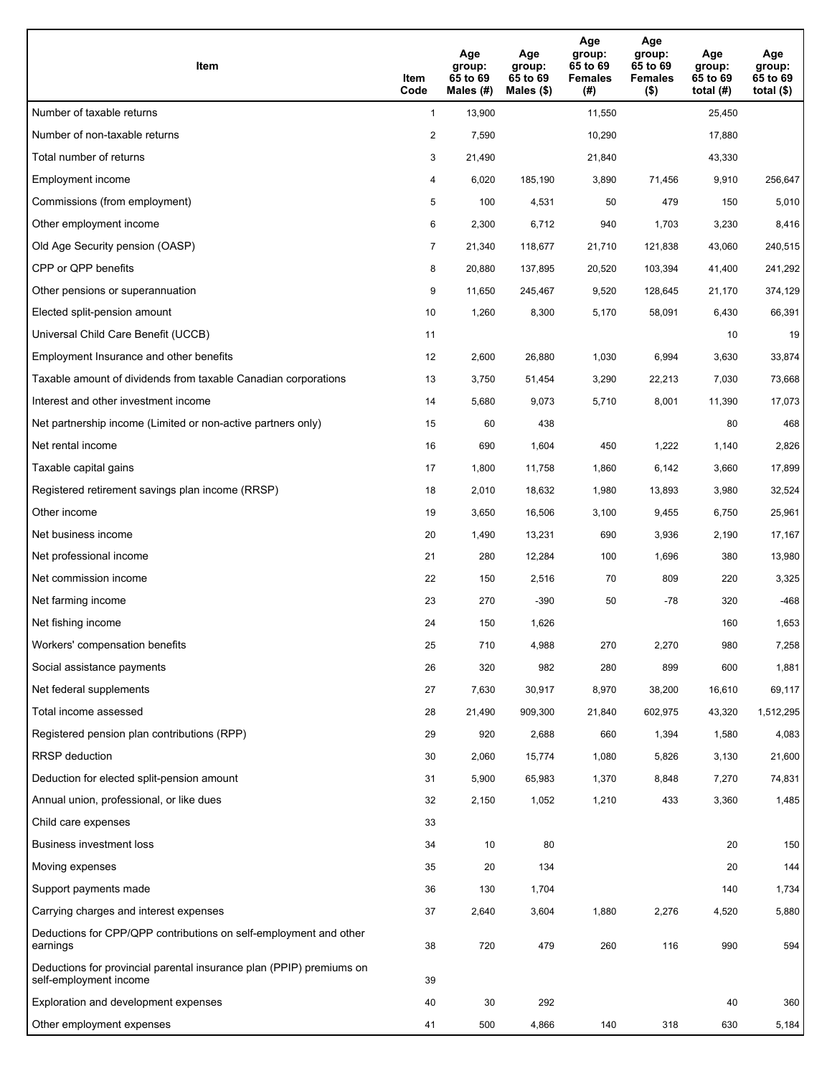| Item                                                                                           | Item<br>Code   | Age<br>group:<br>65 to 69<br>Males $(H)$ | Age<br>group:<br>65 to 69<br>Males (\$) | Age<br>group:<br>65 to 69<br><b>Females</b><br>(# ) | Age<br>group:<br>65 to 69<br><b>Females</b><br>$($ \$) | Age<br>group:<br>65 to 69<br>total $(H)$ | Age<br>group:<br>65 to 69<br>total $($ |
|------------------------------------------------------------------------------------------------|----------------|------------------------------------------|-----------------------------------------|-----------------------------------------------------|--------------------------------------------------------|------------------------------------------|----------------------------------------|
| Number of taxable returns                                                                      | $\mathbf{1}$   | 13,900                                   |                                         | 11,550                                              |                                                        | 25,450                                   |                                        |
| Number of non-taxable returns                                                                  | $\overline{2}$ | 7,590                                    |                                         | 10,290                                              |                                                        | 17,880                                   |                                        |
| Total number of returns                                                                        | 3              | 21,490                                   |                                         | 21,840                                              |                                                        | 43,330                                   |                                        |
| Employment income                                                                              | 4              | 6,020                                    | 185.190                                 | 3,890                                               | 71,456                                                 | 9,910                                    | 256,647                                |
| Commissions (from employment)                                                                  | 5              | 100                                      | 4,531                                   | 50                                                  | 479                                                    | 150                                      | 5,010                                  |
| Other employment income                                                                        | 6              | 2,300                                    | 6,712                                   | 940                                                 | 1,703                                                  | 3,230                                    | 8,416                                  |
| Old Age Security pension (OASP)                                                                | $\overline{7}$ | 21,340                                   | 118,677                                 | 21,710                                              | 121,838                                                | 43,060                                   | 240,515                                |
| CPP or QPP benefits                                                                            | 8              | 20,880                                   | 137,895                                 | 20,520                                              | 103,394                                                | 41,400                                   | 241,292                                |
| Other pensions or superannuation                                                               | 9              | 11,650                                   | 245,467                                 | 9,520                                               | 128,645                                                | 21,170                                   | 374,129                                |
| Elected split-pension amount                                                                   | 10             | 1,260                                    | 8,300                                   | 5,170                                               | 58,091                                                 | 6,430                                    | 66,391                                 |
| Universal Child Care Benefit (UCCB)                                                            | 11             |                                          |                                         |                                                     |                                                        | 10                                       | 19                                     |
| Employment Insurance and other benefits                                                        | 12             | 2,600                                    | 26,880                                  | 1,030                                               | 6,994                                                  | 3,630                                    | 33,874                                 |
| Taxable amount of dividends from taxable Canadian corporations                                 | 13             | 3,750                                    | 51,454                                  | 3,290                                               | 22,213                                                 | 7,030                                    | 73,668                                 |
| Interest and other investment income                                                           | 14             | 5,680                                    | 9,073                                   | 5,710                                               | 8,001                                                  | 11,390                                   | 17,073                                 |
| Net partnership income (Limited or non-active partners only)                                   | 15             | 60                                       | 438                                     |                                                     |                                                        | 80                                       | 468                                    |
| Net rental income                                                                              | 16             | 690                                      | 1,604                                   | 450                                                 | 1,222                                                  | 1,140                                    | 2,826                                  |
| Taxable capital gains                                                                          | 17             | 1,800                                    | 11,758                                  | 1,860                                               | 6,142                                                  | 3,660                                    | 17,899                                 |
| Registered retirement savings plan income (RRSP)                                               | 18             | 2,010                                    | 18,632                                  | 1,980                                               | 13,893                                                 | 3,980                                    | 32,524                                 |
| Other income                                                                                   | 19             | 3,650                                    | 16,506                                  | 3,100                                               | 9,455                                                  | 6,750                                    | 25,961                                 |
| Net business income                                                                            | 20             | 1,490                                    | 13,231                                  | 690                                                 | 3,936                                                  | 2,190                                    | 17,167                                 |
| Net professional income                                                                        | 21             | 280                                      | 12,284                                  | 100                                                 | 1,696                                                  | 380                                      | 13,980                                 |
| Net commission income                                                                          | 22             | 150                                      | 2,516                                   | 70                                                  | 809                                                    | 220                                      | 3,325                                  |
| Net farming income                                                                             | 23             | 270                                      | $-390$                                  | 50                                                  | $-78$                                                  | 320                                      | $-468$                                 |
| Net fishing income                                                                             | 24             | 150                                      | 1,626                                   |                                                     |                                                        | 160                                      | 1,653                                  |
| Workers' compensation benefits                                                                 | 25             | 710                                      | 4,988                                   | 270                                                 | 2,270                                                  | 980                                      | 7,258                                  |
| Social assistance payments                                                                     | 26             | 320                                      | 982                                     | 280                                                 | 899                                                    | 600                                      | 1,881                                  |
| Net federal supplements                                                                        | 27             | 7,630                                    | 30,917                                  | 8,970                                               | 38,200                                                 | 16,610                                   | 69,117                                 |
| Total income assessed                                                                          | 28             | 21,490                                   | 909,300                                 | 21,840                                              | 602,975                                                | 43,320                                   | 1,512,295                              |
| Registered pension plan contributions (RPP)                                                    | 29             | 920                                      | 2,688                                   | 660                                                 | 1,394                                                  | 1,580                                    | 4,083                                  |
| <b>RRSP</b> deduction                                                                          | 30             | 2,060                                    | 15,774                                  | 1,080                                               | 5,826                                                  | 3,130                                    | 21,600                                 |
| Deduction for elected split-pension amount                                                     | 31             | 5,900                                    | 65,983                                  | 1,370                                               | 8,848                                                  | 7,270                                    | 74,831                                 |
| Annual union, professional, or like dues                                                       | 32             | 2,150                                    | 1,052                                   | 1,210                                               | 433                                                    | 3,360                                    | 1,485                                  |
| Child care expenses                                                                            | 33             |                                          |                                         |                                                     |                                                        |                                          |                                        |
| Business investment loss                                                                       | 34             | 10                                       | 80                                      |                                                     |                                                        | 20                                       | 150                                    |
| Moving expenses                                                                                | 35             | 20                                       | 134                                     |                                                     |                                                        | 20                                       | 144                                    |
| Support payments made                                                                          | 36             | 130                                      | 1,704                                   |                                                     |                                                        | 140                                      | 1,734                                  |
| Carrying charges and interest expenses                                                         | 37             | 2,640                                    | 3,604                                   | 1,880                                               | 2,276                                                  | 4,520                                    | 5,880                                  |
| Deductions for CPP/QPP contributions on self-employment and other<br>earnings                  | 38             | 720                                      | 479                                     | 260                                                 | 116                                                    | 990                                      | 594                                    |
| Deductions for provincial parental insurance plan (PPIP) premiums on<br>self-employment income | 39             |                                          |                                         |                                                     |                                                        |                                          |                                        |
| Exploration and development expenses                                                           | 40             | 30                                       | 292                                     |                                                     |                                                        | 40                                       | 360                                    |
| Other employment expenses                                                                      | 41             | 500                                      | 4,866                                   | 140                                                 | 318                                                    | 630                                      | 5,184                                  |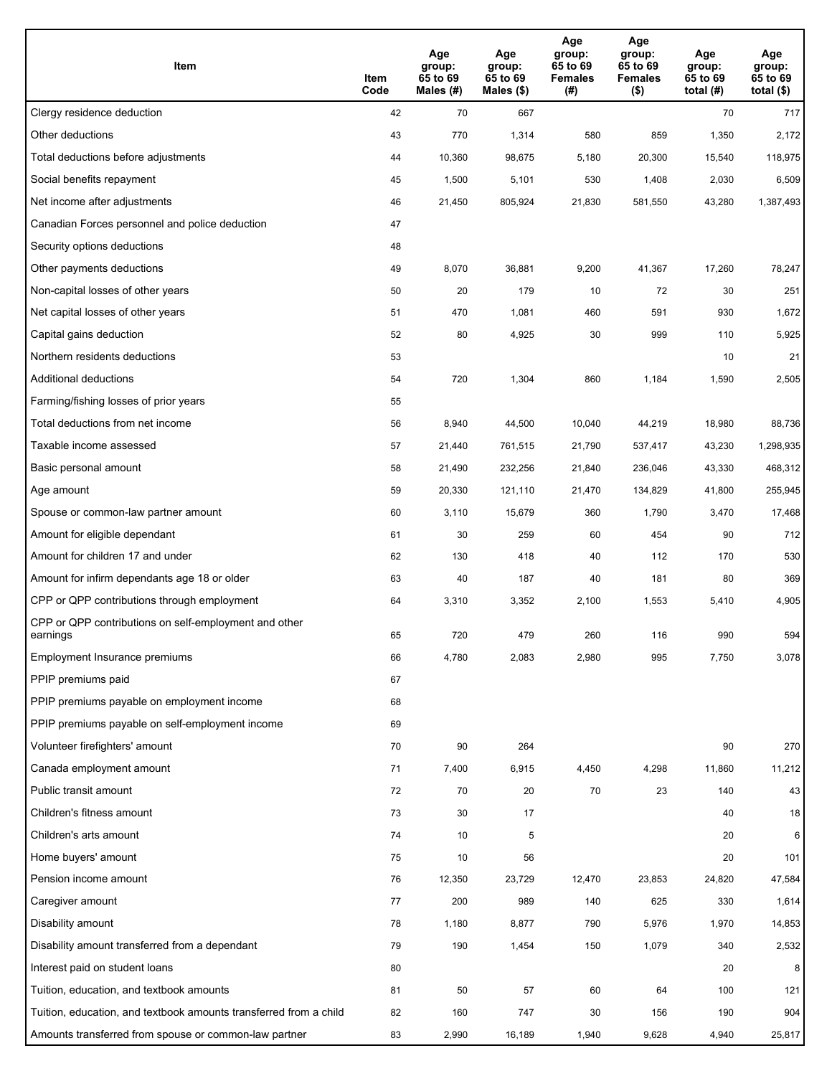| Item                                                              | Item<br>Code | Age<br>group:<br>65 to 69<br>Males (#) | Age<br>group:<br>65 to 69<br>Males (\$) | Age<br>group:<br>65 to 69<br><b>Females</b><br>(#) | Age<br>group:<br>65 to 69<br><b>Females</b><br>$($ \$) | Age<br>group:<br>65 to 69<br>total $(H)$ | Age<br>group:<br>65 to 69<br>total $($)$ |
|-------------------------------------------------------------------|--------------|----------------------------------------|-----------------------------------------|----------------------------------------------------|--------------------------------------------------------|------------------------------------------|------------------------------------------|
| Clergy residence deduction                                        | 42           | 70                                     | 667                                     |                                                    |                                                        | 70                                       | 717                                      |
| Other deductions                                                  | 43           | 770                                    | 1,314                                   | 580                                                | 859                                                    | 1,350                                    | 2,172                                    |
| Total deductions before adjustments                               | 44           | 10,360                                 | 98,675                                  | 5,180                                              | 20,300                                                 | 15,540                                   | 118,975                                  |
| Social benefits repayment                                         | 45           | 1,500                                  | 5,101                                   | 530                                                | 1,408                                                  | 2,030                                    | 6,509                                    |
| Net income after adjustments                                      | 46           | 21,450                                 | 805,924                                 | 21,830                                             | 581,550                                                | 43,280                                   | 1,387,493                                |
| Canadian Forces personnel and police deduction                    | 47           |                                        |                                         |                                                    |                                                        |                                          |                                          |
| Security options deductions                                       | 48           |                                        |                                         |                                                    |                                                        |                                          |                                          |
| Other payments deductions                                         | 49           | 8,070                                  | 36,881                                  | 9,200                                              | 41,367                                                 | 17,260                                   | 78,247                                   |
| Non-capital losses of other years                                 | 50           | 20                                     | 179                                     | 10                                                 | 72                                                     | 30                                       | 251                                      |
| Net capital losses of other years                                 | 51           | 470                                    | 1,081                                   | 460                                                | 591                                                    | 930                                      | 1,672                                    |
| Capital gains deduction                                           | 52           | 80                                     | 4,925                                   | 30                                                 | 999                                                    | 110                                      | 5,925                                    |
| Northern residents deductions                                     | 53           |                                        |                                         |                                                    |                                                        | 10                                       | 21                                       |
| Additional deductions                                             | 54           | 720                                    | 1,304                                   | 860                                                | 1,184                                                  | 1,590                                    | 2,505                                    |
| Farming/fishing losses of prior years                             | 55           |                                        |                                         |                                                    |                                                        |                                          |                                          |
| Total deductions from net income                                  | 56           | 8,940                                  | 44,500                                  | 10,040                                             | 44,219                                                 | 18,980                                   | 88,736                                   |
| Taxable income assessed                                           | 57           | 21,440                                 | 761,515                                 | 21,790                                             | 537,417                                                | 43,230                                   | 1,298,935                                |
| Basic personal amount                                             | 58           | 21,490                                 | 232,256                                 | 21,840                                             | 236,046                                                | 43,330                                   | 468,312                                  |
| Age amount                                                        | 59           | 20,330                                 | 121,110                                 | 21,470                                             | 134,829                                                | 41,800                                   | 255,945                                  |
| Spouse or common-law partner amount                               | 60           | 3,110                                  | 15,679                                  | 360                                                | 1,790                                                  | 3,470                                    | 17,468                                   |
| Amount for eligible dependant                                     | 61           | 30                                     | 259                                     | 60                                                 | 454                                                    | 90                                       | 712                                      |
| Amount for children 17 and under                                  | 62           | 130                                    | 418                                     | 40                                                 | 112                                                    | 170                                      | 530                                      |
| Amount for infirm dependants age 18 or older                      | 63           | 40                                     | 187                                     | 40                                                 | 181                                                    | 80                                       | 369                                      |
| CPP or QPP contributions through employment                       | 64           | 3,310                                  | 3,352                                   | 2,100                                              | 1,553                                                  | 5,410                                    | 4,905                                    |
| CPP or QPP contributions on self-employment and other             |              |                                        |                                         |                                                    |                                                        |                                          |                                          |
| earnings                                                          | 65           | 720                                    | 479                                     | 260                                                | 116                                                    | 990                                      | 594                                      |
| Employment Insurance premiums                                     | 66           | 4,780                                  | 2,083                                   | 2,980                                              | 995                                                    | 7,750                                    | 3,078                                    |
| PPIP premiums paid                                                | 67           |                                        |                                         |                                                    |                                                        |                                          |                                          |
| PPIP premiums payable on employment income                        | 68           |                                        |                                         |                                                    |                                                        |                                          |                                          |
| PPIP premiums payable on self-employment income                   | 69           |                                        |                                         |                                                    |                                                        |                                          |                                          |
| Volunteer firefighters' amount                                    | 70           | 90                                     | 264                                     |                                                    |                                                        | 90                                       | 270                                      |
| Canada employment amount                                          | 71           | 7,400                                  | 6,915                                   | 4,450                                              | 4,298                                                  | 11,860                                   | 11,212                                   |
| Public transit amount                                             | 72           | 70                                     | 20                                      | 70                                                 | 23                                                     | 140                                      | 43                                       |
| Children's fitness amount                                         | 73           | 30                                     | 17                                      |                                                    |                                                        | 40                                       | 18                                       |
| Children's arts amount                                            | 74           | 10                                     | 5                                       |                                                    |                                                        | 20                                       | 6                                        |
| Home buyers' amount                                               | 75           | 10                                     | 56                                      |                                                    |                                                        | 20                                       | 101                                      |
| Pension income amount                                             | 76           | 12,350                                 | 23,729                                  | 12,470                                             | 23,853                                                 | 24,820                                   | 47,584                                   |
| Caregiver amount                                                  | 77           | 200                                    | 989                                     | 140                                                | 625                                                    | 330                                      | 1,614                                    |
| Disability amount                                                 | 78           | 1,180                                  | 8,877                                   | 790                                                | 5,976                                                  | 1,970                                    | 14,853                                   |
| Disability amount transferred from a dependant                    | 79           | 190                                    | 1,454                                   | 150                                                | 1,079                                                  | 340                                      | 2,532                                    |
| Interest paid on student loans                                    | 80           |                                        |                                         |                                                    |                                                        | 20                                       | 8                                        |
| Tuition, education, and textbook amounts                          | 81           | 50                                     | 57                                      | 60                                                 | 64                                                     | 100                                      | 121                                      |
| Tuition, education, and textbook amounts transferred from a child | 82           | 160                                    | 747                                     | 30                                                 | 156                                                    | 190                                      | 904                                      |
| Amounts transferred from spouse or common-law partner             | 83           | 2,990                                  | 16,189                                  | 1,940                                              | 9,628                                                  | 4,940                                    | 25,817                                   |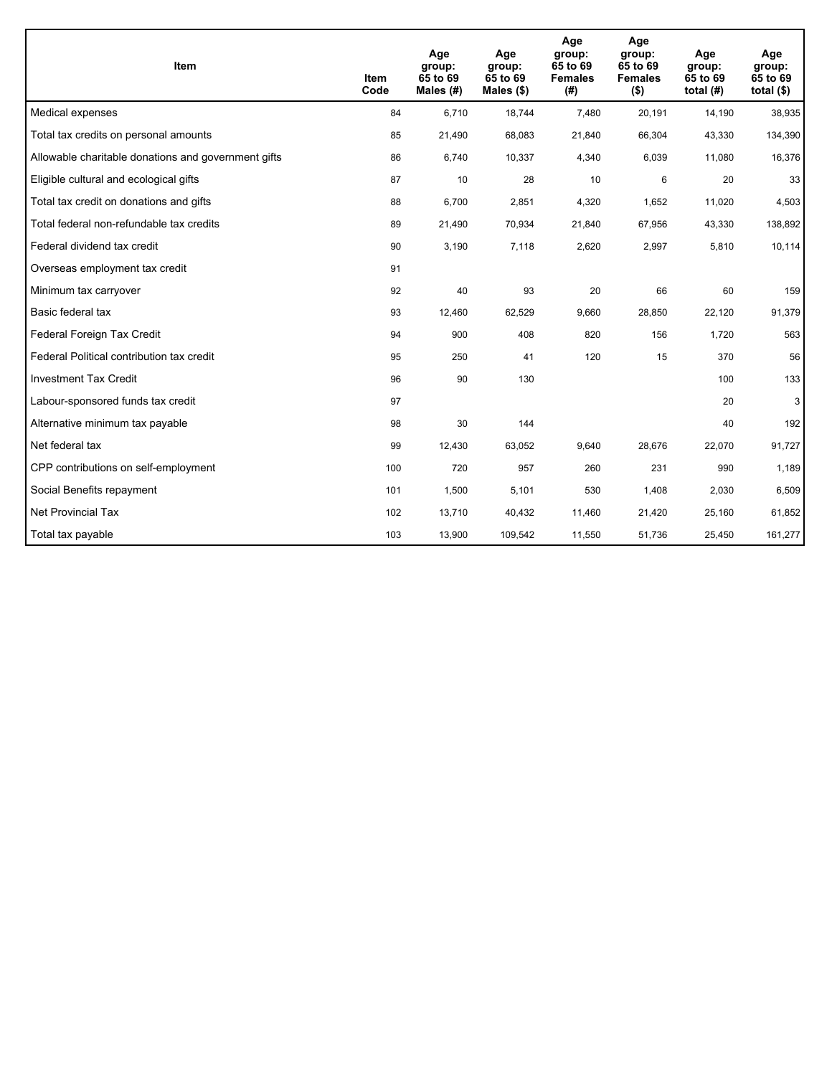| <b>Item</b>                                         | Item<br>Code | Age<br>group:<br>65 to 69<br>Males (#) | Age<br>group:<br>65 to 69<br>Males $(\$)$ | Age<br>group:<br>65 to 69<br><b>Females</b><br>(#) | Age<br>group:<br>65 to 69<br><b>Females</b><br>$($ \$) | Age<br>group:<br>65 to 69<br>total $(H)$ | Age<br>group:<br>65 to 69<br>total $($)$ |
|-----------------------------------------------------|--------------|----------------------------------------|-------------------------------------------|----------------------------------------------------|--------------------------------------------------------|------------------------------------------|------------------------------------------|
| Medical expenses                                    | 84           | 6.710                                  | 18.744                                    | 7,480                                              | 20,191                                                 | 14,190                                   | 38,935                                   |
| Total tax credits on personal amounts               | 85           | 21,490                                 | 68,083                                    | 21,840                                             | 66,304                                                 | 43,330                                   | 134,390                                  |
| Allowable charitable donations and government gifts | 86           | 6,740                                  | 10,337                                    | 4,340                                              | 6,039                                                  | 11,080                                   | 16,376                                   |
| Eligible cultural and ecological gifts              | 87           | 10                                     | 28                                        | 10                                                 | 6                                                      | 20                                       | 33                                       |
| Total tax credit on donations and gifts             | 88           | 6,700                                  | 2,851                                     | 4,320                                              | 1,652                                                  | 11,020                                   | 4,503                                    |
| Total federal non-refundable tax credits            | 89           | 21,490                                 | 70,934                                    | 21,840                                             | 67,956                                                 | 43,330                                   | 138,892                                  |
| Federal dividend tax credit                         | 90           | 3,190                                  | 7,118                                     | 2,620                                              | 2,997                                                  | 5,810                                    | 10,114                                   |
| Overseas employment tax credit                      | 91           |                                        |                                           |                                                    |                                                        |                                          |                                          |
| Minimum tax carryover                               | 92           | 40                                     | 93                                        | 20                                                 | 66                                                     | 60                                       | 159                                      |
| Basic federal tax                                   | 93           | 12,460                                 | 62,529                                    | 9,660                                              | 28,850                                                 | 22,120                                   | 91,379                                   |
| Federal Foreign Tax Credit                          | 94           | 900                                    | 408                                       | 820                                                | 156                                                    | 1,720                                    | 563                                      |
| Federal Political contribution tax credit           | 95           | 250                                    | 41                                        | 120                                                | 15                                                     | 370                                      | 56                                       |
| <b>Investment Tax Credit</b>                        | 96           | 90                                     | 130                                       |                                                    |                                                        | 100                                      | 133                                      |
| Labour-sponsored funds tax credit                   | 97           |                                        |                                           |                                                    |                                                        | 20                                       | 3                                        |
| Alternative minimum tax payable                     | 98           | 30                                     | 144                                       |                                                    |                                                        | 40                                       | 192                                      |
| Net federal tax                                     | 99           | 12,430                                 | 63,052                                    | 9,640                                              | 28,676                                                 | 22,070                                   | 91,727                                   |
| CPP contributions on self-employment                | 100          | 720                                    | 957                                       | 260                                                | 231                                                    | 990                                      | 1,189                                    |
| Social Benefits repayment                           | 101          | 1,500                                  | 5,101                                     | 530                                                | 1,408                                                  | 2,030                                    | 6,509                                    |
| <b>Net Provincial Tax</b>                           | 102          | 13,710                                 | 40,432                                    | 11,460                                             | 21,420                                                 | 25,160                                   | 61,852                                   |
| Total tax payable                                   | 103          | 13,900                                 | 109,542                                   | 11,550                                             | 51,736                                                 | 25,450                                   | 161,277                                  |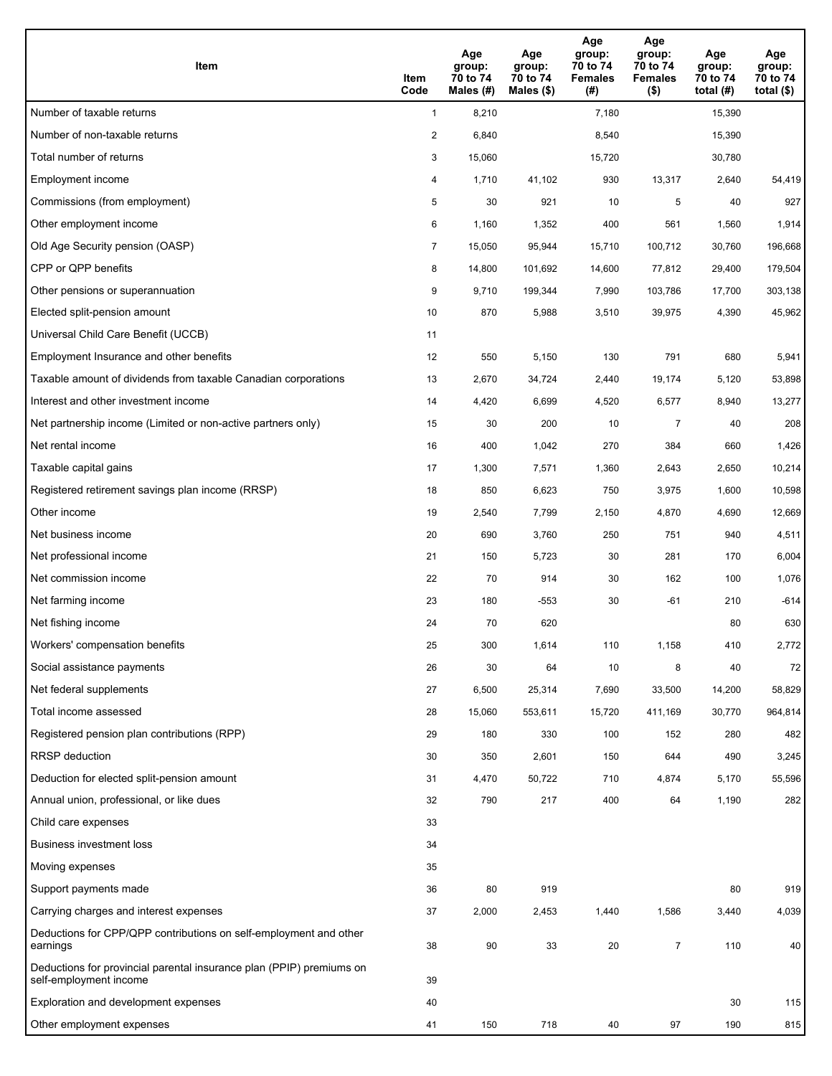| <b>Item</b>                                                                                    | Item<br>Code            | Age<br>group:<br>70 to 74<br>Males (#) | Age<br>group:<br>70 to 74<br>Males (\$) | Age<br>group:<br>70 to 74<br><b>Females</b><br>(#) | Age<br>group:<br>70 to 74<br><b>Females</b><br>$($ \$) | Age<br>group:<br>70 to 74<br>total $(H)$ | Age<br>group:<br>70 to 74<br>total $($)$ |
|------------------------------------------------------------------------------------------------|-------------------------|----------------------------------------|-----------------------------------------|----------------------------------------------------|--------------------------------------------------------|------------------------------------------|------------------------------------------|
| Number of taxable returns                                                                      | $\mathbf{1}$            | 8,210                                  |                                         | 7,180                                              |                                                        | 15,390                                   |                                          |
| Number of non-taxable returns                                                                  | $\overline{\mathbf{c}}$ | 6,840                                  |                                         | 8,540                                              |                                                        | 15,390                                   |                                          |
| Total number of returns                                                                        | 3                       | 15,060                                 |                                         | 15,720                                             |                                                        | 30,780                                   |                                          |
| Employment income                                                                              | 4                       | 1,710                                  | 41,102                                  | 930                                                | 13,317                                                 | 2,640                                    | 54,419                                   |
| Commissions (from employment)                                                                  | 5                       | 30                                     | 921                                     | 10                                                 | 5                                                      | 40                                       | 927                                      |
| Other employment income                                                                        | 6                       | 1,160                                  | 1,352                                   | 400                                                | 561                                                    | 1,560                                    | 1,914                                    |
| Old Age Security pension (OASP)                                                                | $\overline{7}$          | 15,050                                 | 95,944                                  | 15,710                                             | 100,712                                                | 30,760                                   | 196,668                                  |
| CPP or QPP benefits                                                                            | 8                       | 14,800                                 | 101,692                                 | 14,600                                             | 77,812                                                 | 29,400                                   | 179,504                                  |
| Other pensions or superannuation                                                               | 9                       | 9,710                                  | 199,344                                 | 7,990                                              | 103,786                                                | 17,700                                   | 303,138                                  |
| Elected split-pension amount                                                                   | 10                      | 870                                    | 5,988                                   | 3,510                                              | 39,975                                                 | 4,390                                    | 45,962                                   |
| Universal Child Care Benefit (UCCB)                                                            | 11                      |                                        |                                         |                                                    |                                                        |                                          |                                          |
| Employment Insurance and other benefits                                                        | 12                      | 550                                    | 5,150                                   | 130                                                | 791                                                    | 680                                      | 5,941                                    |
| Taxable amount of dividends from taxable Canadian corporations                                 | 13                      | 2,670                                  | 34,724                                  | 2,440                                              | 19,174                                                 | 5,120                                    | 53,898                                   |
| Interest and other investment income                                                           | 14                      | 4,420                                  | 6,699                                   | 4,520                                              | 6,577                                                  | 8,940                                    | 13,277                                   |
| Net partnership income (Limited or non-active partners only)                                   | 15                      | 30                                     | 200                                     | 10                                                 | $\overline{7}$                                         | 40                                       | 208                                      |
| Net rental income                                                                              | 16                      | 400                                    | 1,042                                   | 270                                                | 384                                                    | 660                                      | 1,426                                    |
| Taxable capital gains                                                                          | 17                      | 1,300                                  | 7,571                                   | 1,360                                              | 2,643                                                  | 2,650                                    | 10,214                                   |
| Registered retirement savings plan income (RRSP)                                               | 18                      | 850                                    | 6,623                                   | 750                                                | 3,975                                                  | 1,600                                    | 10,598                                   |
| Other income                                                                                   | 19                      | 2,540                                  | 7,799                                   | 2,150                                              | 4,870                                                  | 4,690                                    | 12,669                                   |
| Net business income                                                                            | 20                      | 690                                    | 3,760                                   | 250                                                | 751                                                    | 940                                      | 4,511                                    |
| Net professional income                                                                        | 21                      | 150                                    | 5,723                                   | 30                                                 | 281                                                    | 170                                      | 6,004                                    |
| Net commission income                                                                          | 22                      | 70                                     | 914                                     | 30                                                 | 162                                                    | 100                                      | 1,076                                    |
| Net farming income                                                                             | 23                      | 180                                    | $-553$                                  | 30                                                 | $-61$                                                  | 210                                      | $-614$                                   |
| Net fishing income                                                                             | 24                      | 70                                     | 620                                     |                                                    |                                                        | 80                                       | 630                                      |
| Workers' compensation benefits                                                                 | 25                      | 300                                    | 1,614                                   | 110                                                | 1,158                                                  | 410                                      | 2,772                                    |
| Social assistance payments                                                                     | 26                      | 30                                     | 64                                      | 10                                                 | 8                                                      | 40                                       | 72                                       |
| Net federal supplements                                                                        | 27                      | 6,500                                  | 25,314                                  | 7,690                                              | 33,500                                                 | 14,200                                   | 58,829                                   |
| Total income assessed                                                                          | 28                      | 15,060                                 | 553,611                                 | 15,720                                             | 411,169                                                | 30,770                                   | 964,814                                  |
| Registered pension plan contributions (RPP)                                                    | 29                      | 180                                    | 330                                     | 100                                                | 152                                                    | 280                                      | 482                                      |
| RRSP deduction                                                                                 | 30                      | 350                                    | 2,601                                   | 150                                                | 644                                                    | 490                                      | 3,245                                    |
| Deduction for elected split-pension amount                                                     | 31                      | 4,470                                  | 50,722                                  | 710                                                | 4,874                                                  | 5,170                                    | 55,596                                   |
| Annual union, professional, or like dues                                                       | 32                      | 790                                    | 217                                     | 400                                                | 64                                                     | 1,190                                    | 282                                      |
| Child care expenses                                                                            | 33                      |                                        |                                         |                                                    |                                                        |                                          |                                          |
| <b>Business investment loss</b>                                                                | 34                      |                                        |                                         |                                                    |                                                        |                                          |                                          |
| Moving expenses                                                                                | 35                      |                                        |                                         |                                                    |                                                        |                                          |                                          |
| Support payments made                                                                          | 36                      | 80                                     | 919                                     |                                                    |                                                        | 80                                       | 919                                      |
| Carrying charges and interest expenses                                                         | 37                      | 2,000                                  | 2,453                                   | 1,440                                              | 1,586                                                  | 3,440                                    | 4,039                                    |
| Deductions for CPP/QPP contributions on self-employment and other<br>earnings                  | 38                      | 90                                     | 33                                      | 20                                                 | $\overline{7}$                                         | 110                                      | 40                                       |
| Deductions for provincial parental insurance plan (PPIP) premiums on<br>self-employment income | 39                      |                                        |                                         |                                                    |                                                        |                                          |                                          |
| Exploration and development expenses                                                           | 40                      |                                        |                                         |                                                    |                                                        | 30                                       | 115                                      |
| Other employment expenses                                                                      | 41                      | 150                                    | 718                                     | 40                                                 | 97                                                     | 190                                      | 815                                      |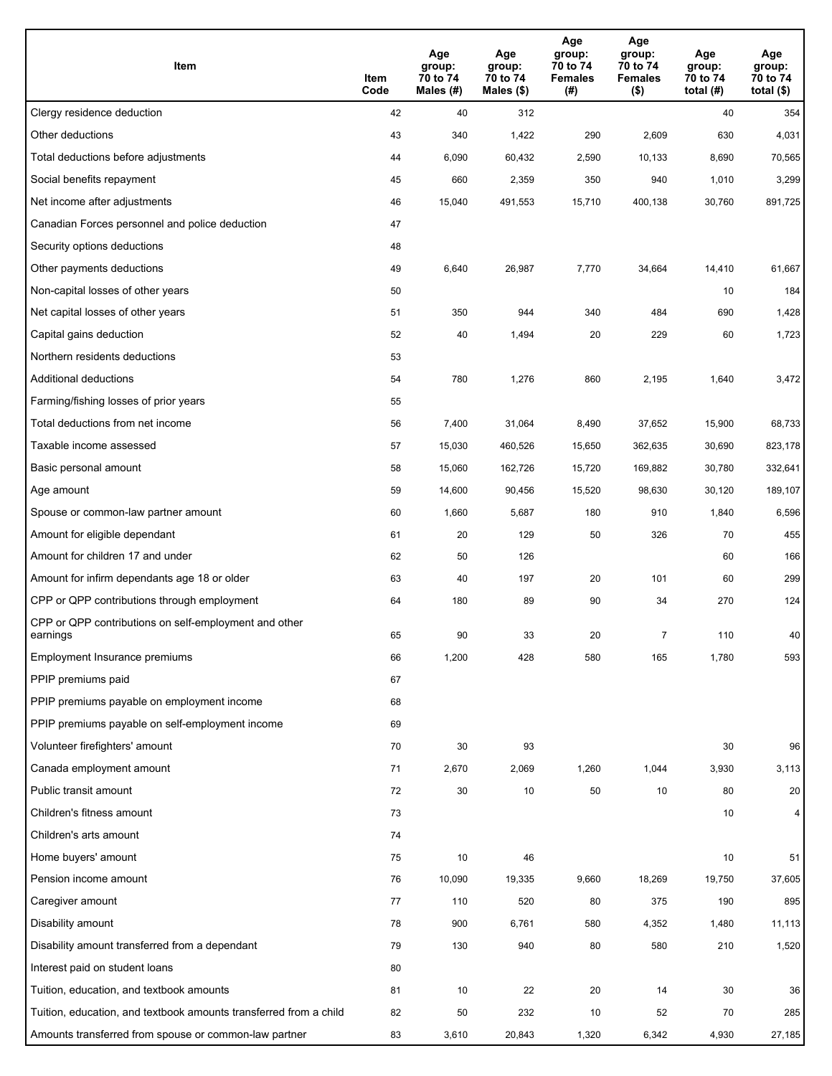| Item                                                              | Item<br>Code | Age<br>group:<br>70 to 74<br>Males (#) | Age<br>group:<br>70 to 74<br>Males (\$) | Age<br>group:<br>70 to 74<br><b>Females</b><br>(#) | Age<br>group:<br>70 to 74<br><b>Females</b><br>$($ \$) | Age<br>group:<br>70 to 74<br>total $(#)$ | Age<br>group:<br>70 to 74<br>total $($)$ |
|-------------------------------------------------------------------|--------------|----------------------------------------|-----------------------------------------|----------------------------------------------------|--------------------------------------------------------|------------------------------------------|------------------------------------------|
| Clergy residence deduction                                        | 42           | 40                                     | 312                                     |                                                    |                                                        | 40                                       | 354                                      |
| Other deductions                                                  | 43           | 340                                    | 1,422                                   | 290                                                | 2,609                                                  | 630                                      | 4,031                                    |
| Total deductions before adjustments                               | 44           | 6,090                                  | 60,432                                  | 2,590                                              | 10,133                                                 | 8,690                                    | 70,565                                   |
| Social benefits repayment                                         | 45           | 660                                    | 2,359                                   | 350                                                | 940                                                    | 1,010                                    | 3,299                                    |
| Net income after adjustments                                      | 46           | 15,040                                 | 491,553                                 | 15,710                                             | 400,138                                                | 30,760                                   | 891,725                                  |
| Canadian Forces personnel and police deduction                    | 47           |                                        |                                         |                                                    |                                                        |                                          |                                          |
| Security options deductions                                       | 48           |                                        |                                         |                                                    |                                                        |                                          |                                          |
| Other payments deductions                                         | 49           | 6,640                                  | 26,987                                  | 7,770                                              | 34,664                                                 | 14,410                                   | 61,667                                   |
| Non-capital losses of other years                                 | 50           |                                        |                                         |                                                    |                                                        | 10                                       | 184                                      |
| Net capital losses of other years                                 | 51           | 350                                    | 944                                     | 340                                                | 484                                                    | 690                                      | 1,428                                    |
| Capital gains deduction                                           | 52           | 40                                     | 1,494                                   | 20                                                 | 229                                                    | 60                                       | 1,723                                    |
| Northern residents deductions                                     | 53           |                                        |                                         |                                                    |                                                        |                                          |                                          |
| Additional deductions                                             | 54           | 780                                    | 1,276                                   | 860                                                | 2,195                                                  | 1,640                                    | 3,472                                    |
| Farming/fishing losses of prior years                             | 55           |                                        |                                         |                                                    |                                                        |                                          |                                          |
| Total deductions from net income                                  | 56           | 7,400                                  | 31,064                                  | 8,490                                              | 37,652                                                 | 15,900                                   | 68,733                                   |
| Taxable income assessed                                           | 57           | 15,030                                 | 460,526                                 | 15,650                                             | 362,635                                                | 30,690                                   | 823,178                                  |
| Basic personal amount                                             | 58           | 15,060                                 | 162,726                                 | 15,720                                             | 169,882                                                | 30,780                                   | 332,641                                  |
| Age amount                                                        | 59           | 14,600                                 | 90,456                                  | 15,520                                             | 98,630                                                 | 30,120                                   | 189,107                                  |
| Spouse or common-law partner amount                               | 60           | 1,660                                  | 5,687                                   | 180                                                | 910                                                    | 1,840                                    | 6,596                                    |
| Amount for eligible dependant                                     | 61           | 20                                     | 129                                     | 50                                                 | 326                                                    | 70                                       | 455                                      |
| Amount for children 17 and under                                  | 62           | 50                                     | 126                                     |                                                    |                                                        | 60                                       | 166                                      |
| Amount for infirm dependants age 18 or older                      | 63           | 40                                     | 197                                     | 20                                                 | 101                                                    | 60                                       | 299                                      |
| CPP or QPP contributions through employment                       | 64           | 180                                    | 89                                      | 90                                                 | 34                                                     | 270                                      | 124                                      |
| CPP or QPP contributions on self-employment and other<br>earnings | 65           | 90                                     | 33                                      | 20                                                 | 7                                                      | 110                                      | 40                                       |
| Employment Insurance premiums                                     | 66           | 1,200                                  | 428                                     | 580                                                | 165                                                    | 1,780                                    | 593                                      |
| PPIP premiums paid                                                | 67           |                                        |                                         |                                                    |                                                        |                                          |                                          |
| PPIP premiums payable on employment income                        | 68           |                                        |                                         |                                                    |                                                        |                                          |                                          |
| PPIP premiums payable on self-employment income                   | 69           |                                        |                                         |                                                    |                                                        |                                          |                                          |
| Volunteer firefighters' amount                                    | 70           | 30                                     | 93                                      |                                                    |                                                        | 30                                       | 96                                       |
| Canada employment amount                                          | 71           | 2,670                                  | 2,069                                   | 1,260                                              | 1,044                                                  | 3,930                                    | 3,113                                    |
| Public transit amount                                             | 72           | 30                                     | $10$                                    | 50                                                 | 10                                                     | 80                                       | 20                                       |
| Children's fitness amount                                         | 73           |                                        |                                         |                                                    |                                                        | 10                                       | $\overline{4}$                           |
| Children's arts amount                                            | 74           |                                        |                                         |                                                    |                                                        |                                          |                                          |
| Home buyers' amount                                               | 75           | 10                                     | 46                                      |                                                    |                                                        | 10                                       | 51                                       |
| Pension income amount                                             | 76           | 10,090                                 | 19,335                                  | 9,660                                              | 18,269                                                 | 19,750                                   | 37,605                                   |
| Caregiver amount                                                  | 77           | 110                                    | 520                                     | 80                                                 | 375                                                    | 190                                      | 895                                      |
| Disability amount                                                 | 78           | 900                                    | 6,761                                   | 580                                                | 4,352                                                  | 1,480                                    | 11,113                                   |
| Disability amount transferred from a dependant                    | 79           | 130                                    | 940                                     | 80                                                 | 580                                                    | 210                                      | 1,520                                    |
| Interest paid on student loans                                    | 80           |                                        |                                         |                                                    |                                                        |                                          |                                          |
| Tuition, education, and textbook amounts                          | 81           | 10                                     | 22                                      | 20                                                 | 14                                                     | 30                                       | 36                                       |
| Tuition, education, and textbook amounts transferred from a child | 82           | 50                                     | 232                                     | 10                                                 | 52                                                     | 70                                       | 285                                      |
| Amounts transferred from spouse or common-law partner             | 83           | 3,610                                  | 20,843                                  | 1,320                                              | 6,342                                                  | 4,930                                    | 27,185                                   |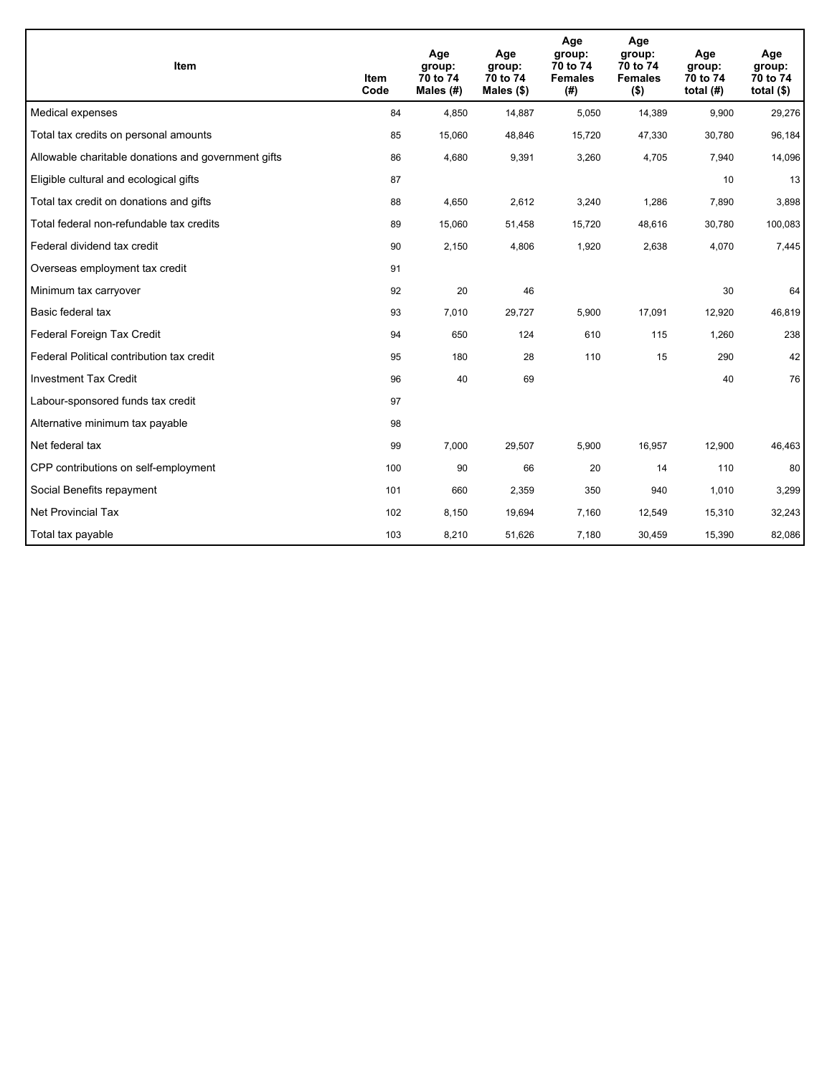| <b>Item</b>                                         | Item<br>Code | Age<br>group:<br>70 to 74<br>Males (#) | Age<br>group:<br>70 to 74<br>Males $(\$)$ | Age<br>group:<br>70 to 74<br><b>Females</b><br>(#) | Age<br>group:<br>70 to 74<br><b>Females</b><br>$($ \$) | Age<br>group:<br>70 to 74<br>total $(H)$ | Age<br>group:<br>70 to 74<br>total $($)$ |
|-----------------------------------------------------|--------------|----------------------------------------|-------------------------------------------|----------------------------------------------------|--------------------------------------------------------|------------------------------------------|------------------------------------------|
| Medical expenses                                    | 84           | 4,850                                  | 14,887                                    | 5,050                                              | 14,389                                                 | 9,900                                    | 29,276                                   |
| Total tax credits on personal amounts               | 85           | 15,060                                 | 48,846                                    | 15,720                                             | 47,330                                                 | 30,780                                   | 96,184                                   |
| Allowable charitable donations and government gifts | 86           | 4,680                                  | 9,391                                     | 3,260                                              | 4,705                                                  | 7,940                                    | 14,096                                   |
| Eligible cultural and ecological gifts              | 87           |                                        |                                           |                                                    |                                                        | 10                                       | 13                                       |
| Total tax credit on donations and gifts             | 88           | 4,650                                  | 2,612                                     | 3,240                                              | 1,286                                                  | 7,890                                    | 3,898                                    |
| Total federal non-refundable tax credits            | 89           | 15,060                                 | 51,458                                    | 15,720                                             | 48,616                                                 | 30,780                                   | 100,083                                  |
| Federal dividend tax credit                         | 90           | 2,150                                  | 4,806                                     | 1,920                                              | 2,638                                                  | 4,070                                    | 7,445                                    |
| Overseas employment tax credit                      | 91           |                                        |                                           |                                                    |                                                        |                                          |                                          |
| Minimum tax carryover                               | 92           | 20                                     | 46                                        |                                                    |                                                        | 30                                       | 64                                       |
| Basic federal tax                                   | 93           | 7,010                                  | 29,727                                    | 5,900                                              | 17,091                                                 | 12,920                                   | 46,819                                   |
| Federal Foreign Tax Credit                          | 94           | 650                                    | 124                                       | 610                                                | 115                                                    | 1,260                                    | 238                                      |
| Federal Political contribution tax credit           | 95           | 180                                    | 28                                        | 110                                                | 15                                                     | 290                                      | 42                                       |
| <b>Investment Tax Credit</b>                        | 96           | 40                                     | 69                                        |                                                    |                                                        | 40                                       | 76                                       |
| Labour-sponsored funds tax credit                   | 97           |                                        |                                           |                                                    |                                                        |                                          |                                          |
| Alternative minimum tax payable                     | 98           |                                        |                                           |                                                    |                                                        |                                          |                                          |
| Net federal tax                                     | 99           | 7,000                                  | 29,507                                    | 5,900                                              | 16,957                                                 | 12,900                                   | 46,463                                   |
| CPP contributions on self-employment                | 100          | 90                                     | 66                                        | 20                                                 | 14                                                     | 110                                      | 80                                       |
| Social Benefits repayment                           | 101          | 660                                    | 2,359                                     | 350                                                | 940                                                    | 1,010                                    | 3,299                                    |
| <b>Net Provincial Tax</b>                           | 102          | 8,150                                  | 19,694                                    | 7,160                                              | 12,549                                                 | 15,310                                   | 32,243                                   |
| Total tax payable                                   | 103          | 8,210                                  | 51,626                                    | 7,180                                              | 30,459                                                 | 15,390                                   | 82,086                                   |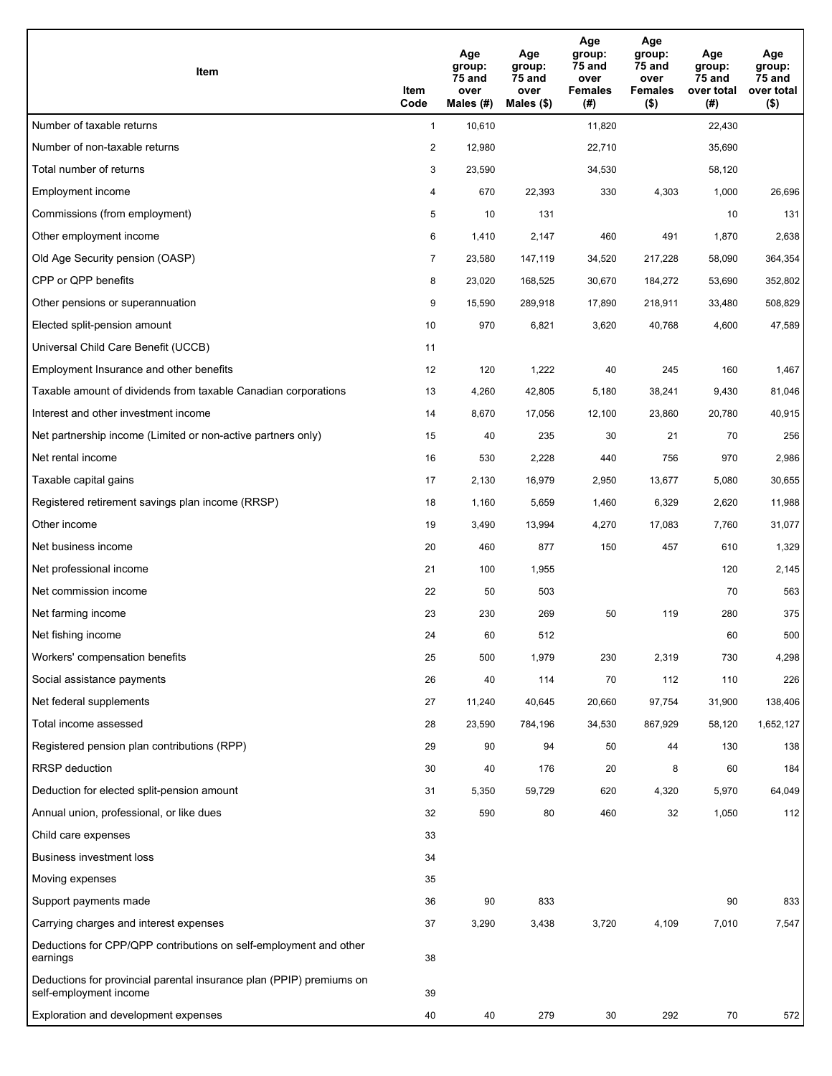| Item                                                                                           | Item<br>Code   | Age<br>group:<br>75 and<br>over<br>Males $(H)$ | Age<br>group:<br>75 and<br>over<br>Males (\$) | Age<br>group:<br>75 and<br>over<br><b>Females</b><br>(#) | Age<br>group:<br>75 and<br>over<br><b>Females</b><br>$($ \$) | Age<br>group:<br><b>75 and</b><br>over total<br>(#) | Age<br>group:<br>75 and<br>over total<br>$($ \$) |
|------------------------------------------------------------------------------------------------|----------------|------------------------------------------------|-----------------------------------------------|----------------------------------------------------------|--------------------------------------------------------------|-----------------------------------------------------|--------------------------------------------------|
| Number of taxable returns                                                                      | $\mathbf{1}$   | 10,610                                         |                                               | 11,820                                                   |                                                              | 22,430                                              |                                                  |
| Number of non-taxable returns                                                                  | $\overline{c}$ | 12,980                                         |                                               | 22,710                                                   |                                                              | 35,690                                              |                                                  |
| Total number of returns                                                                        | 3              | 23,590                                         |                                               | 34,530                                                   |                                                              | 58,120                                              |                                                  |
| Employment income                                                                              | 4              | 670                                            | 22,393                                        | 330                                                      | 4,303                                                        | 1,000                                               | 26,696                                           |
| Commissions (from employment)                                                                  | 5              | 10                                             | 131                                           |                                                          |                                                              | 10                                                  | 131                                              |
| Other employment income                                                                        | 6              | 1,410                                          | 2,147                                         | 460                                                      | 491                                                          | 1,870                                               | 2,638                                            |
| Old Age Security pension (OASP)                                                                | $\overline{7}$ | 23,580                                         | 147,119                                       | 34,520                                                   | 217,228                                                      | 58,090                                              | 364,354                                          |
| CPP or QPP benefits                                                                            | 8              | 23,020                                         | 168,525                                       | 30,670                                                   | 184,272                                                      | 53,690                                              | 352,802                                          |
| Other pensions or superannuation                                                               | 9              | 15,590                                         | 289,918                                       | 17,890                                                   | 218,911                                                      | 33,480                                              | 508,829                                          |
| Elected split-pension amount                                                                   | 10             | 970                                            | 6,821                                         | 3,620                                                    | 40,768                                                       | 4,600                                               | 47,589                                           |
| Universal Child Care Benefit (UCCB)                                                            | 11             |                                                |                                               |                                                          |                                                              |                                                     |                                                  |
| Employment Insurance and other benefits                                                        | 12             | 120                                            | 1,222                                         | 40                                                       | 245                                                          | 160                                                 | 1,467                                            |
| Taxable amount of dividends from taxable Canadian corporations                                 | 13             | 4,260                                          | 42,805                                        | 5,180                                                    | 38,241                                                       | 9,430                                               | 81,046                                           |
| Interest and other investment income                                                           | 14             | 8,670                                          | 17,056                                        | 12,100                                                   | 23,860                                                       | 20,780                                              | 40,915                                           |
| Net partnership income (Limited or non-active partners only)                                   | 15             | 40                                             | 235                                           | 30                                                       | 21                                                           | 70                                                  | 256                                              |
| Net rental income                                                                              | 16             | 530                                            | 2,228                                         | 440                                                      | 756                                                          | 970                                                 | 2,986                                            |
| Taxable capital gains                                                                          | 17             | 2,130                                          | 16,979                                        | 2,950                                                    | 13,677                                                       | 5,080                                               | 30,655                                           |
| Registered retirement savings plan income (RRSP)                                               | 18             | 1,160                                          | 5,659                                         | 1,460                                                    | 6,329                                                        | 2,620                                               | 11,988                                           |
| Other income                                                                                   | 19             | 3,490                                          | 13,994                                        | 4,270                                                    | 17,083                                                       | 7,760                                               | 31,077                                           |
| Net business income                                                                            | 20             | 460                                            | 877                                           | 150                                                      | 457                                                          | 610                                                 | 1,329                                            |
| Net professional income                                                                        | 21             | 100                                            | 1,955                                         |                                                          |                                                              | 120                                                 | 2,145                                            |
| Net commission income                                                                          | 22             | 50                                             | 503                                           |                                                          |                                                              | 70                                                  | 563                                              |
| Net farming income                                                                             | 23             | 230                                            | 269                                           | 50                                                       | 119                                                          | 280                                                 | 375                                              |
| Net fishing income                                                                             | 24             | 60                                             | 512                                           |                                                          |                                                              | 60                                                  | 500                                              |
| Workers' compensation benefits                                                                 | 25             | 500                                            | 1,979                                         | 230                                                      | 2,319                                                        | 730                                                 | 4,298                                            |
| Social assistance payments                                                                     | 26             | 40                                             | 114                                           | 70                                                       | 112                                                          | 110                                                 | 226                                              |
| Net federal supplements                                                                        | 27             | 11,240                                         | 40,645                                        | 20,660                                                   | 97,754                                                       | 31,900                                              | 138,406                                          |
| Total income assessed                                                                          | 28             | 23,590                                         | 784,196                                       | 34,530                                                   | 867,929                                                      | 58,120                                              | 1,652,127                                        |
| Registered pension plan contributions (RPP)                                                    | 29             | 90                                             | 94                                            | 50                                                       | 44                                                           | 130                                                 | 138                                              |
| <b>RRSP</b> deduction                                                                          | 30             | 40                                             | 176                                           | 20                                                       | 8                                                            | 60                                                  | 184                                              |
| Deduction for elected split-pension amount                                                     | 31             | 5,350                                          | 59,729                                        | 620                                                      | 4,320                                                        | 5,970                                               | 64,049                                           |
| Annual union, professional, or like dues                                                       | 32             | 590                                            | 80                                            | 460                                                      | 32                                                           | 1,050                                               | 112                                              |
| Child care expenses                                                                            | 33             |                                                |                                               |                                                          |                                                              |                                                     |                                                  |
| <b>Business investment loss</b>                                                                | 34             |                                                |                                               |                                                          |                                                              |                                                     |                                                  |
| Moving expenses                                                                                | 35             |                                                |                                               |                                                          |                                                              |                                                     |                                                  |
| Support payments made                                                                          | 36             | 90                                             | 833                                           |                                                          |                                                              | 90                                                  | 833                                              |
| Carrying charges and interest expenses                                                         | 37             | 3,290                                          | 3,438                                         | 3,720                                                    | 4,109                                                        | 7,010                                               | 7,547                                            |
| Deductions for CPP/QPP contributions on self-employment and other<br>earnings                  | 38             |                                                |                                               |                                                          |                                                              |                                                     |                                                  |
| Deductions for provincial parental insurance plan (PPIP) premiums on<br>self-employment income | 39             |                                                |                                               |                                                          |                                                              |                                                     |                                                  |
| Exploration and development expenses                                                           | 40             | 40                                             | 279                                           | 30                                                       | 292                                                          | 70                                                  | 572                                              |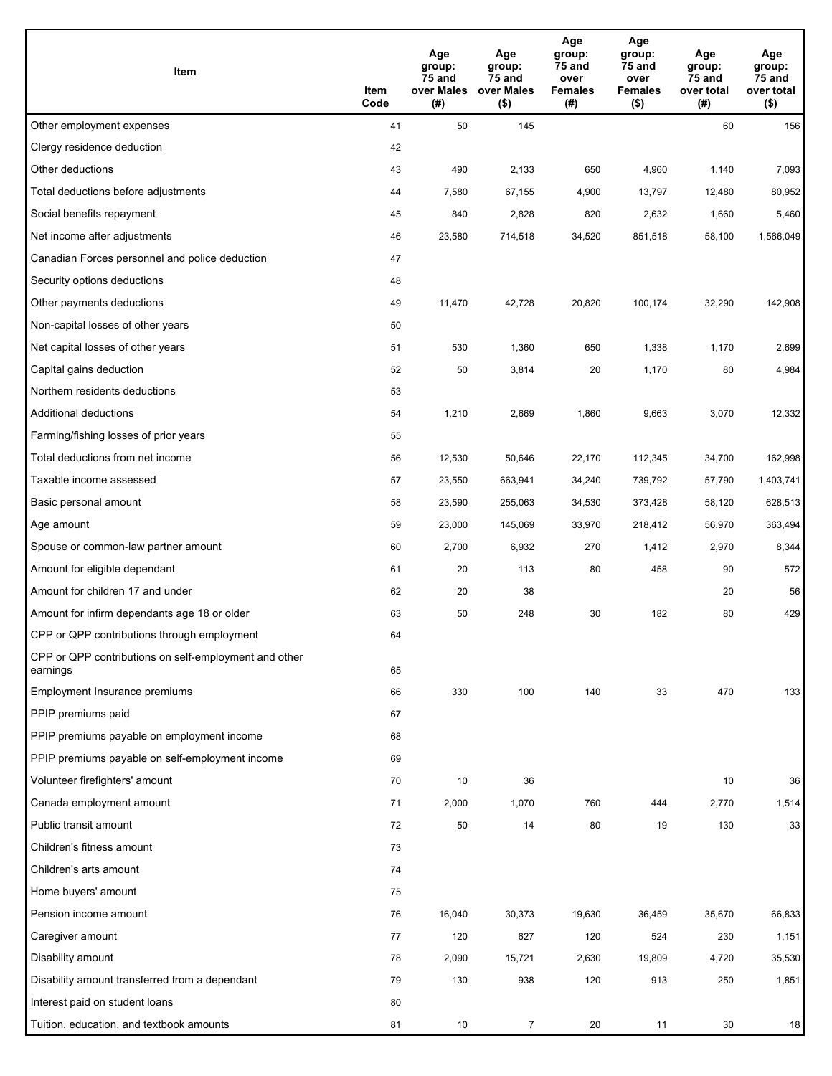| Item                                                              | Item<br>Code | Age<br>group:<br>75 and<br>over Males<br>(#) | Age<br>group:<br>75 and<br>over Males<br>$($ \$) | Age<br>group:<br>75 and<br>over<br><b>Females</b><br>(#) | Age<br>group:<br>75 and<br>over<br><b>Females</b><br>$($ \$) | Age<br>group:<br>75 and<br>over total<br>(#) | Age<br>group:<br>75 and<br>over total<br>$($ \$) |
|-------------------------------------------------------------------|--------------|----------------------------------------------|--------------------------------------------------|----------------------------------------------------------|--------------------------------------------------------------|----------------------------------------------|--------------------------------------------------|
| Other employment expenses                                         | 41           | 50                                           | 145                                              |                                                          |                                                              | 60                                           | 156                                              |
| Clergy residence deduction                                        | 42           |                                              |                                                  |                                                          |                                                              |                                              |                                                  |
| Other deductions                                                  | 43           | 490                                          | 2,133                                            | 650                                                      | 4,960                                                        | 1,140                                        | 7,093                                            |
| Total deductions before adjustments                               | 44           | 7,580                                        | 67,155                                           | 4,900                                                    | 13,797                                                       | 12,480                                       | 80,952                                           |
| Social benefits repayment                                         | 45           | 840                                          | 2,828                                            | 820                                                      | 2,632                                                        | 1,660                                        | 5,460                                            |
| Net income after adjustments                                      | 46           | 23,580                                       | 714,518                                          | 34,520                                                   | 851,518                                                      | 58,100                                       | 1,566,049                                        |
| Canadian Forces personnel and police deduction                    | 47           |                                              |                                                  |                                                          |                                                              |                                              |                                                  |
| Security options deductions                                       | 48           |                                              |                                                  |                                                          |                                                              |                                              |                                                  |
| Other payments deductions                                         | 49           | 11,470                                       | 42,728                                           | 20,820                                                   | 100,174                                                      | 32,290                                       | 142,908                                          |
| Non-capital losses of other years                                 | 50           |                                              |                                                  |                                                          |                                                              |                                              |                                                  |
| Net capital losses of other years                                 | 51           | 530                                          | 1,360                                            | 650                                                      | 1,338                                                        | 1,170                                        | 2,699                                            |
| Capital gains deduction                                           | 52           | 50                                           | 3,814                                            | 20                                                       | 1,170                                                        | 80                                           | 4,984                                            |
| Northern residents deductions                                     | 53           |                                              |                                                  |                                                          |                                                              |                                              |                                                  |
| Additional deductions                                             | 54           | 1,210                                        | 2,669                                            | 1,860                                                    | 9,663                                                        | 3,070                                        | 12,332                                           |
| Farming/fishing losses of prior years                             | 55           |                                              |                                                  |                                                          |                                                              |                                              |                                                  |
| Total deductions from net income                                  | 56           | 12,530                                       | 50,646                                           | 22,170                                                   | 112,345                                                      | 34,700                                       | 162,998                                          |
| Taxable income assessed                                           | 57           | 23,550                                       | 663,941                                          | 34,240                                                   | 739,792                                                      | 57,790                                       | 1,403,741                                        |
| Basic personal amount                                             | 58           | 23,590                                       | 255,063                                          | 34,530                                                   | 373,428                                                      | 58,120                                       | 628,513                                          |
| Age amount                                                        | 59           | 23,000                                       | 145,069                                          | 33,970                                                   | 218,412                                                      | 56,970                                       | 363,494                                          |
| Spouse or common-law partner amount                               | 60           | 2,700                                        | 6,932                                            | 270                                                      | 1,412                                                        | 2,970                                        | 8,344                                            |
| Amount for eligible dependant                                     | 61           | 20                                           | 113                                              | 80                                                       | 458                                                          | 90                                           | 572                                              |
| Amount for children 17 and under                                  | 62           | 20                                           | 38                                               |                                                          |                                                              | 20                                           | 56                                               |
| Amount for infirm dependants age 18 or older                      | 63           | 50                                           | 248                                              | 30                                                       | 182                                                          | 80                                           | 429                                              |
| CPP or QPP contributions through employment                       | 64           |                                              |                                                  |                                                          |                                                              |                                              |                                                  |
| CPP or QPP contributions on self-employment and other<br>earnings | 65           |                                              |                                                  |                                                          |                                                              |                                              |                                                  |
| Employment Insurance premiums                                     | 66           | 330                                          | 100                                              | 140                                                      | 33                                                           | 470                                          | 133                                              |
| PPIP premiums paid                                                | 67           |                                              |                                                  |                                                          |                                                              |                                              |                                                  |
| PPIP premiums payable on employment income                        | 68           |                                              |                                                  |                                                          |                                                              |                                              |                                                  |
| PPIP premiums payable on self-employment income                   | 69           |                                              |                                                  |                                                          |                                                              |                                              |                                                  |
| Volunteer firefighters' amount                                    | 70           | 10                                           | 36                                               |                                                          |                                                              | 10                                           | 36                                               |
| Canada employment amount                                          | 71           | 2,000                                        | 1,070                                            | 760                                                      | 444                                                          | 2,770                                        | 1,514                                            |
| Public transit amount                                             | 72           | 50                                           | 14                                               | 80                                                       | 19                                                           | 130                                          | 33                                               |
| Children's fitness amount                                         | 73           |                                              |                                                  |                                                          |                                                              |                                              |                                                  |
| Children's arts amount                                            | 74           |                                              |                                                  |                                                          |                                                              |                                              |                                                  |
| Home buyers' amount                                               | 75           |                                              |                                                  |                                                          |                                                              |                                              |                                                  |
| Pension income amount                                             | 76           | 16,040                                       | 30,373                                           | 19,630                                                   | 36,459                                                       | 35,670                                       | 66,833                                           |
| Caregiver amount                                                  | 77           | 120                                          | 627                                              | 120                                                      | 524                                                          | 230                                          | 1,151                                            |
| Disability amount                                                 | 78           | 2,090                                        | 15,721                                           | 2,630                                                    | 19,809                                                       | 4,720                                        | 35,530                                           |
| Disability amount transferred from a dependant                    | 79           | 130                                          | 938                                              | 120                                                      | 913                                                          | 250                                          | 1,851                                            |
| Interest paid on student loans                                    | 80           |                                              |                                                  |                                                          |                                                              |                                              |                                                  |
| Tuition, education, and textbook amounts                          | 81           | 10                                           | $\overline{7}$                                   | 20                                                       | 11                                                           | 30                                           | 18                                               |